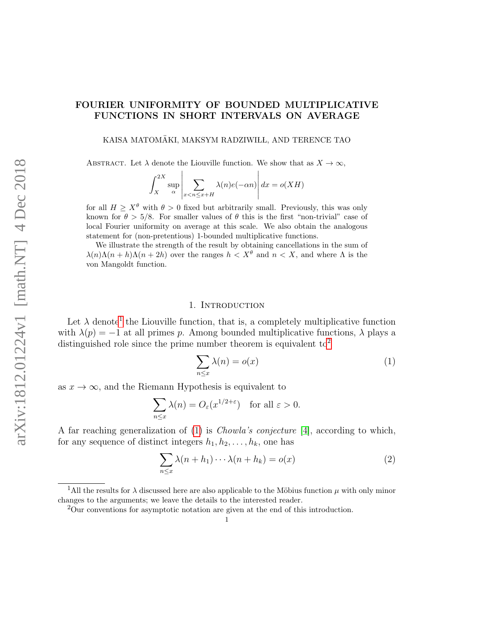# FOURIER UNIFORMITY OF BOUNDED MULTIPLICATIVE FUNCTIONS IN SHORT INTERVALS ON AVERAGE

KAISA MATOMÄKI, MAKSYM RADZIWIŁL, AND TERENCE TAO

ABSTRACT. Let  $\lambda$  denote the Liouville function. We show that as  $X \to \infty$ ,

$$
\int_{X}^{2X} \sup_{\alpha} \left| \sum_{x < n \le x + H} \lambda(n) e(-\alpha n) \right| dx = o(XH)
$$

for all  $H \geq X^{\theta}$  with  $\theta > 0$  fixed but arbitrarily small. Previously, this was only known for  $\theta > 5/8$ . For smaller values of  $\theta$  this is the first "non-trivial" case of local Fourier uniformity on average at this scale. We also obtain the analogous statement for (non-pretentious) 1-bounded multiplicative functions.

We illustrate the strength of the result by obtaining cancellations in the sum of  $\lambda(n)\Lambda(n+h)\Lambda(n+2h)$  over the ranges  $h < X^{\theta}$  and  $n < X$ , and where  $\Lambda$  is the von Mangoldt function.

## 1. INTRODUCTION

Let  $\lambda$  denote<sup>[1](#page-0-0)</sup> the Liouville function, that is, a completely multiplicative function with  $\lambda(p) = -1$  at all primes p. Among bounded multiplicative functions,  $\lambda$  plays a distinguished role since the prime number theorem is equivalent  $\mathrm{to}^2$  $\mathrm{to}^2$ 

<span id="page-0-2"></span>
$$
\sum_{n \le x} \lambda(n) = o(x) \tag{1}
$$

as  $x \to \infty$ , and the Riemann Hypothesis is equivalent to

$$
\sum_{n \le x} \lambda(n) = O_{\varepsilon}(x^{1/2 + \varepsilon}) \quad \text{for all } \varepsilon > 0.
$$

A far reaching generalization of [\(1\)](#page-0-2) is Chowla's conjecture [\[4\]](#page-50-0), according to which, for any sequence of distinct integers  $h_1, h_2, \ldots, h_k$ , one has

<span id="page-0-3"></span>
$$
\sum_{n \le x} \lambda(n + h_1) \cdots \lambda(n + h_k) = o(x) \tag{2}
$$

<span id="page-0-0"></span><sup>&</sup>lt;sup>1</sup>All the results for  $\lambda$  discussed here are also applicable to the Möbius function  $\mu$  with only minor changes to the arguments; we leave the details to the interested reader.

<span id="page-0-1"></span><sup>2</sup>Our conventions for asymptotic notation are given at the end of this introduction.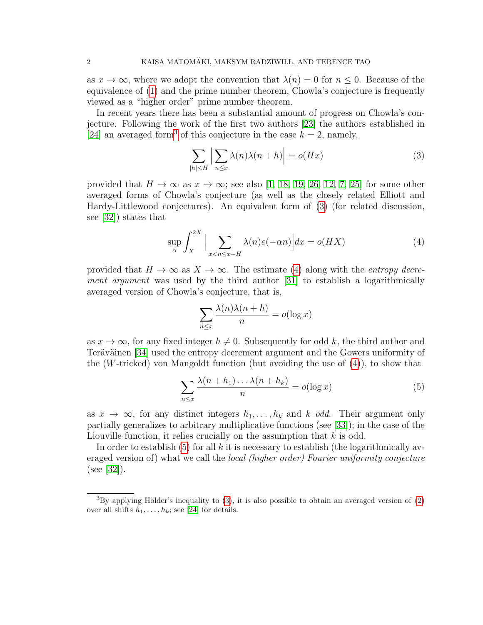as  $x \to \infty$ , where we adopt the convention that  $\lambda(n) = 0$  for  $n \leq 0$ . Because of the equivalence of [\(1\)](#page-0-2) and the prime number theorem, Chowla's conjecture is frequently viewed as a "higher order" prime number theorem.

In recent years there has been a substantial amount of progress on Chowla's conjecture. Following the work of the first two authors [\[23\]](#page-50-1) the authors established in [\[24\]](#page-50-2) an averaged form<sup>[3](#page-1-0)</sup> of this conjecture in the case  $k = 2$ , namely,

<span id="page-1-1"></span>
$$
\sum_{|h| \le H} \left| \sum_{n \le x} \lambda(n) \lambda(n+h) \right| = o(Hx) \tag{3}
$$

provided that  $H \to \infty$  as  $x \to \infty$ ; see also [\[1,](#page-49-0) [18,](#page-50-3) [19,](#page-50-4) [26,](#page-50-5) [12,](#page-50-6) [7,](#page-50-7) [25\]](#page-50-8) for some other averaged forms of Chowla's conjecture (as well as the closely related Elliott and Hardy-Littlewood conjectures). An equivalent form of [\(3\)](#page-1-1) (for related discussion, see [\[32\]](#page-51-0)) states that

<span id="page-1-2"></span>
$$
\sup_{\alpha} \int_{X}^{2X} \Big| \sum_{x < n \le x+H} \lambda(n)e(-\alpha n) \Big| dx = o(HX) \tag{4}
$$

provided that  $H \to \infty$  as  $X \to \infty$ . The estimate [\(4\)](#page-1-2) along with the *entropy decre*ment argument was used by the third author [\[31\]](#page-51-1) to establish a logarithmically averaged version of Chowla's conjecture, that is,

$$
\sum_{n \le x} \frac{\lambda(n)\lambda(n+h)}{n} = o(\log x)
$$

as  $x \to \infty$ , for any fixed integer  $h \neq 0$ . Subsequently for odd k, the third author and Teräväinen [\[34\]](#page-51-2) used the entropy decrement argument and the Gowers uniformity of the (W-tricked) von Mangoldt function (but avoiding the use of [\(4\)](#page-1-2)), to show that

<span id="page-1-3"></span>
$$
\sum_{n \le x} \frac{\lambda(n + h_1) \dots \lambda(n + h_k)}{n} = o(\log x)
$$
\n(5)

as  $x \to \infty$ , for any distinct integers  $h_1, \ldots, h_k$  and k odd. Their argument only partially generalizes to arbitrary multiplicative functions (see [\[33\]](#page-51-3)); in the case of the Liouville function, it relies crucially on the assumption that  $k$  is odd.

In order to establish [\(5\)](#page-1-3) for all k it is necessary to establish (the logarithmically averaged version of) what we call the *local (higher order) Fourier uniformity conjecture* (see [\[32\]](#page-51-0)).

<span id="page-1-0"></span> ${}^{3}$ By applying Hölder's inequality to [\(3\)](#page-1-1), it is also possible to obtain an averaged version of [\(2\)](#page-0-3) over all shifts  $h_1, \ldots, h_k$ ; see [\[24\]](#page-50-2) for details.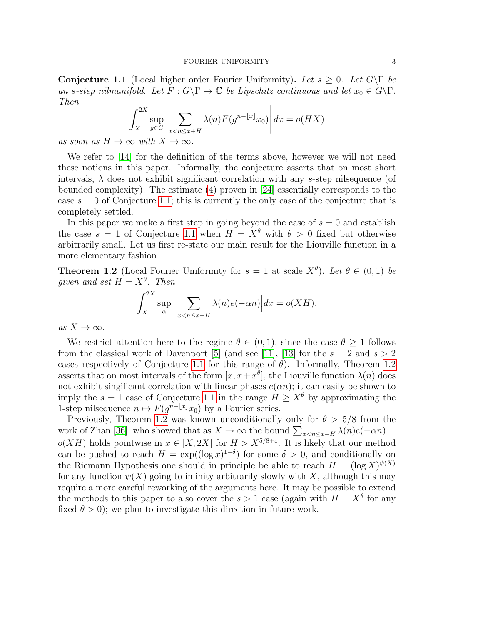<span id="page-2-0"></span>**Conjecture 1.1** (Local higher order Fourier Uniformity). Let  $s \geq 0$ . Let  $G \backslash \Gamma$  be an s-step nilmanifold. Let  $F: G \backslash \Gamma \to \mathbb{C}$  be Lipschitz continuous and let  $x_0 \in G \backslash \Gamma$ . Then

$$
\int_{X}^{2X} \sup_{g \in G} \left| \sum_{x < n \le x+H} \lambda(n) F(g^{n-\lfloor x \rfloor} x_0) \right| dx = o(HX)
$$

as soon as  $H \to \infty$  with  $X \to \infty$ .

We refer to [\[14\]](#page-50-9) for the definition of the terms above, however we will not need these notions in this paper. Informally, the conjecture asserts that on most short intervals,  $\lambda$  does not exhibit significant correlation with any s-step nilsequence (of bounded complexity). The estimate [\(4\)](#page-1-2) proven in [\[24\]](#page-50-2) essentially corresponds to the case  $s = 0$  of Conjecture [1.1;](#page-2-0) this is currently the only case of the conjecture that is completely settled.

In this paper we make a first step in going beyond the case of  $s = 0$  and establish the case  $s = 1$  of Conjecture [1.1](#page-2-0) when  $H = X^{\theta}$  with  $\theta > 0$  fixed but otherwise arbitrarily small. Let us first re-state our main result for the Liouville function in a more elementary fashion.

<span id="page-2-1"></span>**Theorem 1.2** (Local Fourier Uniformity for  $s = 1$  at scale  $X^{\theta}$ ). Let  $\theta \in (0,1)$  be given and set  $H = X^{\theta}$ . Then

$$
\int_X^{2X} \sup_{\alpha} \Big| \sum_{x < n \le x+H} \lambda(n) e(-\alpha n) \Big| dx = o(XH).
$$

as  $X \to \infty$ .

We restrict attention here to the regime  $\theta \in (0,1)$ , since the case  $\theta \geq 1$  follows from the classical work of Davenport [\[5\]](#page-50-10) (and see [\[11\]](#page-50-11), [\[13\]](#page-50-12) for the  $s = 2$  and  $s > 2$ cases respectively of Conjecture [1.1](#page-2-0) for this range of  $\theta$ ). Informally, Theorem [1.2](#page-2-1) asserts that on most intervals of the form  $[x, x+x^{\theta}]$ , the Liouville function  $\lambda(n)$  does not exhibit singificant correlation with linear phases  $e(\alpha n)$ ; it can easily be shown to imply the  $s = 1$  case of Conjecture [1.1](#page-2-0) in the range  $H \ge X^{\theta}$  by approximating the 1-step nilsequence  $n \mapsto F(g^{n-[x]}x_0)$  by a Fourier series.

Previously, Theorem [1.2](#page-2-1) was known unconditionally only for  $\theta > 5/8$  from the work of Zhan [\[36\]](#page-51-4), who showed that as  $X \to \infty$  the bound  $\sum_{x \leq n \leq x+H} \lambda(n)e(-\alpha n) =$  $o(XH)$  holds pointwise in  $x \in [X, 2X]$  for  $H > X^{5/8+\epsilon}$ . It is likely that our method can be pushed to reach  $H = \exp((\log x)^{1-\delta})$  for some  $\delta > 0$ , and conditionally on the Riemann Hypothesis one should in principle be able to reach  $H = (\log X)^{\psi(X)}$ for any function  $\psi(X)$  going to infinity arbitrarily slowly with X, although this may require a more careful reworking of the arguments here. It may be possible to extend the methods to this paper to also cover the  $s > 1$  case (again with  $H = X^{\theta}$  for any fixed  $\theta > 0$ ); we plan to investigate this direction in future work.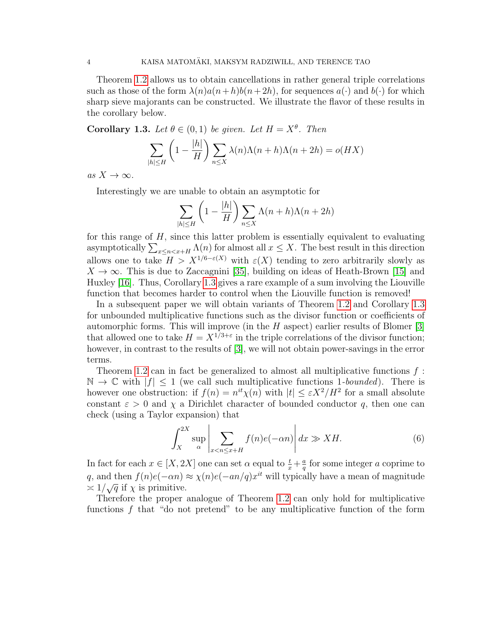Theorem [1.2](#page-2-1) allows us to obtain cancellations in rather general triple correlations such as those of the form  $\lambda(n)a(n+h)b(n+2h)$ , for sequences  $a(\cdot)$  and  $b(\cdot)$  for which sharp sieve majorants can be constructed. We illustrate the flavor of these results in the corollary below.

<span id="page-3-0"></span>**Corollary 1.3.** Let  $\theta \in (0,1)$  be given. Let  $H = X^{\theta}$ . Then

$$
\sum_{|h| \le H} \left(1 - \frac{|h|}{H}\right) \sum_{n \le X} \lambda(n) \Lambda(n+h) \Lambda(n+2h) = o(HX)
$$

as  $X \to \infty$ .

Interestingly we are unable to obtain an asymptotic for

$$
\sum_{|h| \le H} \left(1 - \frac{|h|}{H}\right) \sum_{n \le X} \Lambda(n+h)\Lambda(n+2h)
$$

for this range of H, since this latter problem is essentially equivalent to evaluating asymptotically  $\sum_{x \leq n < x+H} \Lambda(n)$  for almost all  $x \leq X$ . The best result in this direction allows one to take  $H > X^{1/6 - \varepsilon(X)}$  with  $\varepsilon(X)$  tending to zero arbitrarily slowly as  $X \to \infty$ . This is due to Zaccagnini [\[35\]](#page-51-5), building on ideas of Heath-Brown [\[15\]](#page-50-13) and Huxley [\[16\]](#page-50-14). Thus, Corollary [1.3](#page-3-0) gives a rare example of a sum involving the Liouville function that becomes harder to control when the Liouville function is removed!

In a subsequent paper we will obtain variants of Theorem [1.2](#page-2-1) and Corollary [1.3](#page-3-0) for unbounded multiplicative functions such as the divisor function or coefficients of automorphic forms. This will improve (in the  $H$  aspect) earlier results of Blomer [\[3\]](#page-49-1) that allowed one to take  $H = X^{1/3+\epsilon}$  in the triple correlations of the divisor function; however, in contrast to the results of [\[3\]](#page-49-1), we will not obtain power-savings in the error terms.

Theorem [1.2](#page-2-1) can in fact be generalized to almost all multiplicative functions  $f$ :  $\mathbb{N} \to \mathbb{C}$  with  $|f| \leq 1$  (we call such multiplicative functions 1-bounded). There is however one obstruction: if  $f(n) = n^{it} \chi(n)$  with  $|t| \leq \varepsilon X^2/H^2$  for a small absolute constant  $\varepsilon > 0$  and  $\chi$  a Dirichlet character of bounded conductor q, then one can check (using a Taylor expansion) that

<span id="page-3-1"></span>
$$
\int_{X}^{2X} \sup_{\alpha} \left| \sum_{x < n \le x+H} f(n)e(-\alpha n) \right| dx \gg XH. \tag{6}
$$

In fact for each  $x \in [X, 2X]$  one can set  $\alpha$  equal to  $\frac{t}{x} + \frac{a}{q}$  $\frac{a}{q}$  for some integer a coprime to q, and then  $f(n)e(-\alpha n) \approx \chi(n)e(-\alpha n/q)x^{it}$  will typically have a mean of magnitude q, and then  $f(n)e^{-\alpha n}$ .

Therefore the proper analogue of Theorem [1.2](#page-2-1) can only hold for multiplicative functions f that "do not pretend" to be any multiplicative function of the form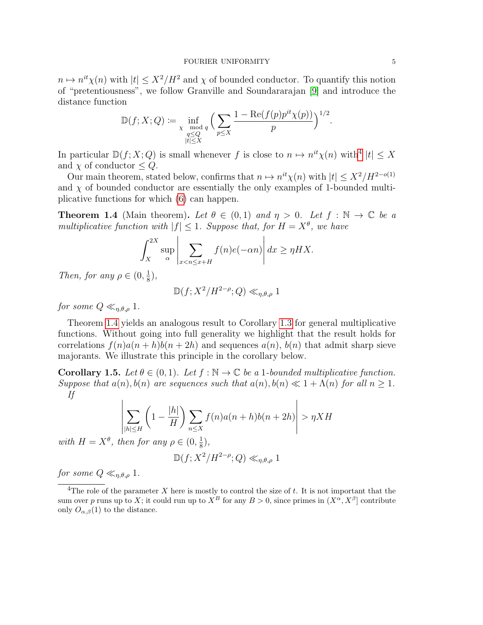$n \mapsto n^{it}\chi(n)$  with  $|t| \leq X^2/H^2$  and  $\chi$  of bounded conductor. To quantify this notion of "pretentiousness", we follow Granville and Soundararajan [\[9\]](#page-50-15) and introduce the distance function

$$
\mathbb{D}(f;X;Q):=\inf_{\substack{\chi \mod q \\ |t|\leq X}}\Big(\sum_{p\leq X}\frac{1-\mathrm{Re}(f(p)p^{it}\chi(p))}{p}\Big)^{1/2}.
$$

In particular  $\mathbb{D}(f; X; Q)$  is small whenever f is close to  $n \mapsto n^{it}\chi(n)$  with  $|t| \leq X$ and  $\chi$  of conductor  $\leq Q$ .

Our main theorem, stated below, confirms that  $n \mapsto n^{it}\chi(n)$  with  $|t| \leq X^2/H^{2-o(1)}$ and  $\chi$  of bounded conductor are essentially the only examples of 1-bounded multiplicative functions for which [\(6\)](#page-3-1) can happen.

<span id="page-4-1"></span>**Theorem 1.4** (Main theorem). Let  $\theta \in (0,1)$  and  $\eta > 0$ . Let  $f : \mathbb{N} \to \mathbb{C}$  be a multiplicative function with  $|f| \leq 1$ . Suppose that, for  $H = X^{\theta}$ , we have

$$
\int_X^{2X} \sup_{\alpha} \left| \sum_{x < n \le x+H} f(n)e(-\alpha n) \right| dx \ge \eta H X.
$$

Then, for any  $\rho \in (0, \frac{1}{8})$  $(\frac{1}{8}),$ 

$$
\mathbb{D}(f;X^2/H^{2-\rho};Q)\ll_{\eta,\theta,\rho} 1
$$

for some  $Q \ll_{\eta,\theta,\rho} 1$ .

Theorem [1.4](#page-4-1) yields an analogous result to Corollary [1.3](#page-3-0) for general multiplicative functions. Without going into full generality we highlight that the result holds for correlations  $f(n)a(n+h)b(n+2h)$  and sequences  $a(n)$ ,  $b(n)$  that admit sharp sieve majorants. We illustrate this principle in the corollary below.

<span id="page-4-2"></span>**Corollary 1.5.** Let  $\theta \in (0,1)$ . Let  $f : \mathbb{N} \to \mathbb{C}$  be a 1-bounded multiplicative function. Suppose that  $a(n)$ ,  $b(n)$  are sequences such that  $a(n)$ ,  $b(n) \ll 1 + \Lambda(n)$  for all  $n \geq 1$ . If

$$
\left| \sum_{|h| \le H} \left( 1 - \frac{|h|}{H} \right) \sum_{n \le X} f(n) a(n+h) b(n+2h) \right| > \eta X H
$$

with  $H = X^{\theta}$ , then for any  $\rho \in (0, \frac{1}{8})$  $\frac{1}{8}$ ),

$$
\mathbb{D}(f;X^2/H^{2-\rho};Q)\ll_{\eta,\theta,\rho} 1
$$

for some  $Q \ll_{n,\theta,\rho} 1$ .

<span id="page-4-0"></span><sup>&</sup>lt;sup>4</sup>The role of the parameter X here is mostly to control the size of t. It is not important that the sum over p runs up to X; it could run up to  $X^B$  for any  $B > 0$ , since primes in  $(X^{\alpha}, X^{\beta}]$  contribute only  $O_{\alpha,\beta}(1)$  to the distance.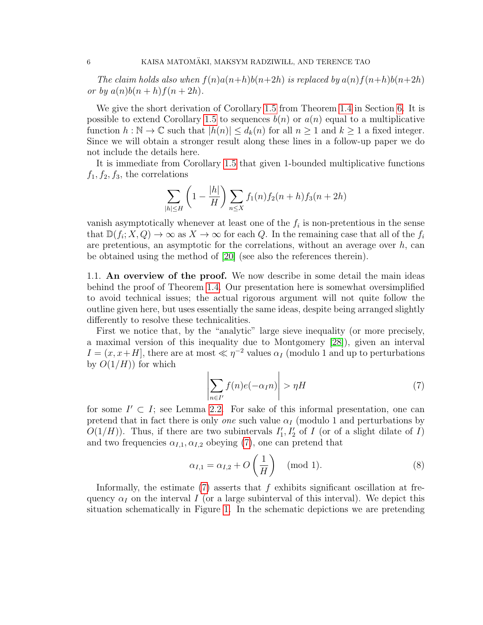The claim holds also when  $f(n)a(n+h)b(n+2h)$  is replaced by  $a(n)f(n+h)b(n+2h)$ or by  $a(n)b(n+h)f(n+2h)$ .

We give the short derivation of Corollary [1.5](#page-4-2) from Theorem [1.4](#page-4-1) in Section [6.](#page-48-0) It is possible to extend Corollary [1.5](#page-4-2) to sequences  $b(n)$  or  $a(n)$  equal to a multiplicative function  $h : \mathbb{N} \to \mathbb{C}$  such that  $|h(n)| \leq d_k(n)$  for all  $n \geq 1$  and  $k \geq 1$  a fixed integer. Since we will obtain a stronger result along these lines in a follow-up paper we do not include the details here.

It is immediate from Corollary [1.5](#page-4-2) that given 1-bounded multiplicative functions  $f_1, f_2, f_3$ , the correlations

$$
\sum_{|h| \le H} \left(1 - \frac{|h|}{H}\right) \sum_{n \le X} f_1(n) f_2(n+h) f_3(n+2h)
$$

vanish asymptotically whenever at least one of the  $f_i$  is non-pretentious in the sense that  $\mathbb{D}(f_i; X, Q) \to \infty$  as  $X \to \infty$  for each Q. In the remaining case that all of the  $f_i$ are pretentious, an asymptotic for the correlations, without an average over  $h$ , can be obtained using the method of [\[20\]](#page-50-16) (see also the references therein).

1.1. An overview of the proof. We now describe in some detail the main ideas behind the proof of Theorem [1.4.](#page-4-1) Our presentation here is somewhat oversimplified to avoid technical issues; the actual rigorous argument will not quite follow the outline given here, but uses essentially the same ideas, despite being arranged slightly differently to resolve these technicalities.

First we notice that, by the "analytic" large sieve inequality (or more precisely, a maximal version of this inequality due to Montgomery [\[28\]](#page-51-6)), given an interval  $I = (x, x+H]$ , there are at most  $\ll \eta^{-2}$  values  $\alpha_I$  (modulo 1 and up to perturbations by  $O(1/H)$  for which

<span id="page-5-0"></span>
$$
\left| \sum_{n \in I'} f(n)e(-\alpha_I n) \right| > \eta H \tag{7}
$$

for some  $I' \subset I$ ; see Lemma [2.2.](#page-16-0) For sake of this informal presentation, one can pretend that in fact there is only *one* such value  $\alpha_I$  (modulo 1 and perturbations by  $O(1/H)$ ). Thus, if there are two subintervals  $I'_1, I'_2$  of I (or of a slight dilate of I) and two frequencies  $\alpha_{I,1}, \alpha_{I,2}$  obeying [\(7\)](#page-5-0), one can pretend that

<span id="page-5-1"></span>
$$
\alpha_{I,1} = \alpha_{I,2} + O\left(\frac{1}{H}\right) \pmod{1}.
$$
 (8)

Informally, the estimate  $(7)$  asserts that f exhibits significant oscillation at frequency  $\alpha_I$  on the interval I (or a large subinterval of this interval). We depict this situation schematically in Figure [1.](#page-6-0) In the schematic depictions we are pretending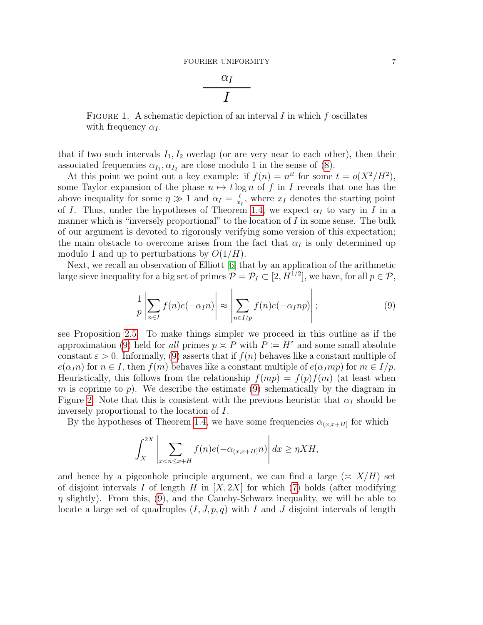$$
\frac{\alpha_I}{I}
$$

<span id="page-6-0"></span>FIGURE 1. A schematic depiction of an interval  $I$  in which  $f$  oscillates with frequency  $\alpha_I$ .

that if two such intervals  $I_1, I_2$  overlap (or are very near to each other), then their associated frequencies  $\alpha_{I_1}, \alpha_{I_2}$  are close modulo 1 in the sense of [\(8\)](#page-5-1).

At this point we point out a key example: if  $f(n) = n^{it}$  for some  $t = o(X^2/H^2)$ , some Taylor expansion of the phase  $n \mapsto t \log n$  of f in I reveals that one has the above inequality for some  $\eta \gg 1$  and  $\alpha_I = \frac{t}{r}$  $\frac{t}{x_I}$ , where  $x_I$  denotes the starting point of I. Thus, under the hypotheses of Theorem [1.4,](#page-4-1) we expect  $\alpha_I$  to vary in I in a manner which is "inversely proportional" to the location of  $I$  in some sense. The bulk of our argument is devoted to rigorously verifying some version of this expectation; the main obstacle to overcome arises from the fact that  $\alpha<sub>I</sub>$  is only determined up modulo 1 and up to perturbations by  $O(1/H)$ .

Next, we recall an observation of Elliott [\[6\]](#page-50-17) that by an application of the arithmetic large sieve inequality for a big set of primes  $P = P_I \subset [2, H^{1/2}]$ , we have, for all  $p \in P$ ,

<span id="page-6-1"></span>
$$
\frac{1}{p} \left| \sum_{n \in I} f(n) e(-\alpha_I n) \right| \approx \left| \sum_{n \in I/p} f(n) e(-\alpha_I n p) \right|;
$$
\n(9)

see Proposition [2.5.](#page-19-0) To make things simpler we proceed in this outline as if the approximation [\(9\)](#page-6-1) held for all primes  $p \simeq P$  with  $P \coloneqq H^{\varepsilon}$  and some small absolute constant  $\varepsilon > 0$ . Informally, [\(9\)](#page-6-1) asserts that if  $f(n)$  behaves like a constant multiple of  $e(\alpha_1 n)$  for  $n \in I$ , then  $f(m)$  behaves like a constant multiple of  $e(\alpha_1 m p)$  for  $m \in I/p$ . Heuristically, this follows from the relationship  $f(mp) = f(p)f(m)$  (at least when m is coprime to p). We describe the estimate [\(9\)](#page-6-1) schematically by the diagram in Figure [2.](#page-7-0) Note that this is consistent with the previous heuristic that  $\alpha_I$  should be inversely proportional to the location of I.

By the hypotheses of Theorem [1.4,](#page-4-1) we have some frequencies  $\alpha_{(x,x+H)}$  for which

$$
\int_{X}^{2X} \left| \sum_{x < n \leq x+H} f(n)e(-\alpha_{(x,x+H]}n) \right| dx \geq \eta X H,
$$

and hence by a pigeonhole principle argument, we can find a large  $(\leq X/H)$  set of disjoint intervals I of length H in  $[X, 2X]$  for which [\(7\)](#page-5-0) holds (after modifying  $\eta$  slightly). From this, [\(9\)](#page-6-1), and the Cauchy-Schwarz inequality, we will be able to locate a large set of quadruples  $(I, J, p, q)$  with I and J disjoint intervals of length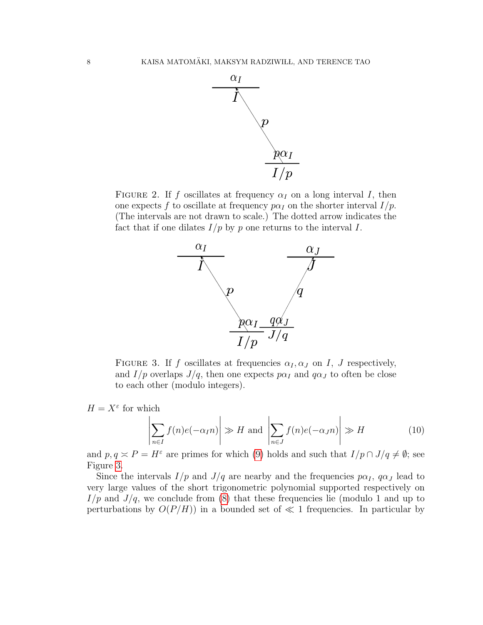

<span id="page-7-1"></span><span id="page-7-0"></span>FIGURE 2. If f oscillates at frequency  $\alpha_I$  on a long interval I, then one expects f to oscillate at frequency  $p\alpha_I$  on the shorter interval  $I/p$ . (The intervals are not drawn to scale.) The dotted arrow indicates the fact that if one dilates  $I/p$  by p one returns to the interval I.



FIGURE 3. If f oscillates at frequencies  $\alpha_I, \alpha_J$  on I, J respectively, and  $I/p$  overlaps  $J/q$ , then one expects  $p\alpha_I$  and  $q\alpha_J$  to often be close to each other (modulo integers).

 $H = X^{\varepsilon}$  for which

<span id="page-7-2"></span>
$$
\left| \sum_{n \in I} f(n)e(-\alpha_I n) \right| \gg H \text{ and } \left| \sum_{n \in J} f(n)e(-\alpha_J n) \right| \gg H \tag{10}
$$

and  $p, q \simeq P = H^{\varepsilon}$  are primes for which [\(9\)](#page-6-1) holds and such that  $I/p \cap J/q \neq \emptyset$ ; see Figure [3.](#page-7-1)

Since the intervals  $I/p$  and  $J/q$  are nearby and the frequencies  $p\alpha_I$ ,  $q\alpha_J$  lead to very large values of the short trigonometric polynomial supported respectively on  $I/p$  and  $J/q$ , we conclude from [\(8\)](#page-5-1) that these frequencies lie (modulo 1 and up to perturbations by  $O(P/H)$  in a bounded set of  $\ll 1$  frequencies. In particular by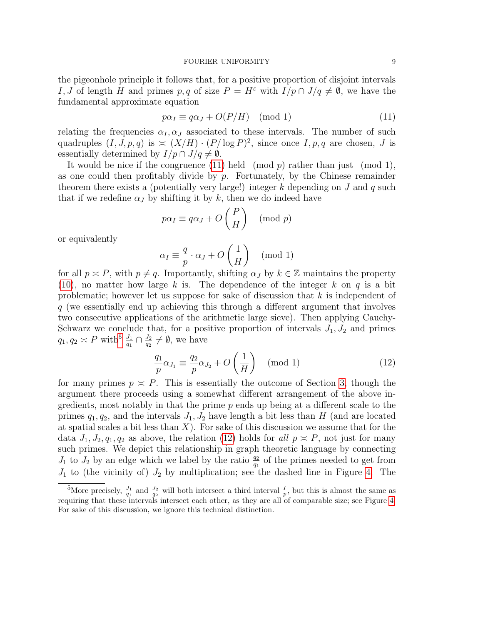the pigeonhole principle it follows that, for a positive proportion of disjoint intervals I, J of length H and primes p, q of size  $P = H^{\varepsilon}$  with  $I/p \cap J/q \neq \emptyset$ , we have the fundamental approximate equation

<span id="page-8-0"></span>
$$
p\alpha_I \equiv q\alpha_J + O(P/H) \pmod{1} \tag{11}
$$

relating the frequencies  $\alpha_I, \alpha_J$  associated to these intervals. The number of such quadruples  $(I, J, p, q)$  is  $\asymp (X/H) \cdot (P/\log P)^2$ , since once  $I, p, q$  are chosen, J is essentially determined by  $I/p \cap J/q \neq \emptyset$ .

It would be nice if the congruence  $(11)$  held  $p$  rather than just  $p$  (mod 1), as one could then profitably divide by  $p$ . Fortunately, by the Chinese remainder theorem there exists a (potentially very large!) integer k depending on  $J$  and  $q$  such that if we redefine  $\alpha_J$  by shifting it by k, then we do indeed have

$$
p\alpha_I \equiv q\alpha_J + O\left(\frac{P}{H}\right) \pmod{p}
$$

or equivalently

$$
\alpha_I \equiv \frac{q}{p} \cdot \alpha_J + O\left(\frac{1}{H}\right) \pmod{1}
$$

for all  $p \succeq P$ , with  $p \neq q$ . Importantly, shifting  $\alpha_J$  by  $k \in \mathbb{Z}$  maintains the property [\(10\)](#page-7-2), no matter how large k is. The dependence of the integer k on q is a bit problematic; however let us suppose for sake of discussion that k is independent of q (we essentially end up achieving this through a different argument that involves two consecutive applications of the arithmetic large sieve). Then applying Cauchy-Schwarz we conclude that, for a positive proportion of intervals  $J_1, J_2$  and primes  $q_1, q_2 \asymp P$  with  $\frac{J_1}{q_1} \cap \frac{J_2}{q_2}$  $\frac{J_2}{q_2} \neq \emptyset$ , we have

<span id="page-8-2"></span>
$$
\frac{q_1}{p}\alpha_{J_1} \equiv \frac{q_2}{p}\alpha_{J_2} + O\left(\frac{1}{H}\right) \pmod{1} \tag{12}
$$

for many primes  $p \simeq P$ . This is essentially the outcome of Section [3,](#page-21-0) though the argument there proceeds using a somewhat different arrangement of the above ingredients, most notably in that the prime  $p$  ends up being at a different scale to the primes  $q_1, q_2$ , and the intervals  $J_1, J_2$  have length a bit less than H (and are located at spatial scales a bit less than  $X$ ). For sake of this discussion we assume that for the data  $J_1, J_2, q_1, q_2$  as above, the relation [\(12\)](#page-8-2) holds for all  $p \approx P$ , not just for many such primes. We depict this relationship in graph theoretic language by connecting  $J_1$  to  $J_2$  by an edge which we label by the ratio  $\frac{q_2}{q_1}$  of the primes needed to get from  $J_1$  to (the vicinity of)  $J_2$  by multiplication; see the dashed line in Figure [4.](#page-9-0) The

<span id="page-8-1"></span><sup>&</sup>lt;sup>5</sup>More precisely,  $\frac{J_1}{q_1}$  and  $\frac{J_2}{q_2}$  will both intersect a third interval  $\frac{I}{p}$ , but this is almost the same as requiring that these intervals intersect each other, as they are all of comparable size; see Figure [4.](#page-9-0) For sake of this discussion, we ignore this technical distinction.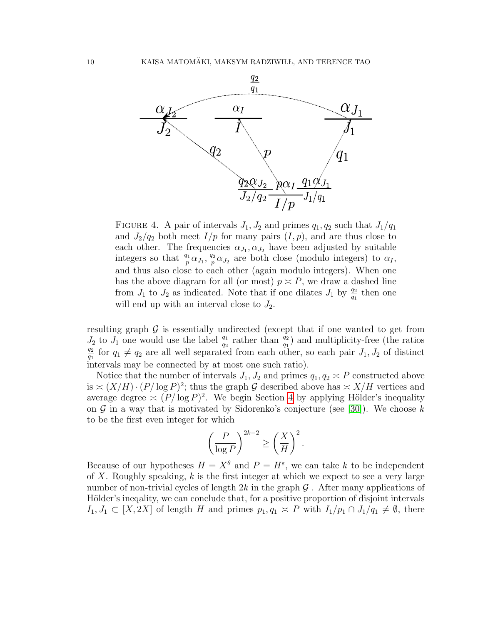<span id="page-9-0"></span>

FIGURE 4. A pair of intervals  $J_1, J_2$  and primes  $q_1, q_2$  such that  $J_1/q_1$ and  $J_2/q_2$  both meet  $I/p$  for many pairs  $(I, p)$ , and are thus close to each other. The frequencies  $\alpha_{J_1}, \alpha_{J_2}$  have been adjusted by suitable integers so that  $\frac{q_1}{p} \alpha_{J_1}, \frac{q_2}{p}$  $\frac{q_2}{p} \alpha_{J_2}$  are both close (modulo integers) to  $\alpha_I$ , and thus also close to each other (again modulo integers). When one has the above diagram for all (or most)  $p \approx P$ , we draw a dashed line from  $J_1$  to  $J_2$  as indicated. Note that if one dilates  $J_1$  by  $\frac{q_2}{q_1}$  then one will end up with an interval close to  $J_2$ .

resulting graph  $\mathcal G$  is essentially undirected (except that if one wanted to get from  $J_2$  to  $J_1$  one would use the label  $\frac{q_1}{q_2}$  rather than  $\frac{q_2}{q_1}$  and multiplicity-free (the ratios  $q_2$  $\frac{q_2}{q_1}$  for  $q_1 \neq q_2$  are all well separated from each other, so each pair  $J_1, J_2$  of distinct intervals may be connected by at most one such ratio).

Notice that the number of intervals  $J_1, J_2$  and primes  $q_1, q_2 \nightharpoonup P$  constructed above is  $\asymp (X/H) \cdot (P/\log P)^2$ ; thus the graph G described above has  $\asymp X/H$  vertices and average degree  $\asymp (P/\log P)^2$ . We begin Section [4](#page-29-0) by applying Hölder's inequality on  $\mathcal G$  in a way that is motivated by Sidorenko's conjecture (see [\[30\]](#page-51-7)). We choose k to be the first even integer for which

$$
\left(\frac{P}{\log P}\right)^{2k-2} \ge \left(\frac{X}{H}\right)^2.
$$

Because of our hypotheses  $H = X^{\theta}$  and  $P = H^{\varepsilon}$ , we can take k to be independent of X. Roughly speaking,  $k$  is the first integer at which we expect to see a very large number of non-trivial cycles of length  $2k$  in the graph  $\mathcal G$ . After many applications of Hölder's inequality, we can conclude that, for a positive proportion of disjoint intervals  $I_1, J_1 \subset [X, 2X]$  of length H and primes  $p_1, q_1 \asymp P$  with  $I_1/p_1 \cap J_1/q_1 \neq \emptyset$ , there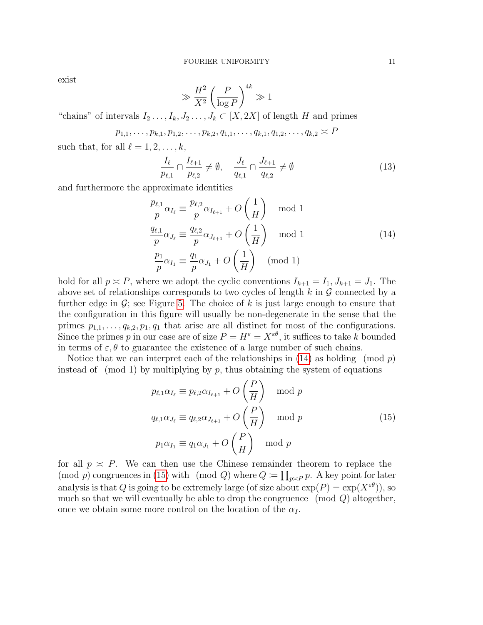exist

$$
\gg \frac{H^2}{X^2} \left(\frac{P}{\log P}\right)^{4k} \gg 1
$$

"chains" of intervals  $I_2 \ldots, I_k, J_2 \ldots, J_k \subset [X, 2X]$  of length H and primes

$$
p_{1,1},\ldots,p_{k,1},p_{1,2},\ldots,p_{k,2},q_{1,1},\ldots,q_{k,1},q_{1,2},\ldots,q_{k,2}\asymp P
$$

such that, for all  $\ell = 1, 2, \ldots, k$ ,

<span id="page-10-2"></span>
$$
\frac{I_{\ell}}{p_{\ell,1}} \cap \frac{I_{\ell+1}}{p_{\ell,2}} \neq \emptyset, \quad \frac{J_{\ell}}{q_{\ell,1}} \cap \frac{J_{\ell+1}}{q_{\ell,2}} \neq \emptyset \tag{13}
$$

<span id="page-10-0"></span>and furthermore the approximate identities

$$
\frac{p_{\ell,1}}{p} \alpha_{I_{\ell}} \equiv \frac{p_{\ell,2}}{p} \alpha_{I_{\ell+1}} + O\left(\frac{1}{H}\right) \mod 1
$$
\n
$$
\frac{q_{\ell,1}}{p} \alpha_{J_{\ell}} \equiv \frac{q_{\ell,2}}{p} \alpha_{J_{\ell+1}} + O\left(\frac{1}{H}\right) \mod 1
$$
\n
$$
\frac{p_1}{p} \alpha_{I_1} \equiv \frac{q_1}{p} \alpha_{J_1} + O\left(\frac{1}{H}\right) \pmod{1}
$$
\n(14)

hold for all  $p \approx P$ , where we adopt the cyclic conventions  $I_{k+1} = I_1, J_{k+1} = J_1$ . The above set of relationships corresponds to two cycles of length  $k$  in  $\mathcal G$  connected by a further edge in  $\mathcal{G}$ ; see Figure [5.](#page-11-0) The choice of k is just large enough to ensure that the configuration in this figure will usually be non-degenerate in the sense that the primes  $p_{1,1}, \ldots, q_{k,2}, p_1, q_1$  that arise are all distinct for most of the configurations. Since the primes p in our case are of size  $P = H^{\varepsilon} = X^{\varepsilon \theta}$ , it suffices to take k bounded in terms of  $\varepsilon$ ,  $\theta$  to guarantee the existence of a large number of such chains.

Notice that we can interpret each of the relationships in  $(14)$  as holding (mod p) instead of  $p$  (mod 1) by multiplying by p, thus obtaining the system of equations

$$
p_{\ell,1}\alpha_{I_{\ell}} \equiv p_{\ell,2}\alpha_{I_{\ell+1}} + O\left(\frac{P}{H}\right) \mod p
$$
  

$$
q_{\ell,1}\alpha_{J_{\ell}} \equiv q_{\ell,2}\alpha_{J_{\ell+1}} + O\left(\frac{P}{H}\right) \mod p
$$
  

$$
p_1\alpha_{I_1} \equiv q_1\alpha_{J_1} + O\left(\frac{P}{H}\right) \mod p
$$
 (15)

<span id="page-10-1"></span>for all  $p \approx P$ . We can then use the Chinese remainder theorem to replace the (mod p) congruences in [\(15\)](#page-10-1) with (mod Q) where  $Q := \prod_{p \asymp P} p$ . A key point for later analysis is that Q is going to be extremely large (of size about  $\exp(P) = \exp(X^{\varepsilon \theta})$ ), so much so that we will eventually be able to drop the congruence  $\pmod{Q}$  altogether, once we obtain some more control on the location of the  $\alpha_I$ .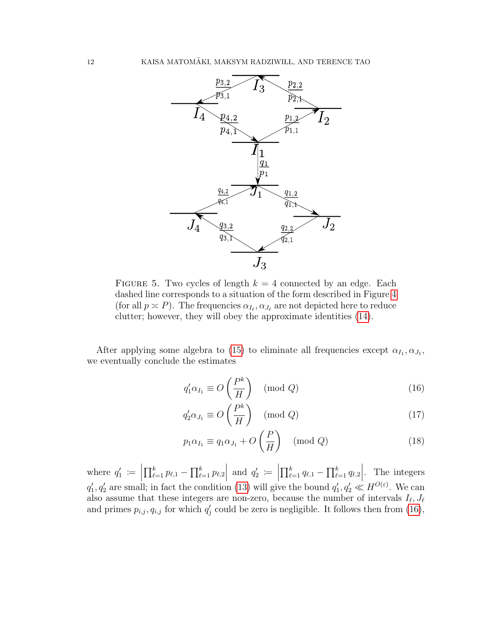<span id="page-11-0"></span>

FIGURE 5. Two cycles of length  $k = 4$  connected by an edge. Each dashed line corresponds to a situation of the form described in Figure [4](#page-9-0) (for all  $p \asymp P$ ). The frequencies  $\alpha_{I_{\ell}}, \alpha_{J_{\ell}}$  are not depicted here to reduce clutter; however, they will obey the approximate identities [\(14\)](#page-10-0).

After applying some algebra to [\(15\)](#page-10-1) to eliminate all frequencies except  $\alpha_{I_1}, \alpha_{J_1}$ , we eventually conclude the estimates

<span id="page-11-2"></span><span id="page-11-1"></span>
$$
q_1' \alpha_{I_1} \equiv O\left(\frac{P^k}{H}\right) \pmod{Q} \tag{16}
$$

$$
q_2' \alpha_{J_1} \equiv O\left(\frac{P^k}{H}\right) \pmod{Q} \tag{17}
$$

<span id="page-11-3"></span>
$$
p_1 \alpha_{I_1} \equiv q_1 \alpha_{J_1} + O\left(\frac{P}{H}\right) \pmod{Q} \tag{18}
$$

where  $q'_1 :=$  $\prod_{\ell=1}^k p_{\ell,1} - \prod_{\ell=1}^k p_{\ell,2}$ and  $q'_2 :=$  $\prod_{\ell=1}^k q_{\ell,1} - \prod_{\ell=1}^k q_{\ell,2}$ . The integers  $q'_1, q'_2$  are small; in fact the condition [\(13\)](#page-10-2) will give the bound  $q'_1, q'_2 \ll H^{O(\varepsilon)}$ . We can also assume that these integers are non-zero, because the number of intervals  $I_{\ell}, J_{\ell}$ and primes  $p_{i,j}, q_{i,j}$  for which  $q'_{j}$  could be zero is negligible. It follows then from [\(16\)](#page-11-1),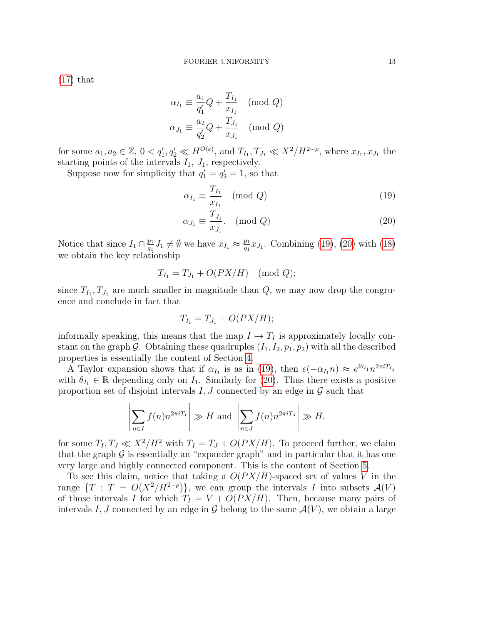[\(17\)](#page-11-2) that

$$
\alpha_{I_1} \equiv \frac{a_1}{q'_1} Q + \frac{T_{I_1}}{x_{I_1}} \pmod{Q}
$$

$$
\alpha_{J_1} \equiv \frac{a_2}{q'_2} Q + \frac{T_{J_1}}{x_{J_1}} \pmod{Q}
$$

for some  $a_1, a_2 \in \mathbb{Z}$ ,  $0 < q'_1, q'_2 \ll H^{O(\varepsilon)}$ , and  $T_{I_1}, T_{J_1} \ll X^2/H^{2-\rho}$ , where  $x_{I_1}, x_{J_1}$  the starting points of the intervals  $I_1$ ,  $J_1$ , respectively.

Suppose now for simplicity that  $q'_1 = q'_2 = 1$ , so that

<span id="page-12-0"></span>
$$
\alpha_{I_1} \equiv \frac{T_{I_1}}{x_{I_1}} \pmod{Q} \tag{19}
$$

<span id="page-12-1"></span>
$$
\alpha_{J_1} \equiv \frac{T_{J_1}}{x_{J_1}}.\quad \text{(mod } Q\text{)}\tag{20}
$$

Notice that since  $I_1 \cap \frac{p_1}{q_1}$  $\frac{p_1}{q_1} J_1 \neq \emptyset$  we have  $x_{I_1} \approx \frac{p_1}{q_1}$  $\frac{p_1}{q_1}x_{J_1}$ . Combining [\(19\)](#page-12-0), [\(20\)](#page-12-1) with [\(18\)](#page-11-3) we obtain the key relationship

$$
T_{I_1} = T_{J_1} + O(PX/H) \pmod{Q};
$$

since  $T_{I_1}, T_{J_1}$  are much smaller in magnitude than  $Q$ , we may now drop the congruence and conclude in fact that

$$
T_{I_1} = T_{J_1} + O(PX/H);
$$

informally speaking, this means that the map  $I \mapsto T_I$  is approximately locally constant on the graph G. Obtaining these quadruples  $(I_1, I_2, p_1, p_2)$  with all the described properties is essentially the content of Section [4.](#page-29-0)

A Taylor expansion shows that if  $\alpha_{I_1}$  is as in [\(19\)](#page-12-0), then  $e(-\alpha_{I_1}n) \approx e^{i\theta_{I_1}}n^{2\pi i T_{I_1}}$ with  $\theta_{I_1} \in \mathbb{R}$  depending only on  $I_1$ . Similarly for [\(20\)](#page-12-1). Thus there exists a positive proportion set of disjoint intervals  $I, J$  connected by an edge in  $\mathcal G$  such that

$$
\left| \sum_{n \in I} f(n) n^{2\pi i T_I} \right| \gg H \text{ and } \left| \sum_{n \in J} f(n) n^{2\pi i T_J} \right| \gg H.
$$

for some  $T_I, T_J \ll X^2/H^2$  with  $T_I = T_J + O(PX/H)$ . To proceed further, we claim that the graph  $\mathcal G$  is essentially an "expander graph" and in particular that it has one very large and highly connected component. This is the content of Section [5.](#page-38-0)

To see this claim, notice that taking a  $O(PX/H)$ -spaced set of values V in the range  $\{T : T = O(X^2/H^{2-\rho})\}$ , we can group the intervals I into subsets  $\mathcal{A}(V)$ of those intervals I for which  $T_I = V + O(PX/H)$ . Then, because many pairs of intervals I, J connected by an edge in  $\mathcal G$  belong to the same  $\mathcal A(V)$ , we obtain a large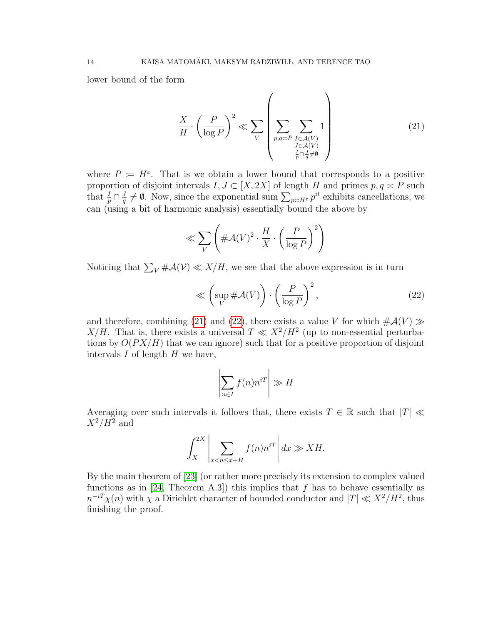lower bound of the form

<span id="page-13-0"></span>
$$
\frac{X}{H} \cdot \left(\frac{P}{\log P}\right)^2 \ll \sum_{V} \left(\sum_{\substack{p,q \asymp P \\ f \in \mathcal{A}(V) \\ \frac{I}{p} \cap \frac{I}{q} \neq \emptyset}} 1\right)
$$
\n(21)

where  $P := H^{\varepsilon}$ . That is we obtain a lower bound that corresponds to a positive proportion of disjoint intervals  $I, J \subset [X, 2X]$  of length H and primes  $p, q \geq P$  such that  $\frac{I}{p} \cap \frac{J}{q}$  $\frac{J}{q} \neq \emptyset$ . Now, since the exponential sum  $\sum_{p \asymp H^{\varepsilon}} p^{it}$  exhibits cancellations, we can (using a bit of harmonic analysis) essentially bound the above by

$$
\ll \sum_{V} \left( \# \mathcal{A}(V)^2 \cdot \frac{H}{X} \cdot \left( \frac{P}{\log P} \right)^2 \right)
$$

Noticing that  $\sum_{V} \#\mathcal{A}(V) \ll X/H$ , we see that the above expression is in turn

<span id="page-13-1"></span>
$$
\ll \left(\sup_{V} \# \mathcal{A}(V)\right) \cdot \left(\frac{P}{\log P}\right)^2,\tag{22}
$$

and therefore, combining [\(21\)](#page-13-0) and [\(22\)](#page-13-1), there exists a value V for which  $\#\mathcal{A}(V) \gg$ X/H. That is, there exists a universal  $T \ll X^2/H^2$  (up to non-essential perturbations by  $O(P X/H)$  that we can ignore) such that for a positive proportion of disjoint intervals  $I$  of length  $H$  we have,

$$
\left| \sum_{n \in I} f(n) n^{i} \right| \gg H
$$

Averaging over such intervals it follows that, there exists  $T \in \mathbb{R}$  such that  $|T| \ll$  $X^2/H^2$  and

$$
\int_X^{2X} \left| \sum_{x < n \le x + H} f(n) n^{iT} \right| dx \gg XH.
$$

By the main theorem of [\[23\]](#page-50-1) (or rather more precisely its extension to complex valued functions as in [\[24,](#page-50-2) Theorem A.3]) this implies that f has to behave essentially as  $n^{-iT}\chi(n)$  with  $\chi$  a Dirichlet character of bounded conductor and  $|T| \ll X^2/H^2$ , thus finishing the proof.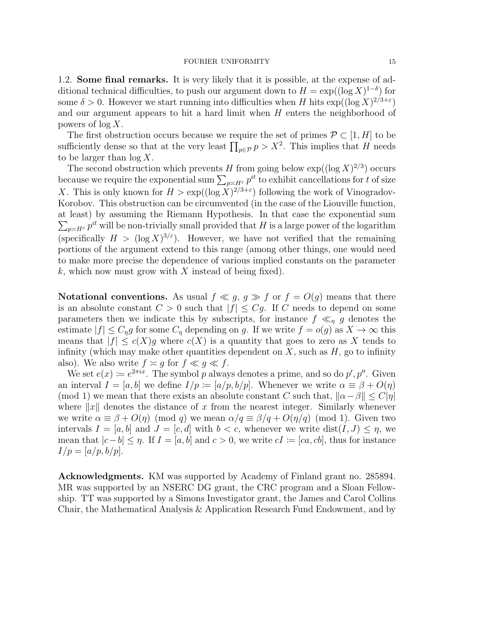1.2. Some final remarks. It is very likely that it is possible, at the expense of additional technical difficulties, to push our argument down to  $H = \exp((\log X)^{1-\delta})$  for some  $\delta > 0$ . However we start running into difficulties when H hits  $\exp((\log X)^{2/3+\epsilon})$ and our argument appears to hit a hard limit when  $H$  enters the neighborhood of powers of  $\log X$ .

The first obstruction occurs because we require the set of primes  $\mathcal{P} \subset [1, H]$  to be sufficiently dense so that at the very least  $\prod_{p \in \mathcal{P}} p > X^2$ . This implies that H needs to be larger than  $\log X$ .

The second obstruction which prevents H from going below  $\exp((\log X)^{2/3})$  occurs because we require the exponential sum  $\sum_{p \asymp H^{\varepsilon}} p^{it}$  to exhibit cancellations for t of size X. This is only known for  $H > \exp((\log X)^{2/3+\epsilon})$  following the work of Vinogradov-Korobov. This obstruction can be circumvented (in the case of the Liouville function, at least) by assuming the Riemann Hypothesis. In that case the exponential sum  $\sum_{p \asymp H^{\varepsilon}} p^{it}$  will be non-trivially small provided that H is a large power of the logarithm (specifically  $H > (\log X)^{3/\epsilon}$ ). However, we have not verified that the remaining portions of the argument extend to this range (among other things, one would need to make more precise the dependence of various implied constants on the parameter k, which now must grow with  $X$  instead of being fixed).

**Notational conventions.** As usual  $f \ll g$ ,  $g \gg f$  or  $f = O(g)$  means that there is an absolute constant  $C > 0$  such that  $|f| \leq Cg$ . If C needs to depend on some parameters then we indicate this by subscripts, for instance  $f \ll_{\eta} g$  denotes the estimate  $|f| \leq C_{\eta}g$  for some  $C_{\eta}$  depending on g. If we write  $f = o(g)$  as  $X \to \infty$  this means that  $|f| \le c(X)g$  where  $c(X)$  is a quantity that goes to zero as X tends to infinity (which may make other quantities dependent on  $X$ , such as  $H$ , go to infinity also). We also write  $f \approx g$  for  $f \ll g \ll f$ .

We set  $e(x) \coloneqq e^{2\pi ix}$ . The symbol p always denotes a prime, and so do p', p''. Given an interval  $I = [a, b]$  we define  $I/p := [a/p, b/p]$ . Whenever we write  $\alpha \equiv \beta + O(\eta)$ (mod 1) we mean that there exists an absolute constant C such that,  $\|\alpha-\beta\| \le C|\eta|$ where  $||x||$  denotes the distance of x from the nearest integer. Similarly whenever we write  $\alpha \equiv \beta + O(\eta) \pmod{q}$  we mean  $\alpha/q \equiv \beta/q + O(\eta/q) \pmod{1}$ . Given two intervals  $I = [a, b]$  and  $J = [c, d]$  with  $b < c$ , whenever we write  $dist(I, J) \leq \eta$ , we mean that  $|c-b| \leq \eta$ . If  $I = [a, b]$  and  $c > 0$ , we write  $cI := [ca, cb]$ , thus for instance  $I/p = [a/p, b/p].$ 

Acknowledgments. KM was supported by Academy of Finland grant no. 285894. MR was supported by an NSERC DG grant, the CRC program and a Sloan Fellowship. TT was supported by a Simons Investigator grant, the James and Carol Collins Chair, the Mathematical Analysis & Application Research Fund Endowment, and by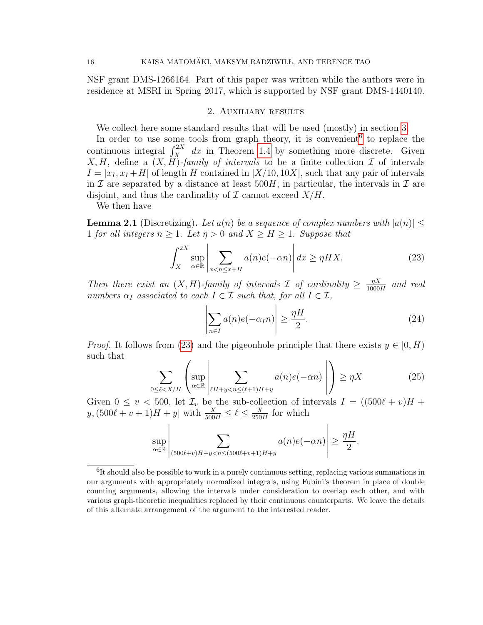NSF grant DMS-1266164. Part of this paper was written while the authors were in residence at MSRI in Spring 2017, which is supported by NSF grant DMS-1440140.

### 2. Auxiliary results

We collect here some standard results that will be used (mostly) in section [3.](#page-21-0)

In order to use some tools from graph theory, it is convenient<sup>[6](#page-15-0)</sup> to replace the continuous integral  $\int_X^{2X} dx$  in Theorem [1.4](#page-4-1) by something more discrete. Given X, H, define a  $(X, H)$ -family of intervals to be a finite collection  $\mathcal I$  of intervals  $I = [x_I, x_I + H]$  of length H contained in [X/10, 10X], such that any pair of intervals in I are separated by a distance at least  $500H$ ; in particular, the intervals in I are disjoint, and thus the cardinality of  $\mathcal I$  cannot exceed  $X/H$ .

We then have

 $\overline{1}$ 

<span id="page-15-4"></span>**Lemma 2.1** (Discretizing). Let  $a(n)$  be a sequence of complex numbers with  $|a(n)| \leq$ 1 for all integers  $n \geq 1$ . Let  $\eta > 0$  and  $X \geq H \geq 1$ . Suppose that

<span id="page-15-1"></span>
$$
\int_{X}^{2X} \sup_{\alpha \in \mathbb{R}} \left| \sum_{x < n \le x + H} a(n)e(-\alpha n) \right| dx \ge \eta H X. \tag{23}
$$

Then there exist an  $(X, H)$ -family of intervals  $\mathcal I$  of cardinality  $\geq \frac{\eta X}{1000}$  $\frac{\eta X}{1000H}$  and real numbers  $\alpha_I$  associated to each  $I \in \mathcal{I}$  such that, for all  $I \in \mathcal{I}$ ,

<span id="page-15-3"></span>
$$
\left| \sum_{n \in I} a(n)e(-\alpha_I n) \right| \ge \frac{\eta H}{2}.\tag{24}
$$

*Proof.* It follows from [\(23\)](#page-15-1) and the pigeonhole principle that there exists  $y \in [0, H)$ such that  $\overline{ }$ 

<span id="page-15-2"></span>
$$
\sum_{0 \le \ell < X/H} \left( \sup_{\alpha \in \mathbb{R}} \left| \sum_{\ell H + y < n \le (\ell+1)H + y} a(n)e(-\alpha n) \right| \right) \ge \eta X \tag{25}
$$

Given  $0 \le v < 500$ , let  $\mathcal{I}_v$  be the sub-collection of intervals  $I = ((500\ell + v)H +$  $y, (500\ell + v + 1)H + y]$  with  $\frac{X}{500H} \le \ell \le \frac{X}{250}$  $\frac{X}{250H}$  for which

$$
\sup_{\alpha \in \mathbb{R}} \left| \sum_{(500\ell+v)H+y < n \le (500\ell+v+1)H+y} a(n)e(-\alpha n) \right| \ge \frac{\eta H}{2}.
$$

<span id="page-15-0"></span><sup>&</sup>lt;sup>6</sup>It should also be possible to work in a purely continuous setting, replacing various summations in our arguments with appropriately normalized integrals, using Fubini's theorem in place of double counting arguments, allowing the intervals under consideration to overlap each other, and with various graph-theoretic inequalities replaced by their continuous counterparts. We leave the details of this alternate arrangement of the argument to the interested reader.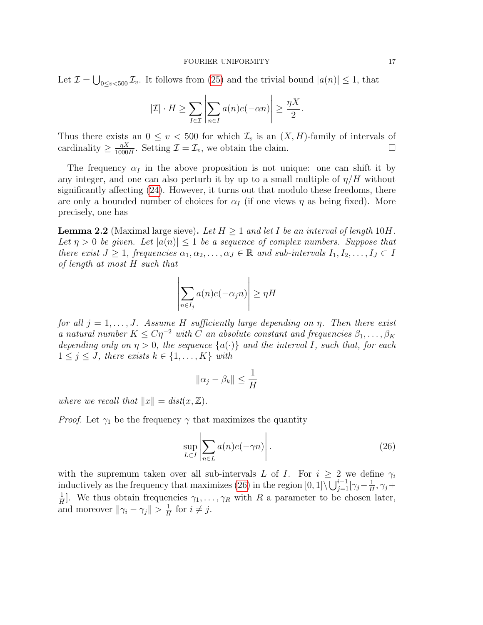Let  $\mathcal{I} = \bigcup_{0 \le v < 500} \mathcal{I}_v$ . It follows from [\(25\)](#page-15-2) and the trivial bound  $|a(n)| \le 1$ , that

$$
|\mathcal{I}| \cdot H \ge \sum_{I \in \mathcal{I}} \left| \sum_{n \in I} a(n)e(-\alpha n) \right| \ge \frac{\eta X}{2}.
$$

Thus there exists an  $0 \le v < 500$  for which  $\mathcal{I}_v$  is an  $(X, H)$ -family of intervals of cardinality  $\geq \frac{\eta X}{1000}$  $\frac{\eta X}{1000H}$ . Setting  $\mathcal{I} = \mathcal{I}_v$ , we obtain the claim.

The frequency  $\alpha_I$  in the above proposition is not unique: one can shift it by any integer, and one can also perturb it by up to a small multiple of  $\eta/H$  without significantly affecting [\(24\)](#page-15-3). However, it turns out that modulo these freedoms, there are only a bounded number of choices for  $\alpha_I$  (if one views  $\eta$  as being fixed). More precisely, one has

<span id="page-16-0"></span>**Lemma 2.2** (Maximal large sieve). Let  $H \geq 1$  and let I be an interval of length  $10H$ . Let  $\eta > 0$  be given. Let  $|a(n)| \leq 1$  be a sequence of complex numbers. Suppose that there exist  $J \geq 1$ , frequencies  $\alpha_1, \alpha_2, \ldots, \alpha_J \in \mathbb{R}$  and sub-intervals  $I_1, I_2, \ldots, I_J \subset I$ of length at most H such that

$$
\left| \sum_{n \in I_j} a(n) e(-\alpha_j n) \right| \ge \eta H
$$

for all  $j = 1, \ldots, J$ . Assume H sufficiently large depending on  $\eta$ . Then there exist a natural number  $K \leq C\eta^{-2}$  with C an absolute constant and frequencies  $\beta_1, \ldots, \beta_K$ depending only on  $\eta > 0$ , the sequence  $\{a(\cdot)\}\$  and the interval I, such that, for each  $1 \leq j \leq J$ , there exists  $k \in \{1, \ldots, K\}$  with

$$
\|\alpha_j-\beta_k\|\leq \frac{1}{H}
$$

where we recall that  $||x|| = dist(x, \mathbb{Z}).$ 

*Proof.* Let  $\gamma_1$  be the frequency  $\gamma$  that maximizes the quantity

<span id="page-16-1"></span>
$$
\sup_{L \subset I} \left| \sum_{n \in L} a(n)e(-\gamma n) \right|.
$$
 (26)

with the supremum taken over all sub-intervals L of I. For  $i \geq 2$  we define  $\gamma_i$ inductively as the frequency that maximizes [\(26\)](#page-16-1) in the region  $[0,1] \setminus \bigcup_{j=1}^{i-1} [\gamma_j - \frac{1}{H}]$  $\frac{1}{H}$ ,  $\gamma_j +$ 1  $\frac{1}{H}$ . We thus obtain frequencies  $\gamma_1, \ldots, \gamma_R$  with R a parameter to be chosen later, and moreover  $\|\gamma_i - \gamma_j\| > \frac{1}{H}$  $\frac{1}{H}$  for  $i \neq j$ .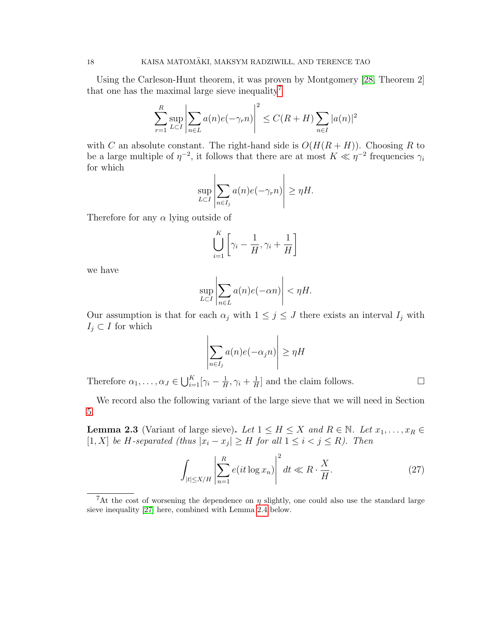Using the Carleson-Hunt theorem, it was proven by Montgomery [\[28,](#page-51-6) Theorem 2] that one has the maximal large sieve inequality<sup>[7](#page-17-0)</sup>

$$
\sum_{r=1}^{R} \sup_{L \subset I} \left| \sum_{n \in L} a(n) e(-\gamma_r n) \right|^2 \le C(R+H) \sum_{n \in I} |a(n)|^2
$$

with C an absolute constant. The right-hand side is  $O(H(R + H))$ . Choosing R to be a large multiple of  $\eta^{-2}$ , it follows that there are at most  $K \ll \eta^{-2}$  frequencies  $\gamma_i$ for which

$$
\sup_{L \subset I} \left| \sum_{n \in I_j} a(n) e(-\gamma_r n) \right| \ge \eta H.
$$

Therefore for any  $\alpha$  lying outside of

$$
\bigcup_{i=1}^K \left[ \gamma_i - \frac{1}{H}, \gamma_i + \frac{1}{H} \right]
$$

we have

$$
\sup_{L \subset I} \left| \sum_{n \in L} a(n)e(-\alpha n) \right| < \eta H.
$$

Our assumption is that for each  $\alpha_j$  with  $1 \leq j \leq J$  there exists an interval  $I_j$  with  $I_j \subset I$  for which

$$
\left| \sum_{n \in I_j} a(n) e(-\alpha_j n) \right| \ge \eta H
$$

Therefore  $\alpha_1, \ldots, \alpha_J \in \bigcup_{i=1}^K [\gamma_i - \frac{1}{H}]$  $\frac{1}{H}$ ,  $\gamma_i + \frac{1}{H}$  $\frac{1}{H}$  and the claim follows.

We record also the following variant of the large sieve that we will need in Section [5.](#page-38-0)

<span id="page-17-2"></span>**Lemma 2.3** (Variant of large sieve). Let  $1 \leq H \leq X$  and  $R \in \mathbb{N}$ . Let  $x_1, \ldots, x_R \in$ [1, X] be H-separated (thus  $|x_i - x_j| \geq H$  for all  $1 \leq i < j \leq R$ ). Then

<span id="page-17-1"></span>
$$
\int_{|t| \le X/H} \left| \sum_{n=1}^{R} e(it \log x_n) \right|^2 dt \ll R \cdot \frac{X}{H}.
$$
\n(27)

<span id="page-17-0"></span><sup>&</sup>lt;sup>7</sup>At the cost of worsening the dependence on  $\eta$  slightly, one could also use the standard large sieve inequality [\[27\]](#page-50-18) here, combined with Lemma [2.4](#page-18-0) below.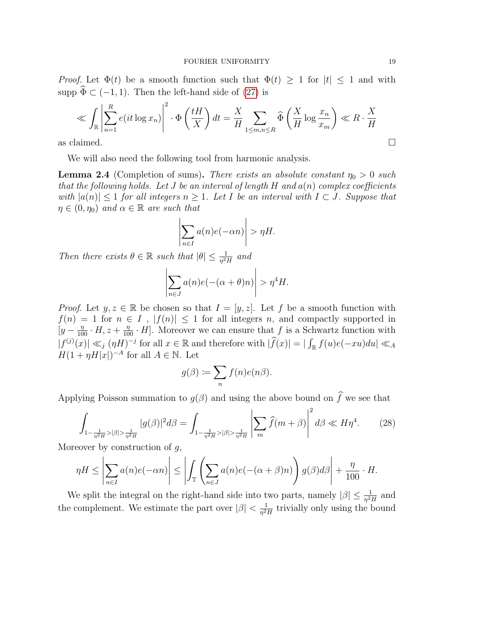*Proof.* Let  $\Phi(t)$  be a smooth function such that  $\Phi(t) \geq 1$  for  $|t| \leq 1$  and with supp  $\widehat{\Phi} \subset (-1, 1)$ . Then the left-hand side of [\(27\)](#page-17-1) is

$$
\ll \int_{\mathbb{R}} \left| \sum_{n=1}^{R} e(it \log x_n) \right|^2 \cdot \Phi\left(\frac{tH}{X}\right) dt = \frac{X}{H} \sum_{1 \leq m,n \leq R} \widehat{\Phi}\left(\frac{X}{H} \log \frac{x_n}{x_m}\right) \ll R \cdot \frac{X}{H}
$$
  
as claimed.

We will also need the following tool from harmonic analysis.

<span id="page-18-0"></span>**Lemma 2.4** (Completion of sums). There exists an absolute constant  $\eta_0 > 0$  such that the following holds. Let J be an interval of length H and  $a(n)$  complex coefficients with  $|a(n)| \leq 1$  for all integers  $n \geq 1$ . Let I be an interval with  $I \subset J$ . Suppose that  $\eta \in (0, \eta_0)$  and  $\alpha \in \mathbb{R}$  are such that

$$
\left|\sum_{n\in I} a(n)e(-\alpha n)\right| > \eta H.
$$

Then there exists  $\theta \in \mathbb{R}$  such that  $|\theta| \leq \frac{1}{\eta^2 H}$  and

$$
\left| \sum_{n \in J} a(n)e(-(\alpha + \theta)n) \right| > \eta^4 H.
$$

*Proof.* Let  $y, z \in \mathbb{R}$  be chosen so that  $I = [y, z]$ . Let f be a smooth function with  $f(n) = 1$  for  $n \in I$ ,  $|f(n)| \leq 1$  for all integers n, and compactly supported in  $[y-\frac{\eta}{100}\cdot H, z+\frac{\eta}{100}\cdot H]$ . Moreover we can ensure that f is a Schwartz function with  $|f^{(j)}(x)| \ll_j (\eta H)^{-j}$  for all  $x \in \mathbb{R}$  and therefore with  $|\widehat{f}(x)| = |\int_{\mathbb{R}} f(u)e(-xu)du| \ll_A$  $H(1 + \eta H|x|)^{-A}$  for all  $A \in \mathbb{N}$ . Let

$$
g(\beta) := \sum_{n} f(n)e(n\beta).
$$

Applying Poisson summation to  $g(\beta)$  and using the above bound on  $\widehat{f}$  we see that

<span id="page-18-1"></span>
$$
\int_{1-\frac{1}{\eta^2 H} > |\beta| > \frac{1}{\eta^2 H}} |g(\beta)|^2 d\beta = \int_{1-\frac{1}{\eta^2 H} > |\beta| > \frac{1}{\eta^2 H}} \left| \sum_m \widehat{f}(m+\beta) \right|^2 d\beta \ll H\eta^4. \tag{28}
$$

Moreover by construction of  $q$ ,

$$
\eta H \le \left| \sum_{n \in I} a(n) e(-\alpha n) \right| \le \left| \int_{\mathbb{T}} \left( \sum_{n \in J} a(n) e(-(\alpha + \beta)n) \right) g(\beta) d\beta \right| + \frac{\eta}{100} \cdot H.
$$

We split the integral on the right-hand side into two parts, namely  $|\beta| \leq \frac{1}{\eta^2 H}$  and the complement. We estimate the part over  $|\beta| < \frac{1}{n^2}$  $\frac{1}{\eta^2 H}$  trivially only using the bound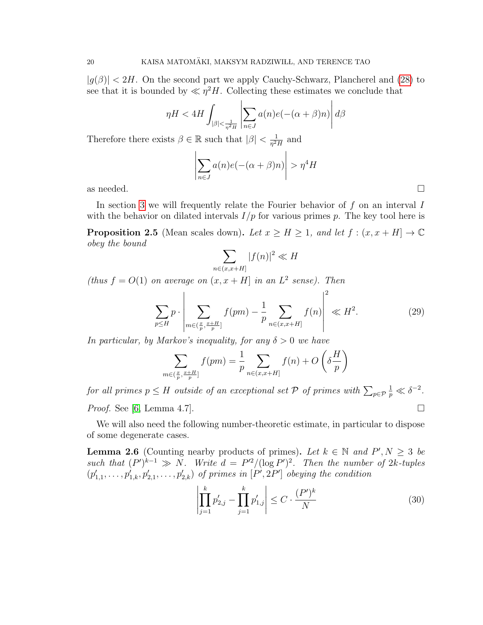$|g(\beta)| < 2H$ . On the second part we apply Cauchy-Schwarz, Plancherel and [\(28\)](#page-18-1) to see that it is bounded by  $\ll \eta^2 H$ . Collecting these estimates we conclude that

$$
\eta H < 4H \int_{|\beta| < \frac{1}{\eta^2 H}} \left| \sum_{n \in J} a(n) e(-(\alpha + \beta)n) \right| d\beta
$$

Therefore there exists  $\beta \in \mathbb{R}$  such that  $|\beta| < \frac{1}{n^2}$  $\frac{1}{\eta^2 H}$  and

$$
\left| \sum_{n \in J} a(n) e(-(\alpha + \beta)n) \right| > \eta^4 H
$$
 as needed.

In section [3](#page-21-0) we will frequently relate the Fourier behavior of  $f$  on an interval  $I$ with the behavior on dilated intervals  $I/p$  for various primes p. The key tool here is

<span id="page-19-0"></span>**Proposition 2.5** (Mean scales down). Let  $x \geq H \geq 1$ , and let  $f : (x, x + H] \to \mathbb{C}$ obey the bound

$$
\sum_{n \in (x, x+H]} |f(n)|^2 \ll H
$$

(thus  $f = O(1)$  on average on  $(x, x + H)$  in an  $L^2$  sense). Then

$$
\sum_{p\leq H} p \cdot \left| \sum_{m \in (\frac{x}{p}, \frac{x+H}{p}]} f(pm) - \frac{1}{p} \sum_{n \in (x, x+H]} f(n) \right|^2 \ll H^2.
$$
 (29)

In particular, by Markov's inequality, for any  $\delta > 0$  we have

$$
\sum_{m \in (\frac{x}{p}, \frac{x+H}{p}]} f (pm) = \frac{1}{p} \sum_{n \in (x, x+H]} f(n) + O\left(\delta \frac{H}{p}\right)
$$

for all primes  $p \leq H$  outside of an exceptional set  ${\mathcal P}$  of primes with  $\sum_{p \in {\mathcal P}}$  $\frac{1}{p} \ll \delta^{-2}$ . *Proof.* See [\[6,](#page-50-17) Lemma 4.7].

We will also need the following number-theoretic estimate, in particular to dispose of some degenerate cases.

<span id="page-19-2"></span>**Lemma 2.6** (Counting nearby products of primes). Let  $k \in \mathbb{N}$  and  $P', N \geq 3$  be such that  $(P')^{k-1} \gg N$ . Write  $d = P'^2/(\log P')^2$ . Then the number of 2k-tuples  $(p'_{1,1},\ldots,p'_{1,k},p'_{2,1},\ldots,p'_{2,k})$  of primes in  $[P',2P']$  obeying the condition

<span id="page-19-1"></span>
$$
\left| \prod_{j=1}^{k} p'_{2,j} - \prod_{j=1}^{k} p'_{1,j} \right| \leq C \cdot \frac{(P')^{k}}{N}
$$
\n(30)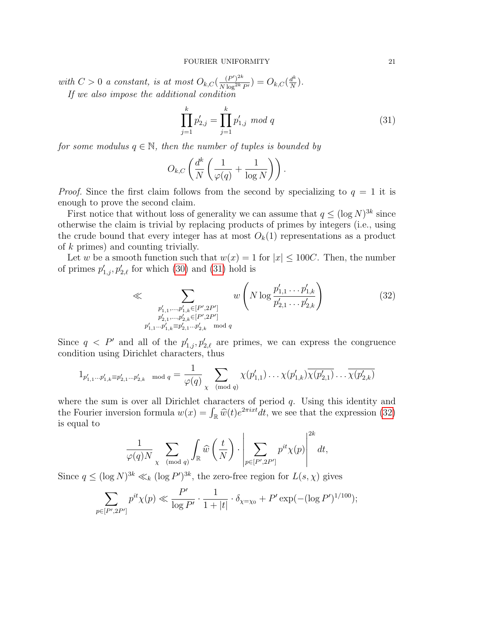with  $C > 0$  a constant, is at most  $O_{k, C}(\frac{(P')^{2k}}{N \log^{2k}})$  $\frac{(P')^{2k}}{N\log^{2k}P'} ) = O_{k,C}(\frac{d^k}{N})$  $\frac{d^n}{N}$ ). If we also impose the additional condition

<span id="page-20-0"></span>
$$
\prod_{j=1}^{k} p'_{2,j} = \prod_{j=1}^{k} p'_{1,j} \mod q \tag{31}
$$

for some modulus  $q \in \mathbb{N}$ , then the number of tuples is bounded by

$$
O_{k,C}\left(\frac{d^k}{N}\left(\frac{1}{\varphi(q)}+\frac{1}{\log N}\right)\right).
$$

*Proof.* Since the first claim follows from the second by specializing to  $q = 1$  it is enough to prove the second claim.

First notice that without loss of generality we can assume that  $q \leq (\log N)^{3k}$  since otherwise the claim is trivial by replacing products of primes by integers (i.e., using the crude bound that every integer has at most  $O_k(1)$  representations as a product of k primes) and counting trivially.

Let w be a smooth function such that  $w(x) = 1$  for  $|x| \leq 100C$ . Then, the number of primes  $p'_{1,j}, p'_{2,\ell}$  for which [\(30\)](#page-19-1) and [\(31\)](#page-20-0) hold is

<span id="page-20-1"></span>
$$
\ll \sum_{\substack{p'_{1,1},\ldots,p'_{1,k} \in [P',2P'] \\ p'_{2,1},\ldots,p'_{2,k} \in [P',2P'] \\ p'_{1,1}\ldots p'_{1,k} \equiv p'_{2,1}\ldots p'_{2,k} \mod q}} w\left(N \log \frac{p'_{1,1}\ldots p'_{1,k}}{p'_{2,1}\ldots p'_{2,k}}\right)
$$
(32)

Since  $q \leq P'$  and all of the  $p'_{1,j}, p'_{2,\ell}$  are primes, we can express the congruence condition using Dirichlet characters, thus

$$
1_{p'_{1,1}\dots p'_{1,k}} \equiv p'_{2,1}\dots p'_{2,k} \mod q = \frac{1}{\varphi(q)} \sum_{\chi \pmod{q}} \chi(p'_{1,1})\dots \chi(p'_{1,k}) \overline{\chi(p'_{2,1})} \dots \overline{\chi(p'_{2,k})}
$$

where the sum is over all Dirichlet characters of period  $q$ . Using this identity and the Fourier inversion formula  $w(x) = \int_{\mathbb{R}} \widehat{w}(t)e^{2\pi ixt}dt$ , we see that the expression [\(32\)](#page-20-1) is equal to is equal to

$$
\frac{1}{\varphi(q)N} \sum_{\chi \pmod{q}} \int_{\mathbb{R}} \widehat{w}\left(\frac{t}{N}\right) \cdot \left|\sum_{p \in [P',2P']} p^{it} \chi(p)\right|^{2k} dt,
$$

Since  $q \leq (\log N)^{3k} \ll_k (\log P')^{3k}$ , the zero-free region for  $L(s, \chi)$  gives

$$
\sum_{p \in [P',2P']} p^{it} \chi(p) \ll \frac{P'}{\log P'} \cdot \frac{1}{1+|t|} \cdot \delta_{\chi=\chi_0} + P' \exp(-(\log P')^{1/100});
$$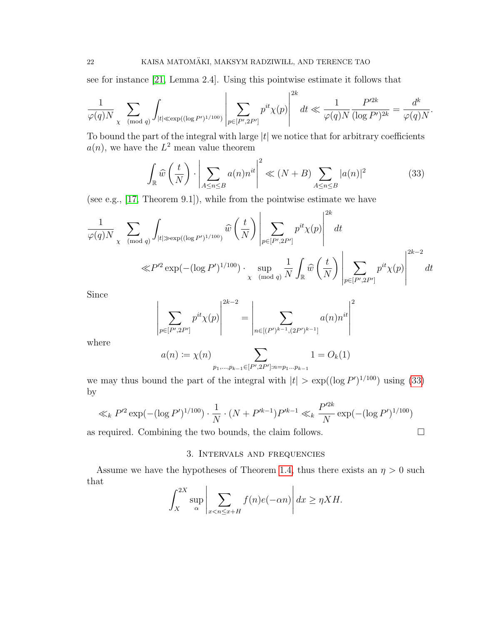see for instance [\[21,](#page-50-19) Lemma 2.4]. Using this pointwise estimate it follows that

 $\mathbf{r}$ 

$$
\frac{1}{\varphi(q)N} \sum_{\chi \pmod{q}} \int_{|t| \ll \exp((\log P')^{1/100})} \left| \sum_{p \in [P',2P']} p^{it} \chi(p) \right|^{2k} dt \ll \frac{1}{\varphi(q)N} \frac{P'^{2k}}{(\log P')^{2k}} = \frac{d^k}{\varphi(q)N}.
$$

To bound the part of the integral with large  $|t|$  we notice that for arbitrary coefficients  $a(n)$ , we have the  $L^2$  mean value theorem

<span id="page-21-1"></span>
$$
\int_{\mathbb{R}} \widehat{w}\left(\frac{t}{N}\right) \cdot \left| \sum_{A \le n \le B} a(n)n^{it} \right|^2 \ll (N+B) \sum_{A \le n \le B} |a(n)|^2 \tag{33}
$$

(see e.g., [\[17,](#page-50-20) Theorem 9.1]), while from the pointwise estimate we have

$$
\frac{1}{\varphi(q)N} \sum_{\chi \pmod{q}} \int_{|t| \gg \exp((\log P')^{1/100})} \widehat{w}\left(\frac{t}{N}\right) \left| \sum_{p \in [P',2P']} p^{it} \chi(p) \right|^{2k} dt
$$
  

$$
\ll P'^2 \exp(-( \log P')^{1/100}) \cdot \sup_{\chi \pmod{q}} \frac{1}{N} \int_{\mathbb{R}} \widehat{w}\left(\frac{t}{N}\right) \left| \sum_{p \in [P',2P']} p^{it} \chi(p) \right|^{2k-2} dt
$$

Since

$$
\left| \sum_{p \in [P', 2P']} p^{it} \chi(p) \right|^{2k-2} = \left| \sum_{n \in [(P')^{k-1}, (2P')^{k-1}]} a(n) n^{it} \right|^2
$$

where

$$
a(n) := \chi(n) \sum_{p_1, \dots, p_{k-1} \in [P', 2P'] : n = p_1 \dots p_{k-1}} 1 = O_k(1)
$$

we may thus bound the part of the integral with  $|t| > \exp((\log P')^{1/100})$  using [\(33\)](#page-21-1) by

$$
\ll_k P'^2 \exp(-(\log P')^{1/100}) \cdot \frac{1}{N} \cdot (N + P'^{k-1}) P'^{k-1} \ll_k \frac{P'^{2k}}{N} \exp(-(\log P')^{1/100})
$$

<span id="page-21-0"></span>as required. Combining the two bounds, the claim follows.  $\Box$ 

## 3. Intervals and frequencies

Assume we have the hypotheses of Theorem [1.4,](#page-4-1) thus there exists an  $\eta > 0$  such that

$$
\int_{X}^{2X} \sup_{\alpha} \left| \sum_{x < n \le x + H} f(n)e(-\alpha n) \right| dx \ge \eta X H.
$$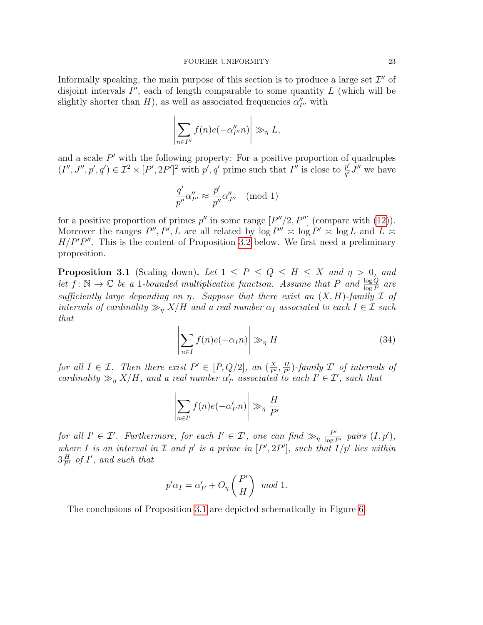Informally speaking, the main purpose of this section is to produce a large set  $\mathcal{I}''$  of disjoint intervals  $I''$ , each of length comparable to some quantity  $L$  (which will be slightly shorter than  $H$ ), as well as associated frequencies  $\alpha''_{I''}$  with

$$
\left|\sum_{n\in I''} f(n)e(-\alpha''_{I''}n)\right| \gg_{\eta} L,
$$

and a scale  $P'$  with the following property: For a positive proportion of quadruples  $(I'', J'', p', q') \in \mathcal{I}^2 \times [P', 2P']^2$  with  $p', q'$  prime such that  $I''$  is close to  $\frac{p'}{q'}$  $\frac{p'}{q'}J''$  we have

$$
\frac{q'}{p''}\alpha''_{I''}\approx \frac{p'}{p''}\alpha''_{J''} \pmod 1
$$

for a positive proportion of primes  $p''$  in some range  $[P''/2, P'']$  (compare with [\(12\)](#page-8-2)). Moreover the ranges  $P'', P', L$  are all related by  $\log P'' \approx \log P' \approx \log L$  and  $L \approx$  $H/P'P''$ . This is the content of Proposition [3.2](#page-25-0) below. We first need a preliminary proposition.

<span id="page-22-0"></span>**Proposition 3.1** (Scaling down). Let  $1 \le P \le Q \le H \le X$  and  $\eta > 0$ , and let  $f: \mathbb{N} \to \mathbb{C}$  be a 1-bounded multiplicative function. Assume that P and  $\frac{\log Q}{\log P}$  are sufficiently large depending on  $\eta$ . Suppose that there exist an  $(X, H)$ -family  $\mathcal I$  of intervals of cardinality  $\gg_{\eta} X/H$  and a real number  $\alpha_I$  associated to each  $I \in \mathcal{I}$  such that

$$
\left| \sum_{n \in I} f(n) e(-\alpha_I n) \right| \gg_{\eta} H \tag{34}
$$

for all  $I \in \mathcal{I}$ . Then there exist  $P' \in [P, Q/2]$ , an  $\left(\frac{X}{P'}\right)$  $\frac{X}{P'}, \frac{H}{P'}$ )-family  $\mathcal{I}'$  of intervals of cardinality  $\gg_{\eta} X/H$ , and a real number  $\alpha'_{I'}$  associated to each  $I' \in \mathcal{I}'$ , such that

$$
\left|\sum_{n\in I'} f(n)e(-\alpha'_{I'}n)\right| \gg_{\eta} \frac{H}{P'}
$$

for all  $I' \in \mathcal{I}'$ . Furthermore, for each  $I' \in \mathcal{I}'$ , one can find  $\gg_{\eta} \frac{P'}{\log P'}$  pairs  $(I, p')$ , where I is an interval in  $\mathcal I$  and  $p'$  is a prime in  $[P', 2P']$ , such that  $I/p'$  lies within  $3\frac{H}{P'}$  of I', and such that

$$
p'\alpha_I = \alpha'_{I'} + O_{\eta}\left(\frac{P'}{H}\right) \mod 1.
$$

The conclusions of Proposition [3.1](#page-22-0) are depicted schematically in Figure [6.](#page-23-0)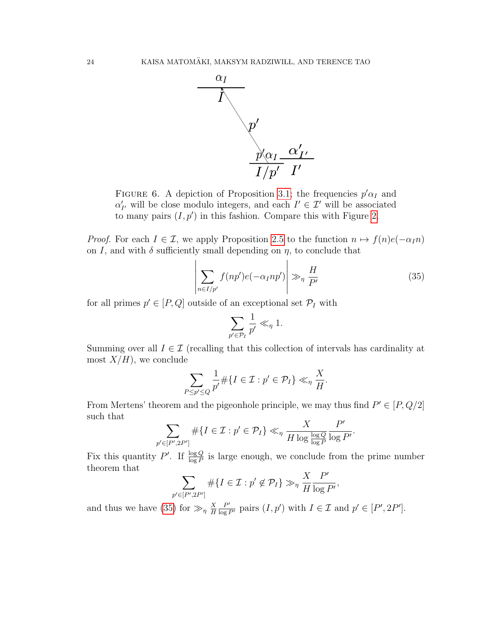<span id="page-23-0"></span>

FIGURE 6. A depiction of Proposition [3.1;](#page-22-0) the frequencies  $p' \alpha_I$  and  $\alpha'_{I'}$  will be close modulo integers, and each  $I' \in \mathcal{I}'$  will be associated to many pairs  $(I, p')$  in this fashion. Compare this with Figure [2.](#page-7-0)

*Proof.* For each  $I \in \mathcal{I}$ , we apply Proposition [2.5](#page-19-0) to the function  $n \mapsto f(n)e(-\alpha_I n)$ on I, and with  $\delta$  sufficiently small depending on  $\eta$ , to conclude that

<span id="page-23-1"></span>
$$
\left| \sum_{n \in I/p'} f(np')e(-\alpha_I np') \right| \gg_{\eta} \frac{H}{P'} \tag{35}
$$

for all primes  $p' \in [P, Q]$  outside of an exceptional set  $\mathcal{P}_I$  with

$$
\sum_{p' \in \mathcal{P}_I} \frac{1}{p'} \ll_{\eta} 1.
$$

Summing over all  $I \in \mathcal{I}$  (recalling that this collection of intervals has cardinality at most  $X/H$ , we conclude

$$
\sum_{P \le p' \le Q} \frac{1}{p'} \# \{ I \in \mathcal{I} : p' \in \mathcal{P}_I \} \ll_\eta \frac{X}{H}.
$$

From Mertens' theorem and the pigeonhole principle, we may thus find  $P' \in [P, Q/2]$ such that

$$
\sum_{p' \in [P', 2P']} \# \{I \in \mathcal{I} : p' \in \mathcal{P}_I\} \ll_\eta \frac{X}{H \log \frac{\log Q}{\log P}} \frac{P'}{\log P'}.
$$

Fix this quantity P'. If  $\frac{\log Q}{\log P}$  is large enough, we conclude from the prime number theorem that

$$
\sum_{p' \in [P', 2P']} \# \{ I \in \mathcal{I} : p' \notin \mathcal{P}_I \} \gg_{\eta} \frac{X}{H} \frac{P'}{\log P'},
$$

and thus we have [\(35\)](#page-23-1) for  $\gg_{\eta} \frac{X}{H}$ H  $\frac{P'}{\log P'}$  pairs  $(I, p')$  with  $I \in \mathcal{I}$  and  $p' \in [P', 2P']$ .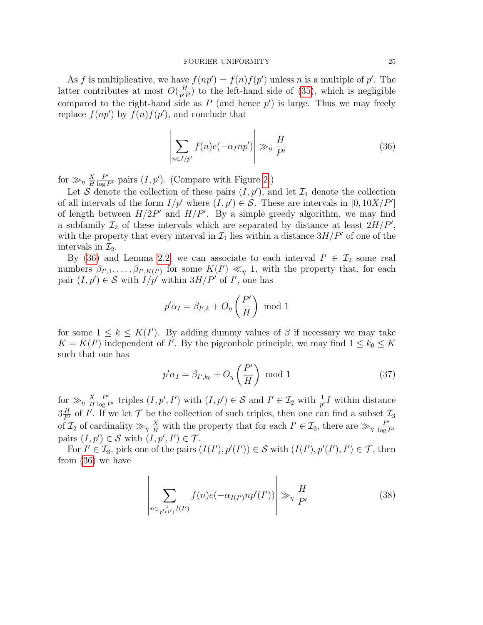As f is multiplicative, we have  $f(np') = f(n)f(p')$  unless n is a multiple of p'. The latter contributes at most  $O(\frac{H}{n^{\prime}})$  $\frac{H}{p'}P$  to the left-hand side of [\(35\)](#page-23-1), which is negligible compared to the right-hand side as  $P$  (and hence  $p'$ ) is large. Thus we may freely replace  $f(np')$  by  $f(n)f(p')$ , and conclude that

<span id="page-24-0"></span>
$$
\left| \sum_{n \in I/p'} f(n) e(-\alpha_I n p') \right| \gg_{\eta} \frac{H}{P'} \tag{36}
$$

for  $\gg_\eta \frac{X}{H}$ H  $\frac{P'}{\log P'}$  pairs  $(I, p')$ . (Compare with Figure [2.](#page-7-0))

Let S denote the collection of these pairs  $(I, p')$ , and let  $\mathcal{I}_1$  denote the collection of all intervals of the form  $I/p'$  where  $(I, p') \in S$ . These are intervals in [0, 10X/P'] of length between  $H/2P'$  and  $H/P'$ . By a simple greedy algorithm, we may find a subfamily  $\mathcal{I}_2$  of these intervals which are separated by distance at least  $2H/P'$ , with the property that every interval in  $\mathcal{I}_1$  lies within a distance  $3H/P'$  of one of the intervals in  $\mathcal{I}_2$ .

By [\(36\)](#page-24-0) and Lemma [2.2,](#page-16-0) we can associate to each interval  $I' \in \mathcal{I}_2$  some real numbers  $\beta_{I',1}, \ldots, \beta_{I',K(I')}$  for some  $K(I') \ll_{\eta} 1$ , with the property that, for each pair  $(I, p') \in S$  with  $I/p'$  within  $3H/P'$  of I', one has

$$
p'\alpha_I = \beta_{I',k} + O_\eta\left(\frac{P'}{H}\right) \text{ mod } 1
$$

for some  $1 \leq k \leq K(I')$ . By adding dummy values of  $\beta$  if necessary we may take  $K = K(I')$  independent of I'. By the pigeonhole principle, we may find  $1 \leq k_0 \leq K$ such that one has

<span id="page-24-1"></span>
$$
p'\alpha_I = \beta_{I',k_0} + O_\eta\left(\frac{P'}{H}\right) \text{ mod } 1 \tag{37}
$$

for  $\gg_\eta \frac{X}{H}$ H  $\frac{P'}{\log P'}$  triples  $(I, p', I')$  with  $(I, p') \in S$  and  $I' \in \mathcal{I}_2$  with  $\frac{1}{p'}I$  within distance  $3\frac{H}{P'}$  of I'. If we let  $\mathcal T$  be the collection of such triples, then one can find a subset  $\mathcal I_3$ of  $\mathcal{I}_2$  of cardinality  $\gg_{\eta} \frac{X}{H}$  with the property that for each  $I' \in \mathcal{I}_3$ , there are  $\gg_{\eta} \frac{P'}{\log I}$  $\overline{\log P'}$ pairs  $(I, p') \in S$  with  $(I, p', I') \in T$ .

For  $I' \in \mathcal{I}_3$ , pick one of the pairs  $(I(I'), p'(I')) \in \mathcal{S}$  with  $(I(I'), p'(I'), I') \in \mathcal{T}$ , then from [\(36\)](#page-24-0) we have

<span id="page-24-2"></span>
$$
\left| \sum_{n \in \frac{1}{p'(I')} I(I')} f(n) e(-\alpha_{I(I')} np'(I')) \right| \gg_{\eta} \frac{H}{P'} \tag{38}
$$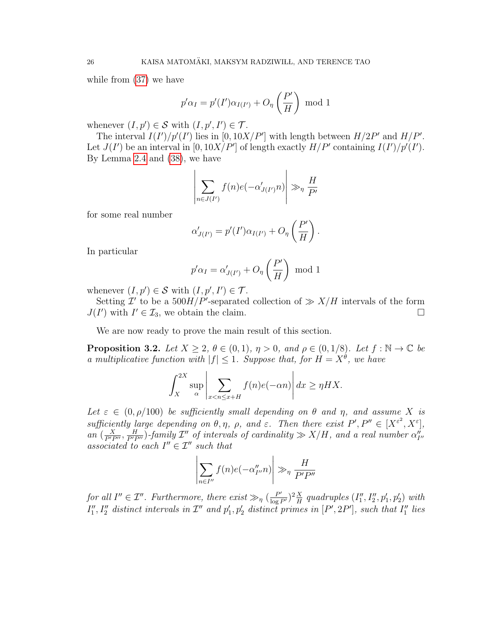while from [\(37\)](#page-24-1) we have

$$
p'\alpha_I = p'(I')\alpha_{I(I')} + O_\eta\left(\frac{P'}{H}\right) \text{ mod } 1
$$

whenever  $(I, p') \in S$  with  $(I, p', I') \in T$ .

The interval  $I(I')/p'(I')$  lies in [0, 10X/P'] with length between  $H/2P'$  and  $H/P'$ . Let  $J(I')$  be an interval in [0, 10X/P'] of length exactly  $H/P'$  containing  $I(I')/p'(I')$ . By Lemma [2.4](#page-18-0) and [\(38\)](#page-24-2), we have

$$
\left| \sum_{n \in J(I')} f(n) e(-\alpha'_{J(I')}n) \right| \gg_{\eta} \frac{H}{P'}
$$

for some real number

$$
\alpha'_{J(I')} = p'(I')\alpha_{I(I')} + O_{\eta}\left(\frac{P'}{H}\right).
$$

In particular

$$
p'\alpha_I = \alpha'_{J(I')} + O_\eta\left(\frac{P'}{H}\right) \text{ mod } 1
$$

whenever  $(I, p') \in S$  with  $(I, p', I') \in T$ .

Setting  $\mathcal{I}'$  to be a  $500H/P'$ -separated collection of  $\gg X/H$  intervals of the form  $J(I')$  with  $I' \in \mathcal{I}_3$ , we obtain the claim.

We are now ready to prove the main result of this section.

<span id="page-25-0"></span>**Proposition 3.2.** Let  $X \geq 2$ ,  $\theta \in (0,1)$ ,  $\eta > 0$ , and  $\rho \in (0,1/8)$ . Let  $f : \mathbb{N} \to \mathbb{C}$  be a multiplicative function with  $|f| \leq 1$ . Suppose that, for  $H = X^{\theta}$ , we have

$$
\int_{X}^{2X} \sup_{\alpha} \left| \sum_{x < n \le x+H} f(n)e(-\alpha n) \right| dx \ge \eta H X.
$$

Let  $\varepsilon \in (0, \rho/100)$  be sufficiently small depending on  $\theta$  and  $\eta$ , and assume X is sufficiently large depending on  $\theta, \eta$ ,  $\rho$ , and  $\varepsilon$ . Then there exist  $P', P'' \in [X^{\varepsilon^2}, X^{\varepsilon}],$ an  $(\frac{X}{P'P''}, \frac{H}{P'P''})$ -family  $\mathcal{I}''$  of intervals of cardinality  $\gg X/H$ , and a real number  $\alpha''_{I''}$ associated to each  $I'' \in \mathcal{I}''$  such that

$$
\left|\sum_{n\in I''} f(n)e(-\alpha''_{I''}n)\right| \gg_{\eta} \frac{H}{P'P''}
$$

for all  $I'' \in \mathcal{I}''$ . Furthermore, there exist  $\gg_{\eta} (\frac{P'}{\log P'})^2 \frac{X}{H}$  $\frac{X}{H}$  quadruples  $(I''_1, I''_2, p'_1, p'_2)$  with  $I''_1, I''_2$  distinct intervals in  $\mathcal{I}''$  and  $p'_1, p'_2$  distinct primes in  $[P', 2P']$ , such that  $I''_1$  lies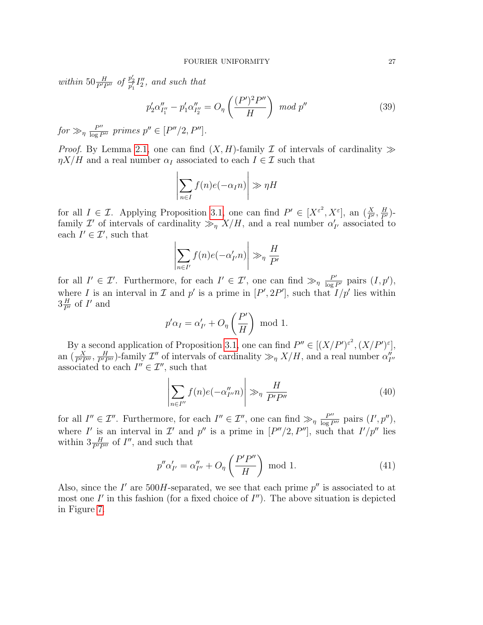within  $50 \frac{H}{P'P''}$  of  $\frac{p'_2}{p'_1} I''_2$ , and such that

$$
p_2' \alpha_{I_1''}'' - p_1' \alpha_{I_2''}'' = O_{\eta} \left( \frac{(P')^2 P''}{H} \right) \mod p'' \tag{39}
$$

 $for \gg_{\eta} \frac{P''}{\log P''}$  primes  $p'' \in [P''/2, P'']$ .

*Proof.* By Lemma [2.1,](#page-15-4) one can find  $(X, H)$ -family  $\mathcal I$  of intervals of cardinality  $\gg$  $\eta X/H$  and a real number  $\alpha_I$  associated to each  $I \in \mathcal{I}$  such that

$$
\left|\sum_{n\in I} f(n)e(-\alpha_I n)\right| \gg \eta H
$$

for all  $I \in \mathcal{I}$ . Applying Proposition [3.1,](#page-22-0) one can find  $P' \in [X^{\varepsilon^2}, X^{\varepsilon}]$ , an  $(\frac{X}{P'}, \frac{H}{P'})$ family  $\mathcal{I}'$  of intervals of cardinality  $\gg_{\eta} X/H$ , and a real number  $\alpha'_{I'}$  associated to each  $I' \in \mathcal{I}'$ , such that

$$
\left|\sum_{n\in I'} f(n)e(-\alpha'_{I'}n)\right| \gg_{\eta} \frac{H}{P'}
$$

for all  $I' \in \mathcal{I}'$ . Furthermore, for each  $I' \in \mathcal{I}'$ , one can find  $\gg_{\eta} \frac{P'}{\log P'}$  pairs  $(I, p')$ , where I is an interval in I and p' is a prime in  $[P', 2P']$ , such that  $I/p'$  lies within  $3\frac{H}{P'}$  of  $I'$  and

$$
p'\alpha_I = \alpha'_{I'} + O_{\eta}\left(\frac{P'}{H}\right) \text{ mod } 1.
$$

By a second application of Proposition [3.1,](#page-22-0) one can find  $P'' \in [(X/P')^{\varepsilon^2}, (X/P')^{\varepsilon}],$ an  $(\frac{X}{P'P''}, \frac{H}{P'P''})$ -family  $\mathcal{I}''$  of intervals of cardinality  $\gg_{\eta} X/H$ , and a real number  $\alpha''_{I''}$ associated to each  $I'' \in \mathcal{I}''$ , such that

<span id="page-26-1"></span>
$$
\left| \sum_{n \in I''} f(n) e(-\alpha''_{I''} n) \right| \gg_{\eta} \frac{H}{P' P''}
$$
\n(40)

for all  $I'' \in \mathcal{I}''$ . Furthermore, for each  $I'' \in \mathcal{I}''$ , one can find  $\gg_{\eta} \frac{P''}{\log P''}$  pairs  $(I', p'')$ , where I' is an interval in I' and p'' is a prime in  $[P''/2, P'']$ , such that  $I'/p''$  lies within  $3\frac{H}{P'P''}$  of  $I''$ , and such that

<span id="page-26-0"></span>
$$
p''\alpha'_{I'} = \alpha''_{I''} + O_{\eta}\left(\frac{P'P''}{H}\right) \text{ mod } 1.
$$
 (41)

Also, since the  $I'$  are 500H-separated, we see that each prime  $p''$  is associated to at most one  $I'$  in this fashion (for a fixed choice of  $I''$ ). The above situation is depicted in Figure [7.](#page-27-0)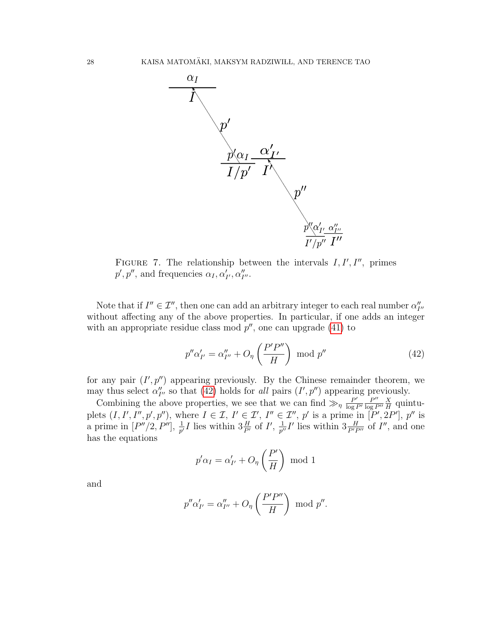<span id="page-27-0"></span>

FIGURE 7. The relationship between the intervals  $I, I', I''$ , primes  $p', p'',$  and frequencies  $\alpha_I, \alpha'_{I'}, \alpha''_{I''}.$ 

Note that if  $I'' \in \mathcal{I}''$ , then one can add an arbitrary integer to each real number  $\alpha''_{I''}$ without affecting any of the above properties. In particular, if one adds an integer with an appropriate residue class mod  $p''$ , one can upgrade [\(41\)](#page-26-0) to

<span id="page-27-1"></span>
$$
p''\alpha'_{I'} = \alpha''_{I''} + O_{\eta}\left(\frac{P'P''}{H}\right) \text{ mod } p''
$$
\n(42)

for any pair  $(I', p'')$  appearing previously. By the Chinese remainder theorem, we may thus select  $\alpha''_{I''}$  so that [\(42\)](#page-27-1) holds for all pairs  $(I', p'')$  appearing previously.

Combining the above properties, we see that we can find  $\gg_{\eta} \frac{P'}{\log P}$  $\overline{\log P'}$  $P^{\prime\prime}$  $\overline{\log P''}$ X  $\frac{X}{H}$  quintuplets  $(I, I', I'', p', p'')$ , where  $I \in \mathcal{I}, I' \in \mathcal{I}', I'' \in \mathcal{I}'', p'$  is a prime in  $[P', 2P'], p''$  is a prime in  $[P''/2, P'']$ ,  $\frac{1}{p'}I$  lies within  $3\frac{H}{P'}$  of  $I'$ ,  $\frac{1}{p'}$  $\frac{1}{p''}I'$  lies within  $3\frac{H}{P'P''}$  of  $I''$ , and one has the equations

$$
p'\alpha_I = \alpha'_{I'} + O_{\eta}\left(\frac{P'}{H}\right) \text{ mod } 1
$$

and

$$
p''\alpha'_{I'} = \alpha''_{I''} + O_{\eta}\left(\frac{P'P''}{H}\right) \text{ mod } p''.
$$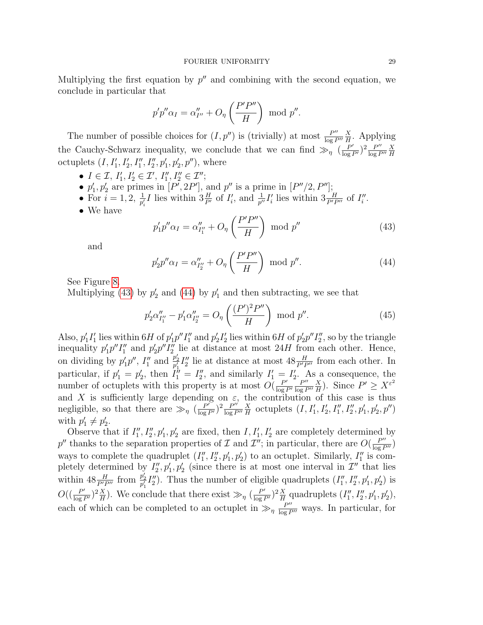Multiplying the first equation by  $p''$  and combining with the second equation, we conclude in particular that

$$
p'p''\alpha_I = \alpha''_{I''} + O_{\eta}\left(\frac{P'P''}{H}\right) \text{ mod } p''.
$$

The number of possible choices for  $(I, p'')$  is (trivially) at most  $\frac{P''}{\log P}$  $\overline{\log P''}$  $\overline{X}$  $\frac{X}{H}$ . Applying the Cauchy-Schwarz inequality, we conclude that we can find  $\gg_{\eta} (\frac{P'}{\log P'})^2 \frac{P''}{\log P}$  $\overline{\log P''}$ X H octuplets  $(I, I'_1, I'_2, I''_1, I''_2, p'_1, p'_2, p'')$ , where

- $I \in \mathcal{I}, I'_1, I'_2 \in \mathcal{I}', I''_1, I''_2 \in \mathcal{I}'';$
- $p'_1, p'_2$  are primes in  $[P', 2P']$ , and  $p''$  is a prime in  $[P''/2, P'']$ ;
- For  $i = 1, 2, \frac{1}{p'_i}I$  lies within  $3\frac{H}{P'}$  of  $I'_i$ , and  $\frac{1}{p''}I'_i$  lies within  $3\frac{H}{P'P''}$  of  $I''_i$ .
- We have

<span id="page-28-0"></span>
$$
p_1'p''\alpha_I = \alpha_{I_1''}'' + O_\eta\left(\frac{P'P''}{H}\right) \text{ mod } p''
$$
\n(43)

and

<span id="page-28-1"></span>
$$
p_2'p''\alpha_I = \alpha_{I_2''}'' + O_\eta\left(\frac{P'P''}{H}\right) \text{ mod } p''.
$$
\n(44)

See Figure [8.](#page-29-1)

Multiplying [\(43\)](#page-28-0) by  $p'_2$  and [\(44\)](#page-28-1) by  $p'_1$  and then subtracting, we see that

<span id="page-28-2"></span>
$$
p_2' \alpha_{I_1''}'' - p_1' \alpha_{I_2''}'' = O_\eta \left( \frac{(P')^2 P''}{H} \right) \text{ mod } p''.
$$
 (45)

Also,  $p'_1I'_1$  lies within  $6H$  of  $p'_1p''I''_1$  and  $p'_2I'_2$  lies within  $6H$  of  $p'_2p''I''_2$ , so by the triangle inequality  $p'_1 p'' I''_1$  and  $p'_2 p'' I''_2$  lie at distance at most 24H from each other. Hence, on dividing by  $p'_1p''$ ,  $I''_1$  and  $p'_2I''_2$  lie at distance at most  $48\frac{H}{P'P''}$  from each other. In particular, if  $p'_1 = p'_2$ , then  $I''_1 = I''_2$ , and similarly  $I'_1 = I'_2$ . As a consequence, the number of octuplets with this property is at most  $O(\frac{P'}{\log n})$  $\overline{\log P'}$  $P''$  $\overline{\log P''}$ X  $\frac{X}{H}$ ). Since  $P' \ge X^{\varepsilon^2}$ and X is sufficiently large depending on  $\varepsilon$ , the contribution of this case is thus negligible, so that there are  $\gg_{\eta} (\frac{P'}{\log P'})^2 \frac{P''}{\log P}$  $\overline{\log P}$  $\overline{X}$  $\frac{X}{H}$  octuplets  $(I, I'_1, I'_2, I''_1, I''_2, p'_1, p'_2, p'')$ with  $p'_1 \neq p'_2$ .

Observe that if  $I''_1, I''_2, p'_1, p'_2$  are fixed, then  $I, I'_1, I'_2$  are completely determined by p'' thanks to the separation properties of  $\mathcal I$  and  $\mathcal I''$ ; in particular, there are  $O(\frac{P''}{\log P''})$ ways to complete the quadruplet  $(I''_1, I''_2, p'_1, p'_2)$  to an octuplet. Similarly,  $I''_1$  is completely determined by  $I_2'', p_1', p_2'$  (since there is at most one interval in  $\mathcal{I}''$  that lies within  $48 \frac{H}{P'P''}$  from  $\frac{p'_2}{p'_1} I''_2$ ). Thus the number of eligible quadruplets  $(I''_1, I''_2, p'_1, p'_2)$  is  $O\left(\left(\frac{P'}{\log P'}\right)^2\frac{X}{H}\right)$  $\frac{X}{H}$ ). We conclude that there exist  $\gg_{\eta} (\frac{P'}{\log P'})^2 \frac{X}{H}$  $\frac{X}{H}$  quadruplets  $(I''_1, I''_2, p'_1, p'_2)$ , each of which can be completed to an octuplet in  $\gg_{\eta} \frac{P''}{\log P''}$  ways. In particular, for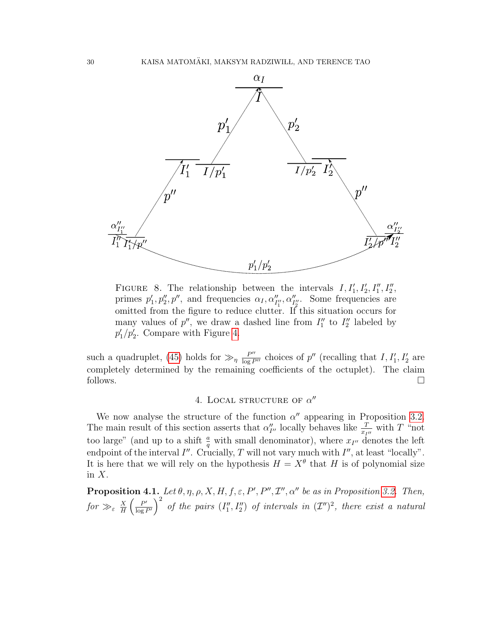<span id="page-29-1"></span>

FIGURE 8. The relationship between the intervals  $I, I'_1, I'_2, I''_1, I''_2,$ primes  $p'_1, p''_2, p''$ , and frequencies  $\alpha_I, \alpha''_{I''_1}, \alpha''_{I''_2}$ . Some frequencies are omitted from the figure to reduce clutter. If this situation occurs for many values of  $p''$ , we draw a dashed line from  $I''_1$  to  $I''_2$  labeled by  $p'_1/p'_2$ . Compare with Figure [4.](#page-9-0)

such a quadruplet, [\(45\)](#page-28-2) holds for  $\gg_{\eta} \frac{P''}{\log P''}$  choices of p'' (recalling that  $I, I'_1, I'_2$  are completely determined by the remaining coefficients of the octuplet). The claim follows.  $\square$ 

# 4. LOCAL STRUCTURE OF  $\alpha''$

<span id="page-29-0"></span>We now analyse the structure of the function  $\alpha''$  appearing in Proposition [3.2.](#page-25-0) The main result of this section asserts that  $\alpha''_{I''}$  locally behaves like  $\frac{T}{x_{I''}}$  with T "not too large" (and up to a shift  $\frac{a}{q}$  with small denominator), where  $x_{I''}$  denotes the left endpoint of the interval  $I''$ . Crucially, T will not vary much with  $I''$ , at least "locally". It is here that we will rely on the hypothesis  $H = X^{\theta}$  that H is of polynomial size in  $X$ .

<span id="page-29-2"></span>**Proposition 4.1.** Let  $\theta$ ,  $\eta$ ,  $\rho$ ,  $X$ ,  $H$ ,  $f$ ,  $\varepsilon$ ,  $P'$ ,  $P''$ ,  $\mathcal{I}''$ ,  $\alpha''$  be as in Proposition [3.2.](#page-25-0) Then, for  $\gg_{\varepsilon} \frac{X}{H}$  $\frac{X}{H}\left(\frac{P'}{\log h}\right)$  $\left(\frac{P'}{\log P'}\right)^2$  of the pairs  $(I''_1, I''_2)$  of intervals in  $(\mathcal{I}'')^2$ , there exist a natural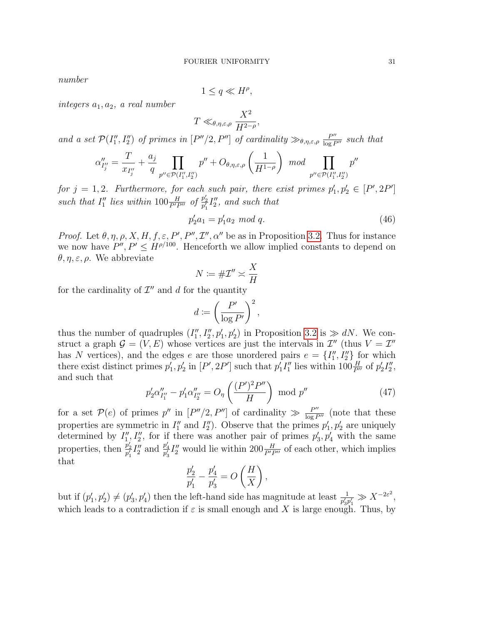number

$$
1 \le q \ll H^{\rho},
$$

integers  $a_1, a_2, a$  real number

$$
T \ll_{\theta, \eta, \varepsilon, \rho} \frac{X^2}{H^{2-\rho}},
$$

and a set  $\mathcal{P}(I''_1, I''_2)$  of primes in  $[P''/2, P'']$  of cardinality  $\gg_{\theta,\eta,\varepsilon,\rho} \frac{P''}{\log P''}$  such that

$$
\alpha''_{I''_j} = \frac{T}{x_{I''_j}} + \frac{a_j}{q} \prod_{p'' \in \mathcal{P}(I''_1, I''_2)} p'' + O_{\theta, \eta, \varepsilon, \rho} \left(\frac{1}{H^{1-\rho}}\right) \mod \prod_{p'' \in \mathcal{P}(I''_1, I''_2)} p
$$

for  $j = 1, 2$ . Furthermore, for each such pair, there exist primes  $p'_1, p'_2 \in [P', 2P']$ such that  $I''_1$  lies within  $100 \frac{H}{P'P''}$  of  $\frac{p'_2}{p'_1}I''_2$ , and such that

<span id="page-30-1"></span>
$$
p_2'a_1 = p_1'a_2 \mod q. \tag{46}
$$

*Proof.* Let  $\theta, \eta, \rho, X, H, f, \varepsilon, P', P'', T'', \alpha''$  be as in Proposition [3.2.](#page-25-0) Thus for instance we now have  $P'', P' \leq H^{\rho/100}$ . Henceforth we allow implied constants to depend on  $\theta, \eta, \varepsilon, \rho$ . We abbreviate

$$
N\coloneqq \#\mathcal{I}''\asymp \frac{X}{H}
$$

for the cardinality of  $\mathcal{I}''$  and d for the quantity

$$
d \coloneqq \left(\frac{P'}{\log P'}\right)^2,
$$

thus the number of quadruples  $(I''_1, I''_2, p'_1, p'_2)$  in Proposition [3.2](#page-25-0) is  $\gg dN$ . We construct a graph  $\mathcal{G} = (V, E)$  whose vertices are just the intervals in  $\mathcal{I}''$  (thus  $V = \mathcal{I}''$ has N vertices), and the edges e are those unordered pairs  $e = \{I''_1, I''_2\}$  for which there exist distinct primes  $p'_1, p'_2$  in  $[P', 2P']$  such that  $p'_1 I''_1$  lies within  $100 \frac{H}{P''}$  of  $p'_2 I''_2$ , and such that

<span id="page-30-0"></span>
$$
p_2' \alpha_{I_1''}'' - p_1' \alpha_{I_2''}'' = O_\eta \left(\frac{(P')^2 P''}{H}\right) \text{ mod } p''
$$
 (47)

for a set  $\mathcal{P}(e)$  of primes p'' in  $[P''/2, P'']$  of cardinality  $\gg \frac{P''}{\log P''}$  (note that these properties are symmetric in  $I_1''$  and  $I_2''$ ). Observe that the primes  $p'_1, p'_2$  are uniquely determined by  $I''_1, I''_2$ , for if there was another pair of primes  $p'_3, p'_4$  with the same properties, then  $\frac{p'_2}{p'_1} I''_2$  and  $\frac{p'_4}{p'_3} I''_2$  would lie within  $200 \frac{H}{P'P''}$  of each other, which implies that

$$
\frac{p'_2}{p'_1} - \frac{p'_4}{p'_3} = O\left(\frac{H}{X}\right),\,
$$

but if  $(p'_1, p'_2) \neq (p'_3, p'_4)$  then the left-hand side has magnitude at least  $\frac{1}{p'_3 p'_1} \gg X^{-2\varepsilon^2}$ , which leads to a contradiction if  $\varepsilon$  is small enough and X is large enough. Thus, by

 $\prime$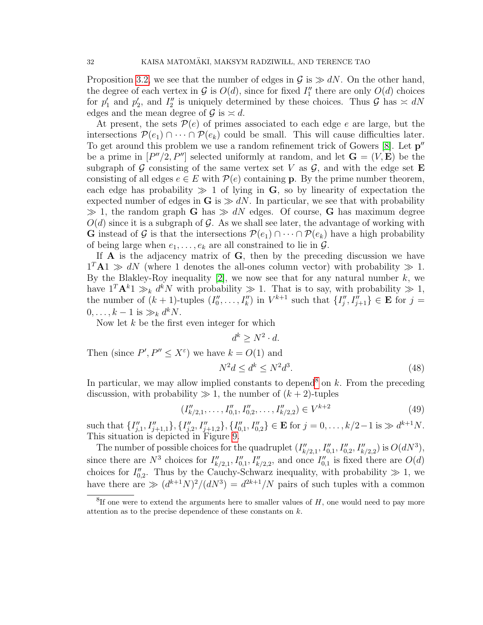Proposition [3.2,](#page-25-0) we see that the number of edges in  $\mathcal{G}$  is  $\gg dN$ . On the other hand, the degree of each vertex in  $\mathcal G$  is  $O(d)$ , since for fixed  $I''_1$  there are only  $O(d)$  choices for  $p'_1$  and  $p'_2$ , and  $I''_2$  is uniquely determined by these choices. Thus  $\mathcal G$  has  $\approx dN$ edges and the mean degree of  $\mathcal{G}$  is  $\approx d$ .

At present, the sets  $\mathcal{P}(e)$  of primes associated to each edge e are large, but the intersections  $\mathcal{P}(e_1) \cap \cdots \cap \mathcal{P}(e_k)$  could be small. This will cause difficulties later. To get around this problem we use a random refinement trick of Gowers  $[8]$ . Let  $p''$ be a prime in  $[P''/2, P'']$  selected uniformly at random, and let  $\mathbf{G} = (V, \mathbf{E})$  be the subgraph of G consisting of the same vertex set V as  $\mathcal{G}$ , and with the edge set E consisting of all edges  $e \in E$  with  $\mathcal{P}(e)$  containing **p**. By the prime number theorem, each edge has probability  $\gg 1$  of lying in G, so by linearity of expectation the expected number of edges in G is  $\gg dN$ . In particular, we see that with probability  $\gg 1$ , the random graph G has  $\gg dN$  edges. Of course, G has maximum degree  $O(d)$  since it is a subgraph of G. As we shall see later, the advantage of working with G instead of G is that the intersections  $\mathcal{P}(e_1) \cap \cdots \cap \mathcal{P}(e_k)$  have a high probability of being large when  $e_1, \ldots, e_k$  are all constrained to lie in  $\mathcal{G}$ .

If  $\bf{A}$  is the adjacency matrix of  $\bf{G}$ , then by the preceding discussion we have  $1^T A1 \gg dN$  (where 1 denotes the all-ones column vector) with probability  $\gg 1$ . By the Blakley-Roy inequality  $[2]$ , we now see that for any natural number k, we have  $1^T \mathbf{A}^k 1 \gg_k d^k N$  with probability  $\gg 1$ . That is to say, with probability  $\gg 1$ , the number of  $(k+1)$ -tuples  $(I''_0,\ldots,I''_k)$  in  $V^{k+1}$  such that  $\{I''_j,I''_{j+1}\}\in \mathbf{E}$  for  $j=$  $0, \ldots, k-1$  is  $\gg_k d^kN$ .

Now let  $k$  be the first even integer for which

 $d^k \geq N^2 \cdot d$ .

Then (since  $P', P'' \leq X^{\varepsilon}$ ) we have  $k = O(1)$  and

<span id="page-31-2"></span>
$$
N^2d \le d^k \le N^2d^3. \tag{48}
$$

In particular, we may allow implied constants to depend<sup>[8](#page-31-0)</sup> on  $k$ . From the preceding discussion, with probability  $\gg 1$ , the number of  $(k+2)$ -tuples

<span id="page-31-1"></span>
$$
(I''_{k/2,1},\ldots,I''_{0,1},I''_{0,2},\ldots,I''_{k/2,2}) \in V^{k+2}
$$
\n
$$
(49)
$$

such that  $\{I''_{j,1}, I''_{j+1,1}\}, \{I''_{j,2}, I''_{j+1,2}\}, \{I''_{0,1}, I''_{0,2}\} \in \mathbf{E}$  for  $j = 0, \ldots, k/2 - 1$  is  $\gg d^{k+1}N$ . This situation is depicted in Figure [9.](#page-32-0)

The number of possible choices for the quadruplet  $(I''_{k/2,1}, I''_{0,1}, I''_{0,2}, I''_{k/2,2})$  is  $O(dN^3)$ , since there are  $N^3$  choices for  $I''_{k/2,1}, I''_{0,1}, I''_{k/2,2}$ , and once  $I''_{0,1}$  is fixed there are  $O(d)$ choices for  $I''_{0,2}$ . Thus by the Cauchy-Schwarz inequality, with probability  $\gg 1$ , we have there are  $\gg (d^{k+1}N)^2/(dN^3) = d^{2k+1}/N$  pairs of such tuples with a common

<span id="page-31-0"></span> ${}^{8}$ If one were to extend the arguments here to smaller values of  $H$ , one would need to pay more attention as to the precise dependence of these constants on  $k$ .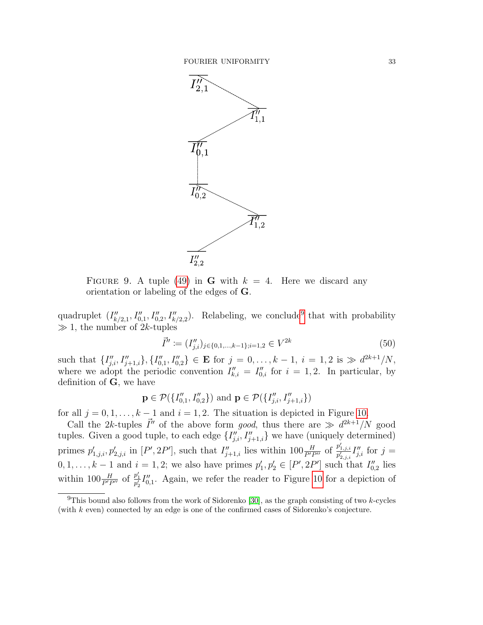<span id="page-32-0"></span>

FIGURE 9. A tuple [\(49\)](#page-31-1) in **G** with  $k = 4$ . Here we discard any orientation or labeling of the edges of G.

quadruplet  $(I''_{k/2,1}, I''_{0,1}, I''_{0,2}, I''_{k/2,2})$ . Relabeling, we conclude<sup>[9](#page-32-1)</sup> that with probability  $\gg 1$ , the number of 2k-tuples

<span id="page-32-2"></span>
$$
\vec{I}'' := (I''_{j,i})_{j \in \{0,1,\dots,k-1\}; i=1,2} \in V^{2k}
$$
\n(50)

such that  $\{I''_{j,i}, I''_{j+1,i}\}, \{I''_{0,1}, I''_{0,2}\} \in \mathbf{E}$  for  $j = 0, \ldots, k-1, i = 1, 2$  is  $\gg d^{2k+1}/N$ , where we adopt the periodic convention  $I_{k,i}'' = I_{0,i}''$  for  $i = 1, 2$ . In particular, by definition of **, we have** 

$$
\mathbf{p} \in \mathcal{P}(\{I''_{0,1}, I''_{0,2}\}) \text{ and } \mathbf{p} \in \mathcal{P}(\{I''_{j,i}, I''_{j+1,i}\})
$$

for all  $j = 0, 1, \ldots, k - 1$  and  $i = 1, 2$ . The situation is depicted in Figure [10.](#page-33-0)

Call the 2k-tuples  $\vec{I}''$  of the above form good, thus there are  $\gg d^{2k+1}/N$  good tuples. Given a good tuple, to each edge  $\{I''_{j,i}, I''_{j+1,i}\}$  we have (uniquely determined) primes  $p'_{1,j,i}, p'_{2,j,i}$  in  $[P', 2P']$ , such that  $I''_{j+1,i}$  lies within  $100 \frac{H}{P' P''}$  of  $\frac{p'_{1,j,i}}{p'_{2,j,i}} I''_{j,i}$  for  $j =$  $0, 1, \ldots, k-1$  and  $i = 1, 2$ ; we also have primes  $p'_1, p'_2 \in [P', 2P']$  such that  $I''_{0,2}$  lies within  $100 \frac{H}{P'P''}$  of  $\frac{p'_1}{p'_2} I''_{0,1}$ . Again, we refer the reader to Figure [10](#page-33-0) for a depiction of

<span id="page-32-1"></span><sup>&</sup>lt;sup>9</sup>This bound also follows from the work of Sidorenko [\[30\]](#page-51-7), as the graph consisting of two  $k$ -cycles (with k even) connected by an edge is one of the confirmed cases of Sidorenko's conjecture.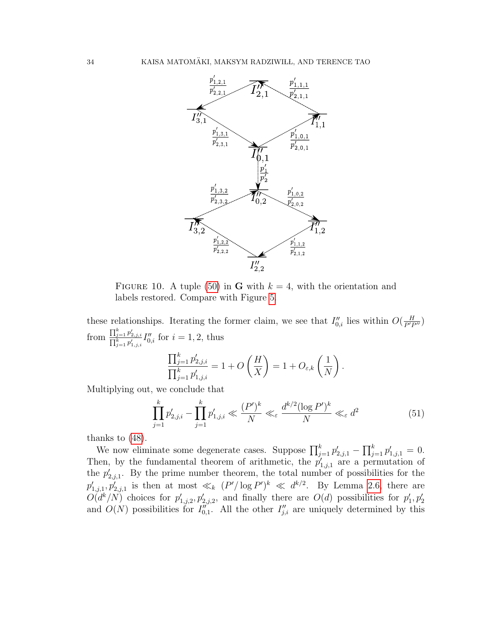<span id="page-33-0"></span>

FIGURE 10. A tuple [\(50\)](#page-32-2) in **G** with  $k = 4$ , with the orientation and labels restored. Compare with Figure [5.](#page-11-0)

these relationships. Iterating the former claim, we see that  $I''_{0,i}$  lies within  $O(\frac{H}{P'P''})$ from  $\frac{\prod_{j=1}^{k} p'_{2,j,i}}{\prod_{j=1}^{k} p'_{1,j,i}} I''_{0,i}$  for  $i = 1, 2$ , thus

$$
\frac{\prod_{j=1}^k p'_{2,j,i}}{\prod_{j=1}^k p'_{1,j,i}} = 1 + O\left(\frac{H}{X}\right) = 1 + O_{\varepsilon,k}\left(\frac{1}{N}\right).
$$

<span id="page-33-1"></span>Multiplying out, we conclude that

$$
\prod_{j=1}^{k} p'_{2,j,i} - \prod_{j=1}^{k} p'_{1,j,i} \ll \frac{(P')^{k}}{N} \ll_{\varepsilon} \frac{d^{k/2} (\log P')^{k}}{N} \ll_{\varepsilon} d^{2}
$$
(51)

thanks to [\(48\)](#page-31-2).

We now eliminate some degenerate cases. Suppose  $\prod_{j=1}^{k} p'_{2,j,1} - \prod_{j=1}^{k} p'_{1,j,1} = 0$ . Then, by the fundamental theorem of arithmetic, the  $p'_{1,j,1}$  are a permutation of the  $p'_{2,j,1}$ . By the prime number theorem, the total number of possibilities for the  $p'_{1,j,1}, p'_{2,j,1}$  is then at most  $\ll_k (P' / \log P')^k \ll d^{k/2}$ . By Lemma [2.6,](#page-19-2) there are  $O(d^k/N)$  choices for  $p'_{1,j,2}, p'_{2,j,2}$ , and finally there are  $O(d)$  possibilities for  $p'_1, p'_2$ and  $O(N)$  possibilities for  $I_{0,1}^{n'}$ . All the other  $I_{j,i}^{n}$  are uniquely determined by this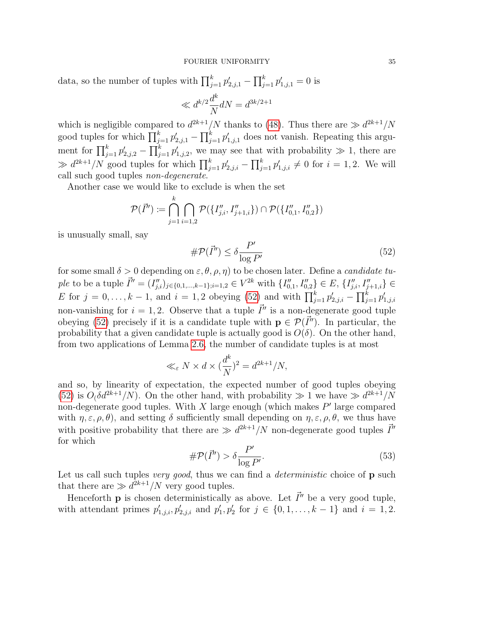data, so the number of tuples with  $\prod_{j=1}^{k} p'_{2,j,1} - \prod_{j=1}^{k} p'_{1,j,1} = 0$  is

$$
\ll d^{k/2}\frac{d^k}{N}dN = d^{3k/2+1}
$$

which is negligible compared to  $d^{2k+1}/N$  thanks to [\(48\)](#page-31-2). Thus there are  $\gg d^{2k+1}/N$ good tuples for which  $\prod_{j=1}^{k} p'_{2,j,1} - \prod_{j=1}^{k} p'_{1,j,1}$  does not vanish. Repeating this argument for  $\prod_{j=1}^k p'_{2,j,2} - \prod_{j=1}^k p'_{1,j,2}$ , we may see that with probability  $\gg 1$ , there are  $\gg d^{2k+1}/N$  good tuples for which  $\prod_{j=1}^k p'_{2,j,i} - \prod_{j=1}^k p'_{1,j,i} \neq 0$  for  $i = 1,2$ . We will call such good tuples non-degenerate.

Another case we would like to exclude is when the set

$$
\mathcal{P}(\vec{I}'') := \bigcap_{j=1}^k \bigcap_{i=1,2} \mathcal{P}(\{I''_{j,i}, I''_{j+1,i}\}) \cap \mathcal{P}(\{I''_{0,1}, I''_{0,2}\})
$$

is unusually small, say

<span id="page-34-0"></span>
$$
\# \mathcal{P}(\vec{I}'') \le \delta \frac{P'}{\log P'}\tag{52}
$$

for some small  $\delta > 0$  depending on  $\varepsilon, \theta, \rho, \eta$  to be chosen later. Define a *candidate tu*ple to be a tuple  $\vec{I}'' = (I''_{j,i})_{j \in \{0,1,\dots,k-1\}; i=1,2} \in V^{2k}$  with  $\{I''_{0,1}, I''_{0,2}\} \in E$ ,  $\{I''_{j,i}, I''_{j+1,i}\} \in$ E for  $j = 0, ..., k - 1$ , and  $i = 1, 2$  obeying [\(52\)](#page-34-0) and with  $\prod_{j=1}^{k} p'_{2,j,i} - \prod_{j=1}^{k} p'_{1,j,i}$ non-vanishing for  $i = 1, 2$ . Observe that a tuple  $\vec{I}''$  is a non-degenerate good tuple obeying [\(52\)](#page-34-0) precisely if it is a candidate tuple with  $p \in \mathcal{P}(\vec{I}'')$ . In particular, the probability that a given candidate tuple is actually good is  $O(\delta)$ . On the other hand, from two applications of Lemma [2.6,](#page-19-2) the number of candidate tuples is at most

$$
\ll_{\varepsilon} N \times d \times (\frac{d^k}{N})^2 = d^{2k+1}/N,
$$

and so, by linearity of expectation, the expected number of good tuples obeying [\(52\)](#page-34-0) is  $O(\delta d^{2k+1}/N)$ . On the other hand, with probability  $\gg 1$  we have  $\gg d^{2k+1}/N$ non-degenerate good tuples. With  $X$  large enough (which makes  $P'$  large compared with  $\eta, \varepsilon, \rho, \theta$ , and setting  $\delta$  sufficiently small depending on  $\eta, \varepsilon, \rho, \theta$ , we thus have with positive probability that there are  $\gg d^{2k+1}/N$  non-degenerate good tuples  $\vec{I}''$ for which

<span id="page-34-1"></span>
$$
\# \mathcal{P}(\vec{I}'') > \delta \frac{P'}{\log P'}.
$$
\n(53)

Let us call such tuples very good, thus we can find a *deterministic* choice of  $\bf{p}$  such that there are  $\gg d^{2k+1}/N$  very good tuples.

Henceforth **p** is chosen deterministically as above. Let  $\vec{I}''$  be a very good tuple, with attendant primes  $p'_{1,j,i}, p'_{2,j,i}$  and  $p'_{1}, p'_{2}$  for  $j \in \{0, 1, ..., k-1\}$  and  $i = 1, 2$ .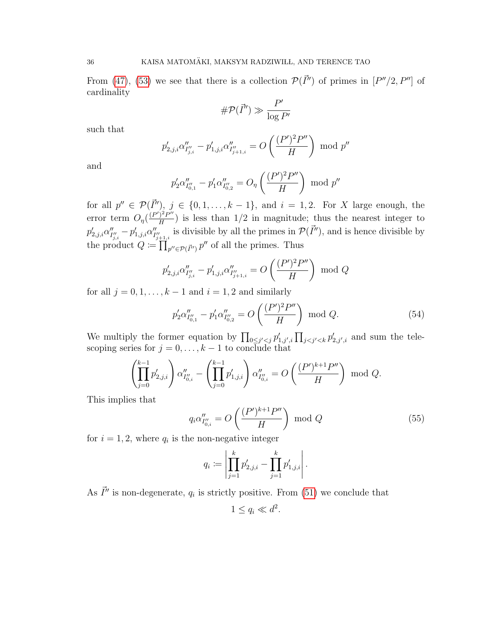From [\(47\)](#page-30-0), [\(53\)](#page-34-1) we see that there is a collection  $\mathcal{P}(\vec{I}^{\prime\prime})$  of primes in  $[P^{\prime\prime}/2, P^{\prime\prime}]$  of cardinality

$$
\#\mathcal{P}(\vec{I}'') \gg \frac{P'}{\log P'}
$$

such that

$$
p'_{2,j,i} \alpha''_{I''_{j,i}} - p'_{1,j,i} \alpha''_{I''_{j+1,i}} = O\left(\frac{(P')^2 P''}{H}\right) \mod p''
$$

and

$$
p'_2 \alpha''_{I''_{0,1}} - p'_1 \alpha''_{I''_{0,2}} = O_{\eta} \left( \frac{(P')^2 P''}{H} \right) \mod p''
$$

for all  $p'' \in \mathcal{P}(\vec{I}'')$ ,  $j \in \{0, 1, \ldots, k-1\}$ , and  $i = 1, 2$ . For X large enough, the error term  $O_{\eta}(\frac{(P')^2 P''}{H})$  $\frac{H^2 P^m}{H}$ ) is less than 1/2 in magnitude; thus the nearest integer to  $p_{2,j,i}^{\prime}\alpha_I^{\prime\prime}$  $\frac{y}{I_{j,i}^{\prime\prime}}-p_{1,j,i}^{\prime} \alpha_{I_j}^{\prime\prime}$  $I''_{j+1,i}$  is divisible by all the primes in  $\mathcal{P}(\vec{I}'')$ , and is hence divisible by the product  $Q := \prod_{p'' \in \mathcal{P}(\vec{I}'')} p''$  of all the primes. Thus

$$
p'_{2,j,i} \alpha''_{I''_{j,i}} - p'_{1,j,i} \alpha''_{I''_{j+1,i}} = O\left(\frac{(P')^2 P''}{H}\right) \text{ mod } Q
$$

for all  $j = 0, 1, \ldots, k - 1$  and  $i = 1, 2$  and similarly

<span id="page-35-1"></span>
$$
p_2' \alpha_{I''_{0,1}}'' - p_1' \alpha_{I''_{0,2}}'' = O\left(\frac{(P')^2 P''}{H}\right) \text{ mod } Q. \tag{54}
$$

We multiply the former equation by  $\prod_{0 \leq j' < j} p'_{1,j',i} \prod_{j < j' < k} p'_{2,j',i}$  and sum the telescoping series for  $j = 0, \ldots, k - 1$  to conclude that

$$
\left(\prod_{j=0}^{k-1} p'_{2,j,i}\right) \alpha''_{I''_{0,i}} - \left(\prod_{j=0}^{k-1} p'_{1,j,i}\right) \alpha''_{I''_{0,i}} = O\left(\frac{(P')^{k+1} P''}{H}\right) \text{ mod } Q.
$$

This implies that

<span id="page-35-0"></span>
$$
q_i \alpha_{I''_{0,i}}'' = O\left(\frac{(P')^{k+1} P''}{H}\right) \text{ mod } Q \tag{55}
$$

for  $i = 1, 2$ , where  $q_i$  is the non-negative integer

$$
q_i := \left| \prod_{j=1}^k p'_{2,j,i} - \prod_{j=1}^k p'_{1,j,i} \right|.
$$

As  $\vec{I}''$  is non-degenerate,  $q_i$  is strictly positive. From [\(51\)](#page-33-1) we conclude that

$$
1 \le q_i \ll d^2.
$$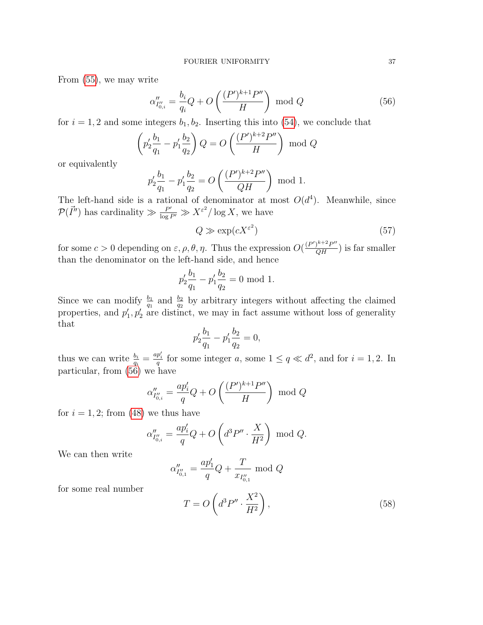From [\(55\)](#page-35-0), we may write

<span id="page-36-0"></span>
$$
\alpha_{I''_{0,i}}'' = \frac{b_i}{q_i} Q + O\left(\frac{(P')^{k+1} P''}{H}\right) \text{ mod } Q \tag{56}
$$

for  $i = 1, 2$  and some integers  $b_1, b_2$ . Inserting this into [\(54\)](#page-35-1), we conclude that

$$
\left(p_2' \frac{b_1}{q_1} - p_1' \frac{b_2}{q_2}\right) Q = O\left(\frac{(P')^{k+2} P''}{H}\right) \text{ mod } Q
$$

or equivalently

$$
p_2' \frac{b_1}{q_1} - p_1' \frac{b_2}{q_2} = O\left(\frac{(P')^{k+2} P''}{QH}\right) \mod 1.
$$

The left-hand side is a rational of denominator at most  $O(d^4)$ . Meanwhile, since  $\mathcal{P}(\vec{I}'')$  has cardinality  $\gg \frac{P'}{\log P'} \gg X^{\varepsilon^2}/\log X$ , we have

<span id="page-36-2"></span>
$$
Q \gg \exp(cX^{\varepsilon^2})\tag{57}
$$

for some  $c > 0$  depending on  $\varepsilon, \rho, \theta, \eta$ . Thus the expression  $O(\frac{(P')^{k+2}P''}{QH})$  is far smaller than the denominator on the left-hand side, and hence

$$
p_2' \frac{b_1}{q_1} - p_1' \frac{b_2}{q_2} = 0 \mod 1.
$$

Since we can modify  $\frac{b_1}{q_1}$  and  $\frac{b_2}{q_2}$  by arbitrary integers without affecting the claimed properties, and  $p'_1, p'_2$  are distinct, we may in fact assume without loss of generality that

$$
p_2' \frac{b_1}{q_1} - p_1' \frac{b_2}{q_2} = 0,
$$

thus we can write  $\frac{b_i}{q_i} = \frac{ap'_i}{q}$  for some integer a, some  $1 \le q \ll d^2$ , and for  $i = 1, 2$ . In particular, from [\(56\)](#page-36-0) we have

$$
\alpha_{I''_{0,i}}'' = \frac{ap'_i}{q}Q + O\left(\frac{(P')^{k+1}P''}{H}\right) \text{ mod } Q
$$

for  $i = 1, 2$ ; from [\(48\)](#page-31-2) we thus have

$$
\alpha_{I''_{0,i}}'' = \frac{ap'_i}{q}Q + O\left(d^3P'' \cdot \frac{X}{H^2}\right) \text{ mod } Q.
$$

We can then write

$$
\alpha''_{I''_{0,1}} = \frac{ap'_1}{q}Q + \frac{T}{x_{I''_{0,1}}} \text{ mod } Q
$$

for some real number

<span id="page-36-1"></span>
$$
T = O\left(d^3 P'' \cdot \frac{X^2}{H^2}\right),\tag{58}
$$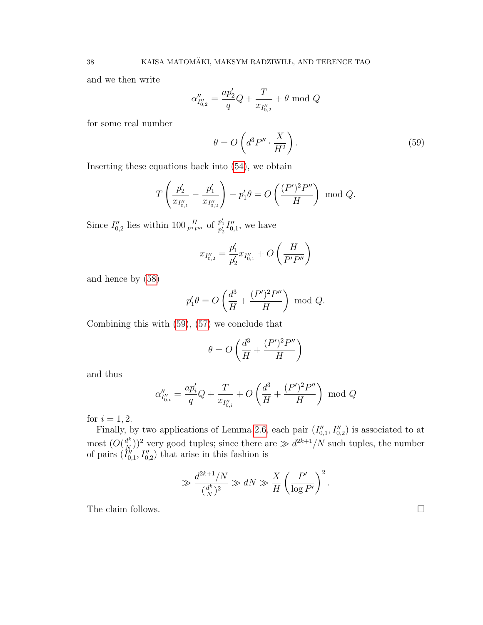and we then write

$$
\alpha''_{I''_{0,2}}=\frac{ap'_2}{q}Q+\frac{T}{x_{I''_{0,2}}}+\theta \ \text{mod} \ Q
$$

for some real number

<span id="page-37-0"></span>
$$
\theta = O\left(d^3 P'' \cdot \frac{X}{H^2}\right). \tag{59}
$$

Inserting these equations back into [\(54\)](#page-35-1), we obtain

$$
T\left(\frac{p_2'}{x_{I_{0,1}''}} - \frac{p_1'}{x_{I_{0,2}''}}\right) - p_1'\theta = O\left(\frac{(P')^2 P''}{H}\right) \text{ mod } Q.
$$

Since  $I_{0,2}^{\prime\prime}$  lies within  $100 \frac{H}{P^{\prime}P^{\prime\prime}}$  of  $\frac{p_1^{\prime}}{p_2^{\prime}} I_{0,1}^{\prime\prime}$ , we have

$$
x_{I''_{0,2}} = \frac{p'_1}{p'_2} x_{I''_{0,1}} + O\left(\frac{H}{P'P''}\right)
$$

and hence by [\(58\)](#page-36-1)

$$
p_1'\theta = O\left(\frac{d^3}{H} + \frac{(P')^2 P''}{H}\right) \text{ mod } Q.
$$

Combining this with [\(59\)](#page-37-0), [\(57\)](#page-36-2) we conclude that

$$
\theta = O\left(\frac{d^3}{H} + \frac{(P')^2 P''}{H}\right)
$$

and thus

$$
\alpha''_{I''_{0,i}} = \frac{ap'_i}{q}Q + \frac{T}{x_{I''_{0,i}}} + O\left(\frac{d^3}{H} + \frac{(P')^2 P''}{H}\right) \text{ mod } Q
$$

for  $i = 1, 2$ .

Finally, by two applications of Lemma [2.6,](#page-19-2) each pair  $(I''_{0,1}, I''_{0,2})$  is associated to at most  $(O(\frac{d^k}{N}))$  $\frac{d^k}{N}$ ))<sup>2</sup> very good tuples; since there are  $\gg d^{2k+1}/N$  such tuples, the number of pairs  $(\tilde{I}_{0,1}^{"}, I_{0,2}^{"})$  that arise in this fashion is

$$
\gg \frac{d^{2k+1}/N}{(\frac{d^k}{N})^2} \gg dN \gg \frac{X}{H} \left(\frac{P'}{\log P'}\right)^2.
$$

The claim follows.  $\Box$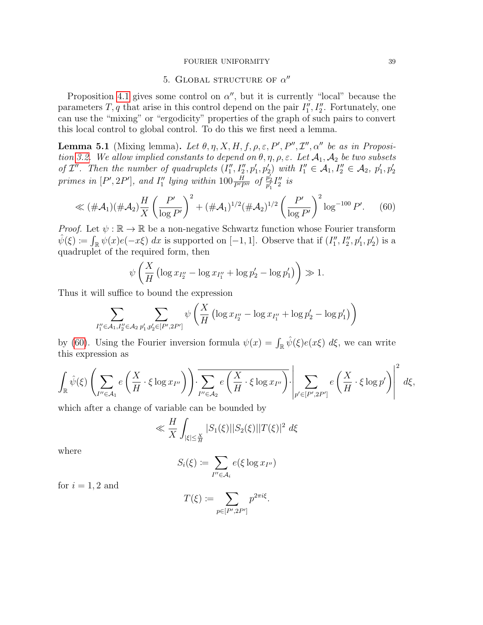### FOURIER UNIFORMITY 39

# 5. GLOBAL STRUCTURE OF  $\alpha''$

<span id="page-38-0"></span>Proposition [4.1](#page-29-2) gives some control on  $\alpha''$ , but it is currently "local" because the parameters  $T, q$  that arise in this control depend on the pair  $I''_1, I''_2$ . Fortunately, one can use the "mixing" or "ergodicity" properties of the graph of such pairs to convert this local control to global control. To do this we first need a lemma.

<span id="page-38-2"></span>**Lemma 5.1** (Mixing lemma). Let  $\theta$ ,  $\eta$ , X, H, f,  $\rho$ ,  $\varepsilon$ , P', P'',  $\mathcal{I}''$ ,  $\alpha''$  be as in Proposi-tion [3.2.](#page-25-0) We allow implied constants to depend on  $\theta$ ,  $\eta$ ,  $\rho$ ,  $\varepsilon$ . Let  $\mathcal{A}_1$ ,  $\mathcal{A}_2$  be two subsets of  $\mathcal{I}''$ . Then the number of quadruplets  $(I''_1, I''_2, p'_1, p'_2)$  with  $I''_1 \in \mathcal{A}_1, I''_2 \in \mathcal{A}_2$ ,  $p'_1, p'_2$ primes in  $[P', 2P']$ , and  $I''_1$  lying within  $100 \frac{H}{P'P''}$  of  $\frac{p'_2}{p'_1} I''_2$  is

<span id="page-38-1"></span>
$$
\ll (\# \mathcal{A}_1)(\# \mathcal{A}_2) \frac{H}{X} \left(\frac{P'}{\log P'}\right)^2 + (\# \mathcal{A}_1)^{1/2} (\# \mathcal{A}_2)^{1/2} \left(\frac{P'}{\log P'}\right)^2 \log^{-100} P'. \tag{60}
$$

*Proof.* Let  $\psi : \mathbb{R} \to \mathbb{R}$  be a non-negative Schwartz function whose Fourier transform  $\hat{\psi}(\xi) \coloneqq \int_{\mathbb{R}} \psi(x) e(-x\xi) dx$  is supported on [-1, 1]. Observe that if  $(I''_1, I''_2, p'_1, p'_2)$  is a quadruplet of the required form, then

$$
\psi\left(\frac{X}{H}\left(\log x_{I_2''}-\log x_{I_1''}+\log p_2'-\log p_1'\right)\right)\gg 1.
$$

Thus it will suffice to bound the expression

$$
\sum_{I_1''\in\mathcal{A}_1,I_2''\in\mathcal{A}_2} \sum_{p_1',p_2'\in[P',2P']} \psi\left(\frac{X}{H}\left(\log x_{I_2''}-\log x_{I_1''}+\log p_2'-\log p_1'\right)\right)
$$

by [\(60\)](#page-38-1). Using the Fourier inversion formula  $\psi(x) = \int_{\mathbb{R}} \hat{\psi}(\xi) e(x\xi) d\xi$ , we can write this expression as

$$
\int_{\mathbb{R}} \hat{\psi}(\xi) \left( \sum_{I'' \in \mathcal{A}_1} e\left(\frac{X}{H} \cdot \xi \log x_{I''}\right) \right) \cdot \sum_{I'' \in \mathcal{A}_2} e\left(\frac{X}{H} \cdot \xi \log x_{I''}\right) \cdot \left| \sum_{p' \in [P', 2P']} e\left(\frac{X}{H} \cdot \xi \log p'\right) \right|^2 d\xi,
$$

which after a change of variable can be bounded by

$$
\ll \frac{H}{X} \int_{|\xi| \le \frac{X}{H}} |S_1(\xi)||S_2(\xi)||T(\xi)|^2 d\xi
$$

where

$$
S_i(\xi) \coloneqq \sum_{I'' \in \mathcal{A}_i} e(\xi \log x_{I''})
$$

for  $i = 1, 2$  and

$$
T(\xi) := \sum_{p \in [P', 2P']} p^{2\pi i \xi}.
$$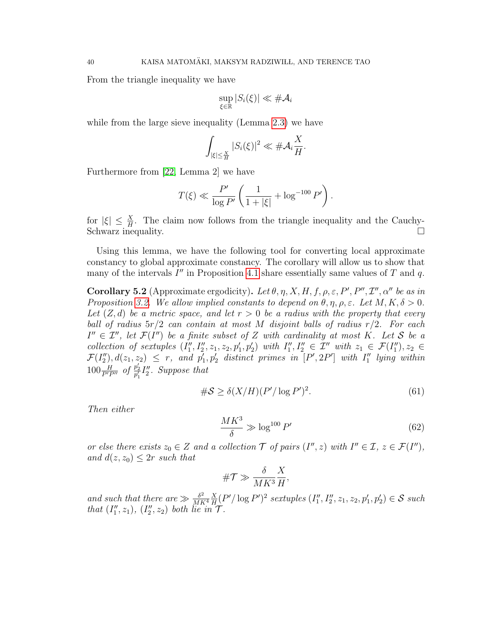From the triangle inequality we have

$$
\sup_{\xi \in \mathbb{R}} |S_i(\xi)| \ll \#\mathcal{A}_i
$$

while from the large sieve inequality (Lemma [2.3\)](#page-17-2) we have

$$
\int_{|\xi| \leq \frac{X}{H}} |S_i(\xi)|^2 \ll \# \mathcal{A}_i \frac{X}{H}.
$$

Furthermore from [\[22,](#page-50-22) Lemma 2] we have

$$
T(\xi) \ll \frac{P'}{\log P'} \left( \frac{1}{1+|\xi|} + \log^{-100} P' \right).
$$

for  $|\xi| \leq \frac{X}{H}$ . The claim now follows from the triangle inequality and the Cauchy-Schwarz inequality.  $\Box$ 

Using this lemma, we have the following tool for converting local approximate constancy to global approximate constancy. The corollary will allow us to show that many of the intervals  $I''$  in Proposition [4.1](#page-29-2) share essentially same values of T and q.

<span id="page-39-2"></span>**Corollary 5.2** (Approximate ergodicity). Let  $\theta$ ,  $\eta$ , X, H, f,  $\rho$ ,  $\varepsilon$ , P', P'', I'',  $\alpha''$  be as in Proposition [3.2.](#page-25-0) We allow implied constants to depend on  $\theta, \eta, \rho, \varepsilon$ . Let  $M, K, \delta > 0$ . Let  $(Z, d)$  be a metric space, and let  $r > 0$  be a radius with the property that every ball of radius  $5r/2$  can contain at most M disjoint balls of radius  $r/2$ . For each  $I'' \in \mathcal{I}'$ , let  $\mathcal{F}(I'')$  be a finite subset of Z with cardinality at most K. Let S be a collection of sextuples  $(I''_1, I''_2, z_1, z_2, p'_1, p'_2)$  with  $I''_1, I''_2 \in \mathcal{I}''$  with  $z_1 \in \mathcal{F}(I''_1), z_2 \in$  $\mathcal{F}(I''_2), d(z_1, z_2) \leq r$ , and  $p'_1, p'_2$  distinct primes in  $[P', 2P']$  with  $I''_1$  lying within  $100 \frac{H}{P'P''}$  of  $\frac{p'_2}{p'_1} I''_2$ . Suppose that

<span id="page-39-0"></span>
$$
\#S \ge \delta(X/H)(P'/\log P')^2. \tag{61}
$$

Then either

<span id="page-39-1"></span>
$$
\frac{MK^3}{\delta} \gg \log^{100} P' \tag{62}
$$

or else there exists  $z_0 \in Z$  and a collection  $\mathcal T$  of pairs  $(I'', z)$  with  $I'' \in \mathcal I$ ,  $z \in \mathcal F(I'')$ , and  $d(z, z_0) \leq 2r$  such that

$$
\#\mathcal{T}\gg \frac{\delta}{MK^3}\frac{X}{H}
$$

,

and such that there are  $\gg \frac{\delta^2}{MR}$  $\overline{MK^4}$ X  $\frac{X}{H}(P'/\log P')^2$  sextuples  $(I''_1, I''_2, z_1, z_2, p'_1, p'_2) \in S$  such that  $(I''_1, z_1), (I''_2, z_2)$  both lie in  $\mathcal T$ .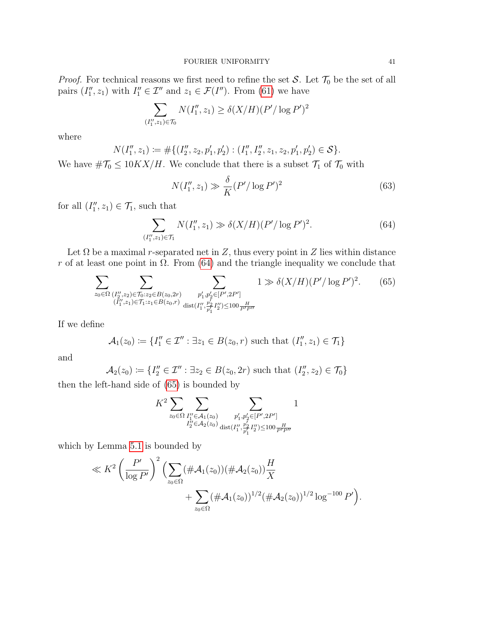*Proof.* For technical reasons we first need to refine the set S. Let  $\mathcal{T}_0$  be the set of all pairs  $(I''_1, z_1)$  with  $I''_1 \in \mathcal{I}''$  and  $z_1 \in \mathcal{F}(I'')$ . From [\(61\)](#page-39-0) we have

$$
\sum_{(I''_1, z_1)\in \mathcal{T}_0} N(I''_1, z_1) \ge \delta(X/H)(P'/\log P')^2
$$

where

$$
N(I''_1, z_1) := \#\{(I''_2, z_2, p'_1, p'_2) : (I''_1, I''_2, z_1, z_2, p'_1, p'_2) \in \mathcal{S}\}.
$$

We have  $\#\mathcal{T}_0 \leq 10KX/H$ . We conclude that there is a subset  $\mathcal{T}_1$  of  $\mathcal{T}_0$  with

<span id="page-40-2"></span>
$$
N(I_1'', z_1) \gg \frac{\delta}{K} (P' / \log P')^2
$$
\n(63)

for all  $(I''_1, z_1) \in \mathcal{T}_1$ , such that

<span id="page-40-0"></span>
$$
\sum_{(I_1'', z_1)\in \mathcal{T}_1} N(I_1'', z_1) \gg \delta(X/H)(P'/\log P')^2.
$$
 (64)

Let  $\Omega$  be a maximal r-separated net in Z, thus every point in Z lies within distance r of at least one point in  $\Omega$ . From [\(64\)](#page-40-0) and the triangle inequality we conclude that

<span id="page-40-1"></span>
$$
\sum_{z_0 \in \Omega} \sum_{\substack{(I''_2, z_2) \in \mathcal{T}_0 : z_2 \in B(z_0, 2r) \\ (I''_1, z_1) \in \mathcal{T}_1 : z_1 \in B(z_0, r)}} \sum_{\substack{p'_1, p'_2 \in [P', 2P'] \\ \text{dist}(I''_1, \frac{p'_2}{p'_1} I''_2) \le 100 \frac{H}{P' P''}}} 1 \gg \delta(X/H) (P'/\log P')^2. \tag{65}
$$

If we define

$$
\mathcal{A}_1(z_0) \coloneqq \{I''_1 \in \mathcal{I}'' : \exists z_1 \in B(z_0, r) \text{ such that } (I''_1, z_1) \in \mathcal{T}_1\}
$$

and

$$
\mathcal{A}_2(z_0) := \{I''_2 \in \mathcal{I}'' : \exists z_2 \in B(z_0, 2r) \text{ such that } (I''_2, z_2) \in \mathcal{T}_0\}
$$

then the left-hand side of [\(65\)](#page-40-1) is bounded by

$$
K^{2} \sum_{z_{0} \in \Omega} \sum_{\substack{I''_{1} \in \mathcal{A}_{1}(z_{0}) \\ I''_{2} \in \mathcal{A}_{2}(z_{0})}} \sum_{\substack{p'_{1}, p'_{2} \in [P', 2P'] \\ \text{dist}(I''_{1}, \frac{p'_{2}}{p'_{1}} I''_{2}) \le 100 \frac{H}{P'} \\ \text{dist}(I''_{1}, \frac{p'_{1}}{p'_{1}} I''_{2}) \le 100 \frac{H}{P'}}
$$

which by Lemma [5.1](#page-38-2) is bounded by

$$
\ll K^2 \left(\frac{P'}{\log P'}\right)^2 \left(\sum_{z_0 \in \Omega} (\#\mathcal{A}_1(z_0)) (\#\mathcal{A}_2(z_0)) \frac{H}{X} + \sum_{z_0 \in \Omega} (\#\mathcal{A}_1(z_0))^{1/2} (\#\mathcal{A}_2(z_0))^{1/2} \log^{-100} P'\right).
$$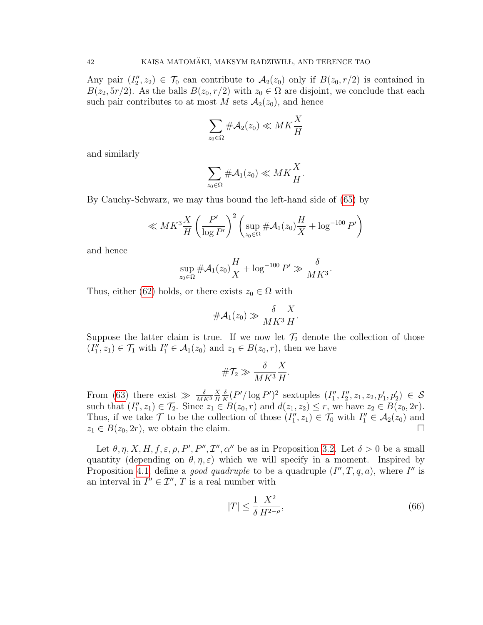Any pair  $(I_2'', z_2) \in \mathcal{T}_0$  can contribute to  $\mathcal{A}_2(z_0)$  only if  $B(z_0, r/2)$  is contained in  $B(z_2, 5r/2)$ . As the balls  $B(z_0, r/2)$  with  $z_0 \in \Omega$  are disjoint, we conclude that each such pair contributes to at most M sets  $\mathcal{A}_2(z_0)$ , and hence

$$
\sum_{z_0 \in \Omega} \# \mathcal{A}_2(z_0) \ll MK \frac{X}{H}
$$

and similarly

$$
\sum_{z_0 \in \Omega} \# \mathcal{A}_1(z_0) \ll MK \frac{X}{H}.
$$

By Cauchy-Schwarz, we may thus bound the left-hand side of [\(65\)](#page-40-1) by

$$
\ll MK^3 \frac{X}{H} \left(\frac{P'}{\log P'}\right)^2 \left(\sup_{z_0 \in \Omega} \# \mathcal{A}_1(z_0) \frac{H}{X} + \log^{-100} P'\right)
$$

and hence

$$
\sup_{z_0 \in \Omega} \# \mathcal{A}_1(z_0) \frac{H}{X} + \log^{-100} P' \gg \frac{\delta}{MK^3}
$$

Thus, either [\(62\)](#page-39-1) holds, or there exists  $z_0 \in \Omega$  with

$$
\#\mathcal{A}_1(z_0) \gg \frac{\delta}{MK^3} \frac{X}{H}
$$

Suppose the latter claim is true. If we now let  $\mathcal{T}_2$  denote the collection of those  $(I_1'', z_1) \in \mathcal{T}_1$  with  $I_1'' \in \mathcal{A}_1(z_0)$  and  $z_1 \in B(z_0, r)$ , then we have

$$
\#\mathcal{T}_2 \gg \frac{\delta}{MK^3} \frac{X}{H}
$$

From [\(63\)](#page-40-2) there exist  $\gg \frac{\delta}{MK^3}$ X H δ  $\frac{\delta}{K}(P'/\log P')^2$  sextuples  $(I''_1, I''_2, z_1, z_2, p'_1, p'_2) \in S$ such that  $(I_1'', z_1) \in \mathcal{T}_2$ . Since  $z_1 \in B(z_0, r)$  and  $d(z_1, z_2) \leq r$ , we have  $z_2 \in B(z_0, 2r)$ . Thus, if we take  $\mathcal T$  to be the collection of those  $(I''_1, z_1) \in \mathcal T_0$  with  $I''_1 \in \mathcal A_2(z_0)$  and  $z_1 \in B(z_0, 2r)$ , we obtain the claim.

Let  $\theta, \eta, X, H, f, \varepsilon, \rho, P', P'', T'', \alpha''$  be as in Proposition [3.2.](#page-25-0) Let  $\delta > 0$  be a small quantity (depending on  $\theta$ ,  $\eta$ ,  $\varepsilon$ ) which we will specify in a moment. Inspired by Proposition [4.1,](#page-29-2) define a *good quadruple* to be a quadruple  $(I'', T, q, a)$ , where I'' is an interval in  $I'' \in \mathcal{I}'', T$  is a real number with

<span id="page-41-0"></span>
$$
|T| \le \frac{1}{\delta} \frac{X^2}{H^{2-\rho}},\tag{66}
$$

.

.

.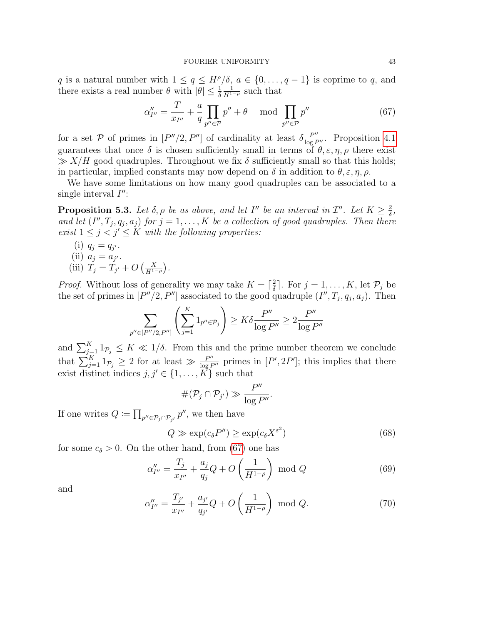#### FOURIER UNIFORMITY 43

q is a natural number with  $1 \le q \le H^{\rho}/\delta$ ,  $a \in \{0, ..., q-1\}$  is coprime to q, and there exists a real number  $\theta$  with  $|\theta| \leq \frac{1}{\delta}$  $\frac{1}{H^{1-\rho}}$  such that

<span id="page-42-0"></span>
$$
\alpha''_{I''} = \frac{T}{x_{I''}} + \frac{a}{q} \prod_{p'' \in \mathcal{P}} p'' + \theta \mod \prod_{p'' \in \mathcal{P}} p'' \tag{67}
$$

for a set P of primes in  $[P''/2, P'']$  of cardinality at least  $\delta \frac{P''}{\log P''}$ . Proposition [4.1](#page-29-2) guarantees that once  $\delta$  is chosen sufficiently small in terms of  $\theta$ ,  $\varepsilon$ ,  $\eta$ ,  $\rho$  there exist  $\gg$  X/H good quadruples. Throughout we fix  $\delta$  sufficiently small so that this holds; in particular, implied constants may now depend on  $\delta$  in addition to  $\theta$ ,  $\varepsilon$ ,  $\eta$ ,  $\rho$ .

We have some limitations on how many good quadruples can be associated to a single interval  $I''$ :

**Proposition 5.3.** Let  $\delta, \rho$  be as above, and let I'' be an interval in  $\mathcal{I}''$ . Let  $K \geq \frac{2}{\delta}$  $\frac{2}{\delta}$ , and let  $(I'', T_j, q_j, a_j)$  for  $j = 1, ..., K$  be a collection of good quadruples. Then there exist  $1 \leq j \leq j' \leq K$  with the following properties:

- (i)  $q_j = q_{j'}$ . (ii)  $a_j = a_{j'}$ .
- (iii)  $T_j = T_{j'} + O\left(\frac{X}{H^{1-\rho}}\right)$ .

*Proof.* Without loss of generality we may take  $K = \frac{2}{\delta}$  $\frac{2}{\delta}$ . For  $j = 1, ..., K$ , let  $\mathcal{P}_j$  be the set of primes in  $[P''/2, P'']$  associated to the good quadruple  $(I'', T_j, q_j, a_j)$ . Then

$$
\sum_{p'' \in [P''/2, P'']} \left( \sum_{j=1}^{K} 1_{p'' \in \mathcal{P}_j} \right) \ge K \delta \frac{P''}{\log P''} \ge 2 \frac{P''}{\log P''}
$$

and  $\sum_{j=1}^K 1_{\mathcal{P}_j} \leq K \ll 1/\delta$ . From this and the prime number theorem we conclude that  $\sum_{j=1}^K 1_{\mathcal{P}_j} \geq 2$  for at least  $\gg \frac{P''}{\log P''}$  primes in  $[P', 2P']$ ; this implies that there exist distinct indices  $j, j' \in \{1, \ldots, K\}$  such that

$$
\#(\mathcal{P}_j \cap \mathcal{P}_{j'}) \gg \frac{P''}{\log P''}.
$$

If one writes  $Q \coloneqq \prod_{p'' \in \mathcal{P}_j \cap \mathcal{P}_{j'}} p''$ , we then have

<span id="page-42-1"></span>
$$
Q \gg \exp(c_{\delta} P'') \ge \exp(c_{\delta} X^{\varepsilon^2})
$$
\n(68)

for some  $c_{\delta} > 0$ . On the other hand, from [\(67\)](#page-42-0) one has

<span id="page-42-2"></span>
$$
\alpha''_{I''} = \frac{T_j}{x_{I''}} + \frac{a_j}{q_j}Q + O\left(\frac{1}{H^{1-\rho}}\right) \text{ mod } Q \tag{69}
$$

and

<span id="page-42-3"></span>
$$
\alpha''_{I''} = \frac{T_{j'}}{x_{I''}} + \frac{a_{j'}}{q_{j'}}Q + O\left(\frac{1}{H^{1-\rho}}\right) \text{ mod } Q. \tag{70}
$$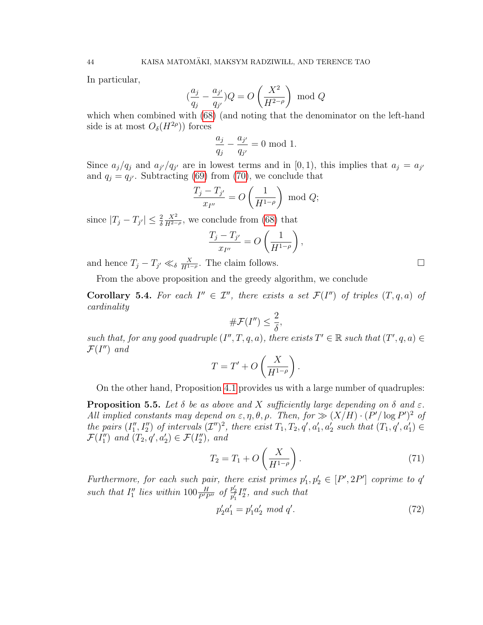In particular,

$$
\left(\frac{a_j}{q_j} - \frac{a_{j'}}{q_{j'}}\right)Q = O\left(\frac{X^2}{H^{2-\rho}}\right) \text{ mod } Q
$$

which when combined with [\(68\)](#page-42-1) (and noting that the denominator on the left-hand side is at most  $O_{\delta}(H^{2\rho})$  forces

$$
\frac{a_j}{q_j} - \frac{a_{j'}}{q_{j'}} = 0 \mod 1.
$$

Since  $a_j/q_j$  and  $a_{j'}/q_{j'}$  are in lowest terms and in [0, 1], this implies that  $a_j = a_{j'}$ and  $q_j = q_{j'}$ . Subtracting [\(69\)](#page-42-2) from [\(70\)](#page-42-3), we conclude that

$$
\frac{T_j - T_{j'}}{x_{I''}} = O\left(\frac{1}{H^{1-\rho}}\right) \text{ mod } Q;
$$

since  $|T_j - T_{j'}| \leq \frac{2}{\delta}$  $\frac{X^2}{H^{2-\rho}}$ , we conclude from [\(68\)](#page-42-1) that

$$
\frac{T_j - T_{j'}}{x_{I''}} = O\left(\frac{1}{H^{1-\rho}}\right),\,
$$

and hence  $T_j - T_{j'} \ll_{\delta} \frac{X}{H^{1-\rho}}$ . The claim follows.

From the above proposition and the greedy algorithm, we conclude

<span id="page-43-1"></span>**Corollary 5.4.** For each  $I'' \in \mathcal{I}''$ , there exists a set  $\mathcal{F}(I'')$  of triples  $(T, q, a)$  of cardinality

$$
\# \mathcal{F}(I'') \leq \frac{2}{\delta},
$$

such that, for any good quadruple  $(I'', T, q, a)$ , there exists  $T' \in \mathbb{R}$  such that  $(T', q, a) \in$  $\mathcal{F}(I'')$  and

$$
T = T' + O\left(\frac{X}{H^{1-\rho}}\right)
$$

On the other hand, Proposition [4.1](#page-29-2) provides us with a large number of quadruples:

<span id="page-43-3"></span>**Proposition 5.5.** Let  $\delta$  be as above and X sufficiently large depending on  $\delta$  and  $\varepsilon$ . All implied constants may depend on  $\varepsilon, \eta, \theta, \rho$ . Then, for  $\gg (X/H) \cdot (P'/\log P')^2$  of the pairs  $(I''_1, I''_2)$  of intervals  $(\mathcal{I}'')^2$ , there exist  $T_1, T_2, q', a'_1, a'_2$  such that  $(T_1, q', a'_1) \in$  $\mathcal{F}(I''_1)$  and  $(T_2, q', a'_2) \in \mathcal{F}(I''_2)$ , and

<span id="page-43-2"></span>
$$
T_2 = T_1 + O\left(\frac{X}{H^{1-\rho}}\right). \tag{71}
$$

.

Furthermore, for each such pair, there exist primes  $p'_1, p'_2 \in [P', 2P']$  coprime to q' such that  $I''_1$  lies within  $100 \frac{H}{P'P''}$  of  $\frac{p'_2}{p'_1}I''_2$ , and such that

<span id="page-43-0"></span>
$$
p'_2 a'_1 = p'_1 a'_2 \mod q'.\tag{72}
$$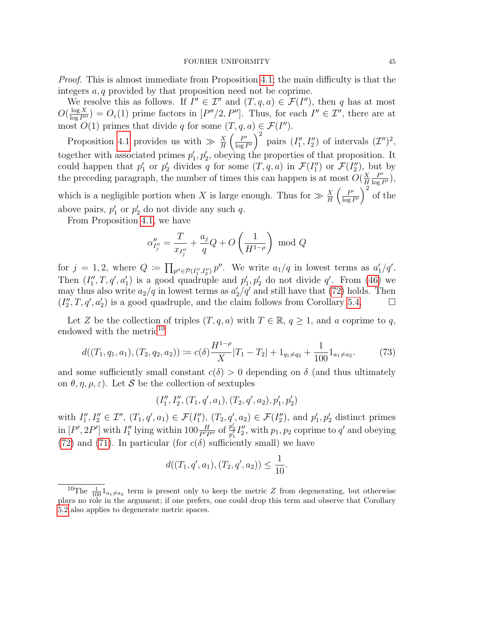Proof. This is almost immediate from Proposition [4.1;](#page-29-2) the main difficulty is that the integers a, q provided by that proposition need not be coprime.

We resolve this as follows. If  $I'' \in \mathcal{I}''$  and  $(T, q, a) \in \mathcal{F}(I'')$ , then q has at most  $O(\frac{\log X}{\log P''}) = O_{\varepsilon}(1)$  prime factors in  $[P''/2, P'']$ . Thus, for each  $I'' \in \mathcal{I}''$ , there are at most  $O(1)$  primes that divide q for some  $(T, q, a) \in \mathcal{F}(I'')$ .

Proposition [4.1](#page-29-2) provides us with  $\gg \frac{X}{H} \left( \frac{P'}{\log H} \right)$  $\frac{P'}{\log P'}\bigg)^2$  pairs  $(I''_1, I''_2)$  of intervals  $(\mathcal{I}'')^2$ , together with associated primes  $p'_1, p'_2$ , obeying the properties of that proposition. It could happen that  $p'_1$  or  $p'_2$  divides q for some  $(T, q, a)$  in  $\mathcal{F}(I''_1)$  or  $\mathcal{F}(I''_2)$ , but by the preceding paragraph, the number of times this can happen is at most  $O(\frac{X}{H})$ H  $\frac{P'}{\log P'}\Big),$ which is a negligible portion when X is large enough. Thus for  $\gg \frac{X}{H} \left( \frac{P'}{\log n} \right)$  $\frac{P'}{\log P'}\bigg)^2$  of the above pairs,  $p'_1$  or  $p'_2$  do not divide any such q.

From Proposition [4.1,](#page-29-2) we have

$$
\alpha''_{I''_j} = \frac{T}{x_{I''_j}} + \frac{a_j}{q}Q + O\left(\frac{1}{H^{1-\rho}}\right) \text{ mod } Q
$$

for  $j = 1, 2$ , where  $Q := \prod_{p'' \in \mathcal{P}(I''_1, I''_2)} p''$ . We write  $a_1/q$  in lowest terms as  $a'_1/q'$ . Then  $(I''_1, T, q', a'_1)$  is a good quadruple and  $p'_1, p'_2$  do not divide q'. From [\(46\)](#page-30-1) we may thus also write  $a_2/q$  in lowest terms as  $a'_2/q'$  and still have that [\(72\)](#page-43-0) holds. Then  $(I_2'', T, q', a_2')$  is a good quadruple, and the claim follows from Corollary [5.4.](#page-43-1)

Let Z be the collection of triples  $(T, q, a)$  with  $T \in \mathbb{R}$ ,  $q \ge 1$ , and a coprime to q, endowed with the metric<sup>[10](#page-44-0)</sup>

<span id="page-44-1"></span>
$$
d((T_1, q_1, a_1), (T_2, q_2, a_2)) \coloneqq c(\delta) \frac{H^{1-\rho}}{X} |T_1 - T_2| + 1_{q_1 \neq q_2} + \frac{1}{100} 1_{a_1 \neq a_2}.
$$
 (73)

and some sufficiently small constant  $c(\delta) > 0$  depending on  $\delta$  (and thus ultimately on  $\theta$ ,  $\eta$ ,  $\rho$ ,  $\varepsilon$ ). Let S be the collection of sextuples

$$
(I''_1, I''_2, (T_1, q', a_1), (T_2, q', a_2), p'_1, p'_2)
$$

with  $I''_1, I''_2 \in \mathcal{I}''$ ,  $(T_1, q', a_1) \in \mathcal{F}(I''_1)$ ,  $(T_2, q', a_2) \in \mathcal{F}(I''_2)$ , and  $p'_1, p'_2$  distinct primes in  $[P', 2P']$  with  $I''_1$  lying within  $100 \frac{H}{P'P''}$  of  $\frac{p'_2}{p'_1} I''_2$ , with  $p_1, p_2$  coprime to q' and obeying [\(72\)](#page-43-0) and [\(71\)](#page-43-2). In particular (for  $c(\delta)$  sufficiently small) we have

$$
d((T_1, q', a_1), (T_2, q', a_2)) \le \frac{1}{10}.
$$

<span id="page-44-0"></span><sup>&</sup>lt;sup>10</sup>The  $\frac{1}{100}$  1<sub>a1</sub> $\neq$ <sub>a<sub>2</sub></sub> term is present only to keep the metric Z from degenerating, but otherwise plays no role in the argument; if one prefers, one could drop this term and observe that Corollary [5.2](#page-39-2) also applies to degenerate metric spaces.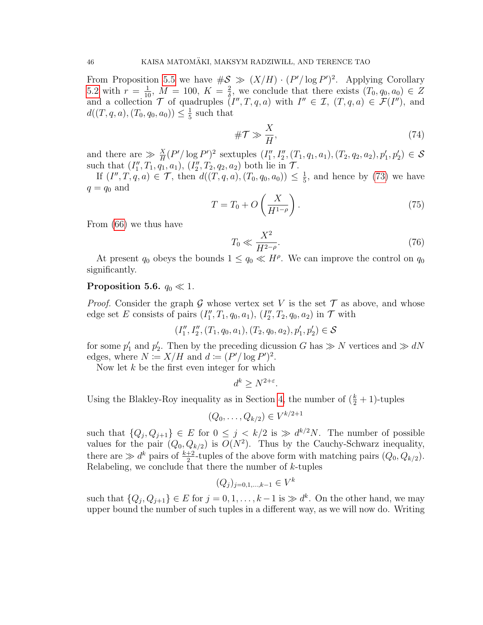From Proposition [5.5](#page-43-3) we have  $\#\mathcal{S} \gg (X/H) \cdot (P'/\log P')^2$ . Applying Corollary [5.2](#page-39-2) with  $r = \frac{1}{10}$ ,  $M = 100$ ,  $K = \frac{2}{\delta}$  $\frac{2}{\delta}$ , we conclude that there exists  $(T_0, q_0, a_0) \in Z$ and a collection  $\mathcal T$  of quadruples  $(I'', T, q, a)$  with  $I'' \in \mathcal I$ ,  $(T, q, a) \in \mathcal F(I'')$ , and  $d((T, q, a), (T_0, q_0, a_0)) \leq \frac{1}{5}$  $\frac{1}{5}$  such that

<span id="page-45-1"></span>
$$
\# \mathcal{T} \gg \frac{X}{H},\tag{74}
$$

and there are  $\gg \frac{X}{H}(P'/\log P')^2$  sextuples  $(I''_1, I''_2, (T_1, q_1, a_1), (T_2, q_2, a_2), p'_1, p'_2) \in S$ such that  $(I''_1, T_1, q_1, a_1), (I''_2, T_2, q_2, a_2)$  both lie in  $\mathcal{T}$ .

If  $(I'', T, q, a) \in \mathcal{T}$ , then  $d((T, q, a), (T_0, q_0, a_0)) \leq \frac{1}{5}$  $\frac{1}{5}$ , and hence by [\(73\)](#page-44-1) we have  $q = q_0$  and

<span id="page-45-0"></span>
$$
T = T_0 + O\left(\frac{X}{H^{1-\rho}}\right). \tag{75}
$$

From [\(66\)](#page-41-0) we thus have

<span id="page-45-2"></span>
$$
T_0 \ll \frac{X^2}{H^{2-\rho}}.\tag{76}
$$

At present  $q_0$  obeys the bounds  $1 \leq q_0 \ll H^{\rho}$ . We can improve the control on  $q_0$ significantly.

## <span id="page-45-3"></span>Proposition 5.6.  $q_0 \ll 1$ .

*Proof.* Consider the graph G whose vertex set V is the set  $\mathcal T$  as above, and whose edge set E consists of pairs  $(I''_1, T_1, q_0, a_1), (I''_2, T_2, q_0, a_2)$  in  $\mathcal T$  with

$$
(I''_1, I''_2, (T_1, q_0, a_1), (T_2, q_0, a_2), p'_1, p'_2) \in \mathcal{S}
$$

for some  $p'_1$  and  $p'_2$ . Then by the preceding dicussion G has  $\gg N$  vertices and  $\gg dN$ edges, where  $N \coloneqq X/H$  and  $d \coloneqq (P'/\log P')^2$ .

Now let  $k$  be the first even integer for which

$$
d^k \ge N^{2+\varepsilon}.
$$

Using the Blakley-Roy inequality as in Section [4,](#page-29-0) the number of  $(\frac{k}{2} + 1)$ -tuples

$$
(Q_0, \ldots, Q_{k/2}) \in V^{k/2+1}
$$

such that  $\{Q_j, Q_{j+1}\}\in E$  for  $0 \leq j \leq k/2$  is  $\gg d^{k/2}N$ . The number of possible values for the pair  $(Q_0, Q_{k/2})$  is  $O(N^2)$ . Thus by the Cauchy-Schwarz inequality, there are  $\gg d^k$  pairs of  $\frac{k+2}{2}$ -tuples of the above form with matching pairs  $(Q_0, Q_{k/2})$ . Relabeling, we conclude that there the number of  $k$ -tuples

$$
(Q_j)_{j=0,1,\dots,k-1} \in V^k
$$

such that  $\{Q_j, Q_{j+1}\}\in E$  for  $j=0,1,\ldots,k-1$  is  $\gg d^k$ . On the other hand, we may upper bound the number of such tuples in a different way, as we will now do. Writing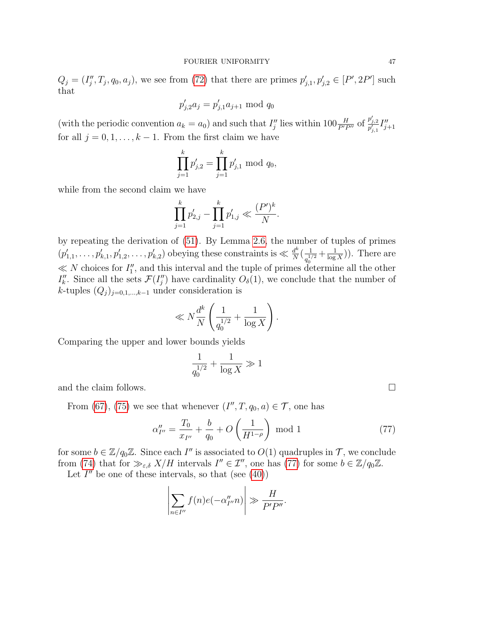$Q_j = (I''_j, T_j, q_0, a_j)$ , we see from [\(72\)](#page-43-0) that there are primes  $p'_{j,1}, p'_{j,2} \in [P', 2P']$  such that

$$
p'_{j,2}a_j = p'_{j,1}a_{j+1} \bmod q_0
$$

(with the periodic convention  $a_k = a_0$ ) and such that  $I''_j$  lies within  $100 \frac{H}{P'P''}$  of  $\frac{p'_{j,2}}{p'_{j,1}} I''_{j+1}$ for all  $j = 0, 1, \ldots, k - 1$ . From the first claim we have

$$
\prod_{j=1}^k p'_{j,2} = \prod_{j=1}^k p'_{j,1} \bmod q_0,
$$

while from the second claim we have

$$
\prod_{j=1}^k p'_{2,j} - \prod_{j=1}^k p'_{1,j} \ll \frac{(P')^k}{N}.
$$

by repeating the derivation of [\(51\)](#page-33-1). By Lemma [2.6,](#page-19-2) the number of tuples of primes  $(p'_{1,1},\ldots,p'_{k,1},p'_{1,2},\ldots,p'_{k,2})$  obeying these constraints is  $\ll \frac{d^k}{N}$  $\frac{d^k}{N} \Big( \frac{1}{a^{\frac{1}{n}}}$  $\frac{1}{q_0^{1/2}} + \frac{1}{\log}$  $\frac{1}{\log X})$ . There are  $\ll N$  choices for  $I''_1$ , and this interval and the tuple of primes determine all the other  $I''_k$ . Since all the sets  $\mathcal{F}(I''_j)$  have cardinality  $O_{\delta}(1)$ , we conclude that the number of k-tuples  $(Q_j)_{j=0,1,\dots,k-1}$  under consideration is

$$
\ll N\frac{d^k}{N}\left(\frac{1}{q_0^{1/2}}+\frac{1}{\log X}\right).
$$

Comparing the upper and lower bounds yields

$$
\frac{1}{q_0^{1/2}} + \frac{1}{\log X} \gg 1
$$

and the claim follows.

From [\(67\)](#page-42-0), [\(75\)](#page-45-0) we see that whenever  $(I'', T, q_0, a) \in \mathcal{T}$ , one has

<span id="page-46-0"></span>
$$
\alpha_{I''}'' = \frac{T_0}{x_{I''}} + \frac{b}{q_0} + O\left(\frac{1}{H^{1-\rho}}\right) \text{ mod } 1
$$
\n(77)

for some  $b \in \mathbb{Z}/q_0\mathbb{Z}$ . Since each I'' is associated to  $O(1)$  quadruples in  $\mathcal{T}$ , we conclude from [\(74\)](#page-45-1) that for  $\gg_{\varepsilon,\delta} X/H$  intervals  $I'' \in \mathcal{I}''$ , one has [\(77\)](#page-46-0) for some  $b \in \mathbb{Z}/q_0\mathbb{Z}$ .

Let  $I''$  be one of these intervals, so that (see  $(40)$ )

$$
\left|\sum_{n\in I''} f(n)e(-\alpha''_{I''}n)\right| \gg \frac{H}{P'P''}.
$$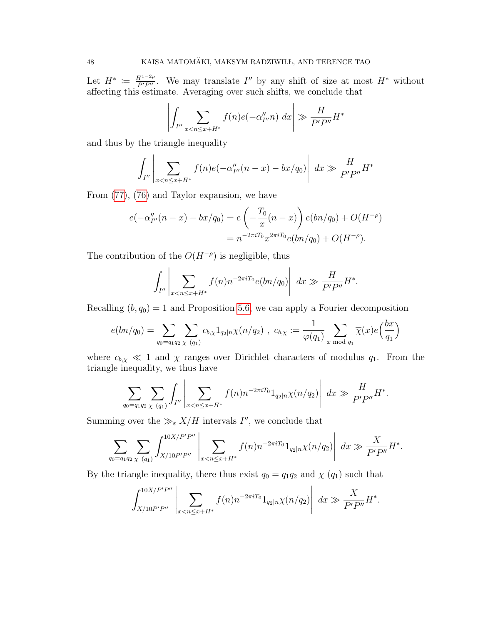Let  $H^* := \frac{H^{1-2\rho}}{P'P''}$ . We may translate I'' by any shift of size at most  $H^*$  without affecting this estimate. Averaging over such shifts, we conclude that

$$
\left| \int_{I''} \sum_{x < n \le x + H^*} f(n) e(-\alpha''_{I''} n) \, dx \right| \gg \frac{H}{P' P''} H^*
$$

and thus by the triangle inequality

$$
\int_{I''}\left|\sum_{x
$$

From [\(77\)](#page-46-0), [\(76\)](#page-45-2) and Taylor expansion, we have

$$
e(-\alpha_{I''}''(n-x) - bx/q_0) = e\left(-\frac{T_0}{x}(n-x)\right)e(bn/q_0) + O(H^{-\rho})
$$
  
=  $n^{-2\pi iT_0}x^{2\pi iT_0}e(bn/q_0) + O(H^{-\rho}).$ 

The contribution of the  $O(H^{-\rho})$  is negligible, thus

$$
\int_{I''}\left|\sum_{x
$$

Recalling  $(b, q_0) = 1$  and Proposition [5.6,](#page-45-3) we can apply a Fourier decomposition

$$
e(bn/q_0) = \sum_{q_0 = q_1 q_2} \sum_{\chi \ (q_1)} c_{b,\chi} 1_{q_2 | n} \chi(n/q_2) , \ c_{b,\chi} := \frac{1}{\varphi(q_1)} \sum_{x \ \text{mod} \ q_1} \overline{\chi}(x) e\left(\frac{bx}{q_1}\right)
$$

where  $c_{b,x} \ll 1$  and  $\chi$  ranges over Dirichlet characters of modulus  $q_1$ . From the triangle inequality, we thus have

$$
\sum_{q_0=q_1q_2} \sum_{\chi\ (q_1)} \int_{I''} \left| \sum_{x < n \leq x+H^*} f(n) n^{-2\pi i T_0} 1_{q_2|n} \chi(n/q_2) \right| \ dx \gg \frac{H}{P'P''} H^*.
$$

Summing over the  $\gg_{\varepsilon} X/H$  intervals I'', we conclude that

$$
\sum_{q_0=q_1q_2} \sum_{\chi\ (q_1)} \int_{X/10P'P''}^{10X/P'P''} \left|\sum_{x
$$

By the triangle inequality, there thus exist  $q_0 = q_1 q_2$  and  $\chi$  ( $q_1$ ) such that

$$
\int_{X/10P'P''}^{10X/P'P''}\left|\sum_{x
$$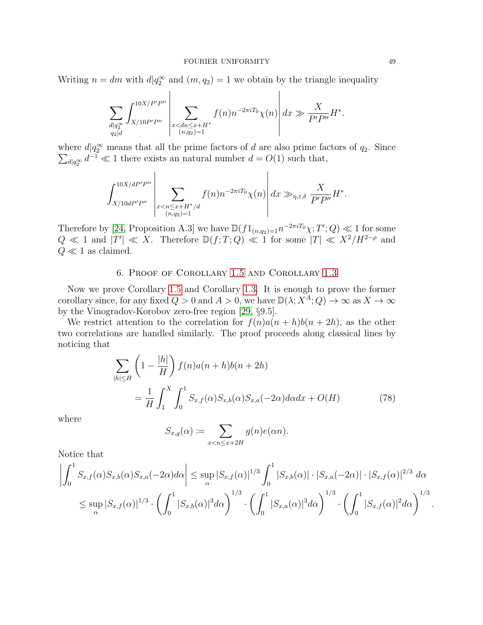Writing  $n = dm$  with  $d|q_2^{\infty}$  and  $(m, q_2) = 1$  we obtain by the triangle inequality

$$
\sum_{\substack{d|q_2^{\infty} \\ q_2|d}} \int_{X/10P'P''}^{10X/P'P''} \left| \sum_{\substack{x < dn \le x+H^* \\ (n,q_2)=1}} f(n)n^{-2\pi i T_0} \chi(n) \right| dx \gg \frac{X}{P'P''}H^*.
$$

where  $d|q_2^{\infty}$  means that all the prime factors of d are also prime factors of  $q_2$ . Since  $\sum_{d|q_2^{\infty}} d^{-1} \ll 1$  there exists an natural number  $d = O(1)$  such that,

$$
\int_{X/10dP'P''}^{10X/dP'P''}\left|\sum_{\substack{x
$$

Therefore by [\[24,](#page-50-2) Proposition A.3] we have  $\mathbb{D}(f1_{(n,q_2)=1}n^{-2\pi i T_0}\chi;T';Q)\ll 1$  for some  $Q \ll 1$  and  $|T'| \ll X$ . Therefore  $\mathbb{D}(f; T; Q) \ll 1$  for some  $|T| \ll X^2/H^{2-\rho}$  and  $Q \ll 1$  as claimed.

## 6. Proof of Corollary [1.5](#page-4-2) and Corollary [1.3](#page-3-0)

<span id="page-48-0"></span>Now we prove Corollary [1.5](#page-4-2) and Corollary [1.3.](#page-3-0) It is enough to prove the former corollary since, for any fixed  $Q > 0$  and  $A > 0$ , we have  $\mathbb{D}(\lambda; X^A; Q) \to \infty$  as  $X \to \infty$ by the Vinogradov-Korobov zero-free region [\[29,](#page-51-8) §9.5].

We restrict attention to the correlation for  $f(n)a(n + h)b(n + 2h)$ , as the other two correlations are handled similarly. The proof proceeds along classical lines by noticing that

$$
\sum_{|h| \le H} \left( 1 - \frac{|h|}{H} \right) f(n) a(n+h) b(n+2h)
$$

$$
= \frac{1}{H} \int_1^X \int_0^1 S_{x,f}(\alpha) S_{x,b}(\alpha) S_{x,a}(-2\alpha) d\alpha dx + O(H) \tag{78}
$$

where

$$
S_{x,g}(\alpha) := \sum_{x < n \leq x+2H} g(n)e(\alpha n).
$$

Notice that

$$
\left| \int_0^1 S_{x,f}(\alpha) S_{x,b}(\alpha) S_{x,a}(-2\alpha) d\alpha \right| \leq \sup_{\alpha} |S_{x,f}(\alpha)|^{1/3} \int_0^1 |S_{x,b}(\alpha)| \cdot |S_{x,a}(-2\alpha)| \cdot |S_{x,f}(\alpha)|^{2/3} d\alpha
$$
  

$$
\leq \sup_{\alpha} |S_{x,f}(\alpha)|^{1/3} \cdot \left( \int_0^1 |S_{x,b}(\alpha)|^3 d\alpha \right)^{1/3} \cdot \left( \int_0^1 |S_{x,a}(\alpha)|^3 d\alpha \right)^{1/3} \cdot \left( \int_0^1 |S_{x,f}(\alpha)|^2 d\alpha \right)^{1/3}
$$

.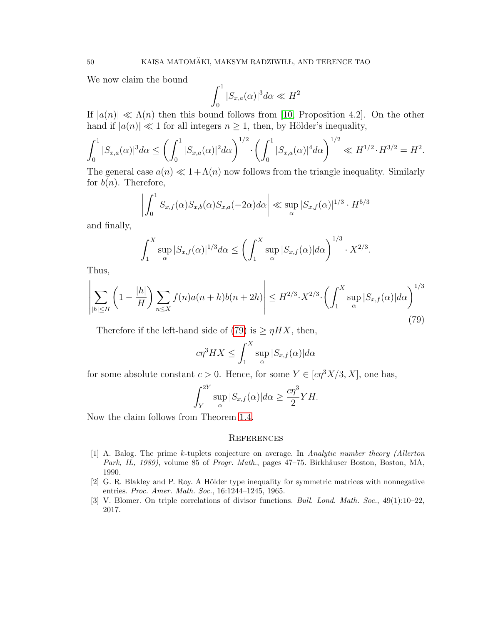We now claim the bound

$$
\int_0^1 |S_{x,a}(\alpha)|^3 d\alpha \ll H^2
$$

If  $|a(n)| \ll \Lambda(n)$  then this bound follows from [\[10,](#page-50-23) Proposition 4.2]. On the other hand if  $|a(n)| \ll 1$  for all integers  $n \geq 1$ , then, by Hölder's inequality,

$$
\int_0^1 |S_{x,a}(\alpha)|^3 d\alpha \le \left(\int_0^1 |S_{x,a}(\alpha)|^2 d\alpha\right)^{1/2} \cdot \left(\int_0^1 |S_{x,a}(\alpha)|^4 d\alpha\right)^{1/2} \ll H^{1/2} \cdot H^{3/2} = H^2.
$$

The general case  $a(n) \ll 1 + \Lambda(n)$  now follows from the triangle inequality. Similarly for  $b(n)$ . Therefore,

$$
\left| \int_0^1 S_{x,f}(\alpha) S_{x,b}(\alpha) S_{x,a}(-2\alpha) d\alpha \right| \ll \sup_{\alpha} |S_{x,f}(\alpha)|^{1/3} \cdot H^{5/3}
$$

and finally,

$$
\int_1^X \sup_{\alpha} |S_{x,f}(\alpha)|^{1/3} d\alpha \le \left(\int_1^X \sup_{\alpha} |S_{x,f}(\alpha)| d\alpha\right)^{1/3} \cdot X^{2/3}
$$

.

Thus,

 $\mathbf{r}$ 

<span id="page-49-3"></span>
$$
\left| \sum_{|h| \le H} \left( 1 - \frac{|h|}{H} \right) \sum_{n \le X} f(n) a(n+h) b(n+2h) \right| \le H^{2/3} \cdot X^{2/3} \cdot \left( \int_1^X \sup_{\alpha} |S_{x,f}(\alpha)| d\alpha \right)^{1/3} \tag{79}
$$

Therefore if the left-hand side of [\(79\)](#page-49-3) is  $\geq \eta H X$ , then,

$$
c\eta^{3}HX \leq \int_{1}^{X} \sup_{\alpha} |S_{x,f}(\alpha)|d\alpha
$$

for some absolute constant  $c > 0$ . Hence, for some  $Y \in [c\eta^3 X/3, X]$ , one has,

$$
\int_{Y}^{2Y} \sup_{\alpha} |S_{x,f}(\alpha)| d\alpha \geq \frac{c\eta^3}{2} YH.
$$

Now the claim follows from Theorem [1.4.](#page-4-1)

### **REFERENCES**

- <span id="page-49-0"></span>[1] A. Balog. The prime k-tuplets conjecture on average. In Analytic number theory (Allerton Park, IL, 1989), volume 85 of Progr. Math., pages 47–75. Birkhäuser Boston, Boston, MA, 1990.
- <span id="page-49-2"></span>[2] G. R. Blakley and P. Roy. A Hölder type inequality for symmetric matrices with nonnegative entries. Proc. Amer. Math. Soc., 16:1244–1245, 1965.
- <span id="page-49-1"></span>[3] V. Blomer. On triple correlations of divisor functions. Bull. Lond. Math. Soc., 49(1):10–22, 2017.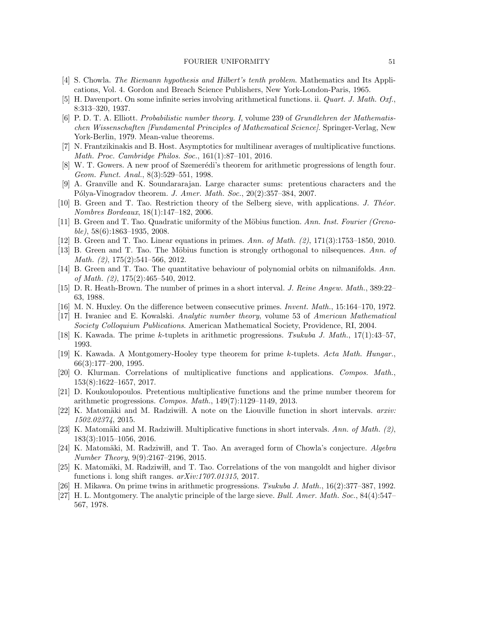#### FOURIER UNIFORMITY 51

- <span id="page-50-0"></span>[4] S. Chowla. The Riemann hypothesis and Hilbert's tenth problem. Mathematics and Its Applications, Vol. 4. Gordon and Breach Science Publishers, New York-London-Paris, 1965.
- <span id="page-50-10"></span>[5] H. Davenport. On some infinite series involving arithmetical functions. ii. Quart. J. Math. Oxf., 8:313–320, 1937.
- <span id="page-50-17"></span>[6] P. D. T. A. Elliott. Probabilistic number theory. I, volume 239 of Grundlehren der Mathematischen Wissenschaften [Fundamental Principles of Mathematical Science]. Springer-Verlag, New York-Berlin, 1979. Mean-value theorems.
- <span id="page-50-7"></span>[7] N. Frantzikinakis and B. Host. Asymptotics for multilinear averages of multiplicative functions. Math. Proc. Cambridge Philos. Soc., 161(1):87–101, 2016.
- <span id="page-50-21"></span>[8] W. T. Gowers. A new proof of Szemerédi's theorem for arithmetic progressions of length four. Geom. Funct. Anal., 8(3):529–551, 1998.
- <span id="page-50-15"></span>[9] A. Granville and K. Soundararajan. Large character sums: pretentious characters and the Pólya-Vinogradov theorem. J. Amer. Math. Soc.,  $20(2):357-384$ ,  $2007$ .
- <span id="page-50-23"></span>[10] B. Green and T. Tao. Restriction theory of the Selberg sieve, with applications. J. Theor. Nombres Bordeaux, 18(1):147–182, 2006.
- <span id="page-50-11"></span>[11] B. Green and T. Tao. Quadratic uniformity of the Möbius function. Ann. Inst. Fourier (Greno $ble$ , 58(6):1863–1935, 2008.
- <span id="page-50-6"></span>[12] B. Green and T. Tao. Linear equations in primes. Ann. of Math. (2), 171(3):1753–1850, 2010.
- <span id="page-50-12"></span>[13] B. Green and T. Tao. The Möbius function is strongly orthogonal to nilsequences. Ann. of Math. (2), 175(2):541–566, 2012.
- <span id="page-50-9"></span>[14] B. Green and T. Tao. The quantitative behaviour of polynomial orbits on nilmanifolds. Ann. of Math. (2), 175(2):465–540, 2012.
- <span id="page-50-13"></span>[15] D. R. Heath-Brown. The number of primes in a short interval. J. Reine Angew. Math., 389:22– 63, 1988.
- <span id="page-50-14"></span>[16] M. N. Huxley. On the difference between consecutive primes. Invent. Math., 15:164–170, 1972.
- <span id="page-50-20"></span>[17] H. Iwaniec and E. Kowalski. Analytic number theory, volume 53 of American Mathematical Society Colloquium Publications. American Mathematical Society, Providence, RI, 2004.
- <span id="page-50-3"></span>[18] K. Kawada. The prime k-tuplets in arithmetic progressions. Tsukuba J. Math., 17(1):43–57, 1993.
- <span id="page-50-4"></span>[19] K. Kawada. A Montgomery-Hooley type theorem for prime k-tuplets. Acta Math. Hungar., 66(3):177–200, 1995.
- <span id="page-50-16"></span>[20] O. Klurman. Correlations of multiplicative functions and applications. Compos. Math., 153(8):1622–1657, 2017.
- <span id="page-50-19"></span>[21] D. Koukoulopoulos. Pretentious multiplicative functions and the prime number theorem for arithmetic progressions. Compos. Math., 149(7):1129–1149, 2013.
- <span id="page-50-22"></span>[22] K. Matomäki and M. Radziwi<sub>th</sub>. A note on the Liouville function in short intervals. *arxiv*: 1502.02374, 2015.
- <span id="page-50-1"></span>[23] K. Matomäki and M. Radziwiłł. Multiplicative functions in short intervals. Ann. of Math. (2), 183(3):1015–1056, 2016.
- <span id="page-50-2"></span>[24] K. Matomäki, M. Radziwiłł, and T. Tao. An averaged form of Chowla's conjecture. Algebra Number Theory, 9(9):2167–2196, 2015.
- <span id="page-50-8"></span>[25] K. Matomäki, M. Radziwiłł, and T. Tao. Correlations of the von mangoldt and higher divisor functions i. long shift ranges.  $arXiv:1707.01315$ , 2017.
- <span id="page-50-5"></span>[26] H. Mikawa. On prime twins in arithmetic progressions. Tsukuba J. Math., 16(2):377–387, 1992.
- <span id="page-50-18"></span>[27] H. L. Montgomery. The analytic principle of the large sieve. Bull. Amer. Math. Soc., 84(4):547– 567, 1978.